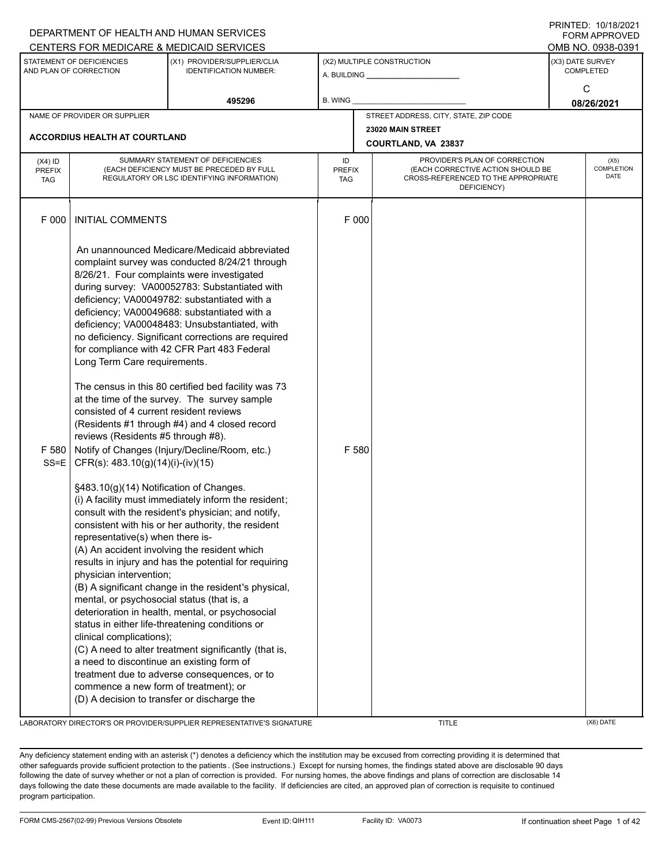|                                          |                                                                                                                                                                                                                                                                                                                                                                                                                                                                             | DEPARTMENT OF HEALTH AND HUMAN SERVICES                                                                                                                                                                                                                                                                                                                                                                                                                                                                                                                                                                                                                                                                                                                                                                                                                                                                                                                                                                                                                                                                                                                                                                            |                                   |                                                                                                                          |                  | I I \ II \ I L D . I U / I U / L U L I<br><b>FORM APPROVED</b> |
|------------------------------------------|-----------------------------------------------------------------------------------------------------------------------------------------------------------------------------------------------------------------------------------------------------------------------------------------------------------------------------------------------------------------------------------------------------------------------------------------------------------------------------|--------------------------------------------------------------------------------------------------------------------------------------------------------------------------------------------------------------------------------------------------------------------------------------------------------------------------------------------------------------------------------------------------------------------------------------------------------------------------------------------------------------------------------------------------------------------------------------------------------------------------------------------------------------------------------------------------------------------------------------------------------------------------------------------------------------------------------------------------------------------------------------------------------------------------------------------------------------------------------------------------------------------------------------------------------------------------------------------------------------------------------------------------------------------------------------------------------------------|-----------------------------------|--------------------------------------------------------------------------------------------------------------------------|------------------|----------------------------------------------------------------|
|                                          |                                                                                                                                                                                                                                                                                                                                                                                                                                                                             | CENTERS FOR MEDICARE & MEDICAID SERVICES                                                                                                                                                                                                                                                                                                                                                                                                                                                                                                                                                                                                                                                                                                                                                                                                                                                                                                                                                                                                                                                                                                                                                                           |                                   |                                                                                                                          |                  | OMB NO. 0938-0391                                              |
|                                          | STATEMENT OF DEFICIENCIES<br>AND PLAN OF CORRECTION                                                                                                                                                                                                                                                                                                                                                                                                                         | (X1) PROVIDER/SUPPLIER/CLIA<br><b>IDENTIFICATION NUMBER:</b>                                                                                                                                                                                                                                                                                                                                                                                                                                                                                                                                                                                                                                                                                                                                                                                                                                                                                                                                                                                                                                                                                                                                                       |                                   | (X2) MULTIPLE CONSTRUCTION<br>A. BUILDING <b>A.</b> BUILDING                                                             | (X3) DATE SURVEY | <b>COMPLETED</b>                                               |
|                                          |                                                                                                                                                                                                                                                                                                                                                                                                                                                                             | 495296                                                                                                                                                                                                                                                                                                                                                                                                                                                                                                                                                                                                                                                                                                                                                                                                                                                                                                                                                                                                                                                                                                                                                                                                             | B. WING                           |                                                                                                                          |                  | C<br>08/26/2021                                                |
|                                          | NAME OF PROVIDER OR SUPPLIER                                                                                                                                                                                                                                                                                                                                                                                                                                                |                                                                                                                                                                                                                                                                                                                                                                                                                                                                                                                                                                                                                                                                                                                                                                                                                                                                                                                                                                                                                                                                                                                                                                                                                    |                                   | STREET ADDRESS, CITY, STATE, ZIP CODE                                                                                    |                  |                                                                |
|                                          |                                                                                                                                                                                                                                                                                                                                                                                                                                                                             |                                                                                                                                                                                                                                                                                                                                                                                                                                                                                                                                                                                                                                                                                                                                                                                                                                                                                                                                                                                                                                                                                                                                                                                                                    |                                   |                                                                                                                          |                  |                                                                |
|                                          | <b>ACCORDIUS HEALTH AT COURTLAND</b>                                                                                                                                                                                                                                                                                                                                                                                                                                        |                                                                                                                                                                                                                                                                                                                                                                                                                                                                                                                                                                                                                                                                                                                                                                                                                                                                                                                                                                                                                                                                                                                                                                                                                    |                                   | COURTLAND, VA 23837                                                                                                      |                  |                                                                |
| $(X4)$ ID<br><b>PREFIX</b><br><b>TAG</b> |                                                                                                                                                                                                                                                                                                                                                                                                                                                                             | SUMMARY STATEMENT OF DEFICIENCIES<br>(EACH DEFICIENCY MUST BE PRECEDED BY FULL<br>REGULATORY OR LSC IDENTIFYING INFORMATION)                                                                                                                                                                                                                                                                                                                                                                                                                                                                                                                                                                                                                                                                                                                                                                                                                                                                                                                                                                                                                                                                                       | ID<br><b>PREFIX</b><br><b>TAG</b> | PROVIDER'S PLAN OF CORRECTION<br>(EACH CORRECTIVE ACTION SHOULD BE<br>CROSS-REFERENCED TO THE APPROPRIATE<br>DEFICIENCY) |                  | (X5)<br>COMPLETION<br><b>DATE</b>                              |
| F 000                                    | <b>INITIAL COMMENTS</b>                                                                                                                                                                                                                                                                                                                                                                                                                                                     |                                                                                                                                                                                                                                                                                                                                                                                                                                                                                                                                                                                                                                                                                                                                                                                                                                                                                                                                                                                                                                                                                                                                                                                                                    | F 000                             |                                                                                                                          |                  |                                                                |
| F 580<br>$SS = E$                        | Long Term Care requirements.<br>consisted of 4 current resident reviews<br>reviews (Residents #5 through #8).<br>CFR(s): 483.10(g)(14)(i)-(iv)(15)<br>§483.10(g)(14) Notification of Changes.<br>representative(s) when there is-<br>physician intervention;<br>mental, or psychosocial status (that is, a<br>clinical complications);<br>a need to discontinue an existing form of<br>commence a new form of treatment); or<br>(D) A decision to transfer or discharge the | An unannounced Medicare/Medicaid abbreviated<br>complaint survey was conducted 8/24/21 through<br>8/26/21. Four complaints were investigated<br>during survey: VA00052783: Substantiated with<br>deficiency; VA00049782: substantiated with a<br>deficiency; VA00049688: substantiated with a<br>deficiency; VA00048483: Unsubstantiated, with<br>no deficiency. Significant corrections are required<br>for compliance with 42 CFR Part 483 Federal<br>The census in this 80 certified bed facility was 73<br>at the time of the survey. The survey sample<br>(Residents #1 through #4) and 4 closed record<br>Notify of Changes (Injury/Decline/Room, etc.)<br>(i) A facility must immediately inform the resident;<br>consult with the resident's physician; and notify,<br>consistent with his or her authority, the resident<br>(A) An accident involving the resident which<br>results in injury and has the potential for requiring<br>(B) A significant change in the resident's physical,<br>deterioration in health, mental, or psychosocial<br>status in either life-threatening conditions or<br>(C) A need to alter treatment significantly (that is,<br>treatment due to adverse consequences, or to | F 580                             |                                                                                                                          |                  |                                                                |

LABORATORY DIRECTOR'S OR PROVIDER/SUPPLIER REPRESENTATIVE'S SIGNATURE TITLE TITLE TITLE (X6) DATE

PRINTED: 10/18/2021

Any deficiency statement ending with an asterisk (\*) denotes a deficiency which the institution may be excused from correcting providing it is determined that other safeguards provide sufficient protection to the patients . (See instructions.) Except for nursing homes, the findings stated above are disclosable 90 days following the date of survey whether or not a plan of correction is provided. For nursing homes, the above findings and plans of correction are disclosable 14 days following the date these documents are made available to the facility. If deficiencies are cited, an approved plan of correction is requisite to continued program participation.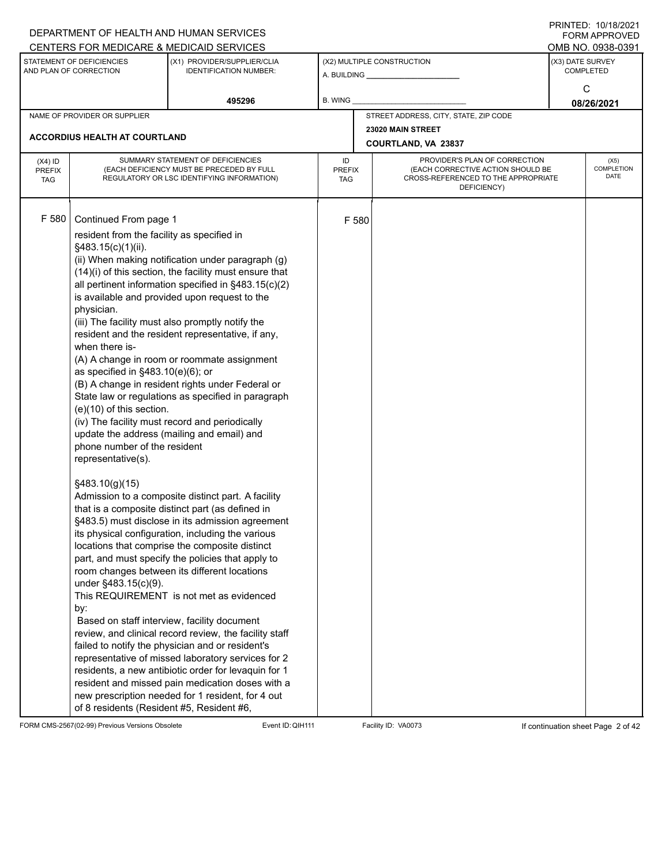|                                          |                                                                                                                                                                                                                                                                                                                                                     | DEPARTMENT OF HEALTH AND HUMAN SERVICES<br>CENTERS FOR MEDICARE & MEDICAID SERVICES                                                                                                                                                                                                                                                                                                                                                                                                                                                                                                                                                                                                                                                                                                                                                                                                                                                                                                                                                                                                                                                                                                                                                                                                                                                                                                              |                                   |       |                                                                                                                          | FININILU. IVIIVIZVZI<br><b>FORM APPROVED</b><br>OMB NO. 0938-0391 |
|------------------------------------------|-----------------------------------------------------------------------------------------------------------------------------------------------------------------------------------------------------------------------------------------------------------------------------------------------------------------------------------------------------|--------------------------------------------------------------------------------------------------------------------------------------------------------------------------------------------------------------------------------------------------------------------------------------------------------------------------------------------------------------------------------------------------------------------------------------------------------------------------------------------------------------------------------------------------------------------------------------------------------------------------------------------------------------------------------------------------------------------------------------------------------------------------------------------------------------------------------------------------------------------------------------------------------------------------------------------------------------------------------------------------------------------------------------------------------------------------------------------------------------------------------------------------------------------------------------------------------------------------------------------------------------------------------------------------------------------------------------------------------------------------------------------------|-----------------------------------|-------|--------------------------------------------------------------------------------------------------------------------------|-------------------------------------------------------------------|
|                                          | STATEMENT OF DEFICIENCIES<br>AND PLAN OF CORRECTION                                                                                                                                                                                                                                                                                                 | (X1) PROVIDER/SUPPLIER/CLIA<br><b>IDENTIFICATION NUMBER:</b>                                                                                                                                                                                                                                                                                                                                                                                                                                                                                                                                                                                                                                                                                                                                                                                                                                                                                                                                                                                                                                                                                                                                                                                                                                                                                                                                     |                                   |       | (X2) MULTIPLE CONSTRUCTION                                                                                               | (X3) DATE SURVEY<br><b>COMPLETED</b>                              |
|                                          |                                                                                                                                                                                                                                                                                                                                                     | 495296                                                                                                                                                                                                                                                                                                                                                                                                                                                                                                                                                                                                                                                                                                                                                                                                                                                                                                                                                                                                                                                                                                                                                                                                                                                                                                                                                                                           | <b>B. WING</b>                    |       |                                                                                                                          | C<br>08/26/2021                                                   |
|                                          | NAME OF PROVIDER OR SUPPLIER                                                                                                                                                                                                                                                                                                                        |                                                                                                                                                                                                                                                                                                                                                                                                                                                                                                                                                                                                                                                                                                                                                                                                                                                                                                                                                                                                                                                                                                                                                                                                                                                                                                                                                                                                  |                                   |       | STREET ADDRESS, CITY, STATE, ZIP CODE                                                                                    |                                                                   |
|                                          | <b>ACCORDIUS HEALTH AT COURTLAND</b>                                                                                                                                                                                                                                                                                                                |                                                                                                                                                                                                                                                                                                                                                                                                                                                                                                                                                                                                                                                                                                                                                                                                                                                                                                                                                                                                                                                                                                                                                                                                                                                                                                                                                                                                  |                                   |       | 23020 MAIN STREET<br><b>COURTLAND, VA 23837</b>                                                                          |                                                                   |
| $(X4)$ ID<br><b>PREFIX</b><br><b>TAG</b> |                                                                                                                                                                                                                                                                                                                                                     | SUMMARY STATEMENT OF DEFICIENCIES<br>(EACH DEFICIENCY MUST BE PRECEDED BY FULL<br>REGULATORY OR LSC IDENTIFYING INFORMATION)                                                                                                                                                                                                                                                                                                                                                                                                                                                                                                                                                                                                                                                                                                                                                                                                                                                                                                                                                                                                                                                                                                                                                                                                                                                                     | ID<br><b>PREFIX</b><br><b>TAG</b> |       | PROVIDER'S PLAN OF CORRECTION<br>(EACH CORRECTIVE ACTION SHOULD BE<br>CROSS-REFERENCED TO THE APPROPRIATE<br>DEFICIENCY) | (X5)<br>COMPLETION<br><b>DATE</b>                                 |
| F 580                                    | Continued From page 1<br>resident from the facility as specified in<br>§483.15(c)(1)(ii).<br>physician.<br>when there is-<br>as specified in $§483.10(e)(6)$ ; or<br>$(e)(10)$ of this section.<br>phone number of the resident<br>representative(s).<br>§483.10(g)(15)<br>under §483.15(c)(9).<br>by:<br>of 8 residents (Resident #5, Resident #6, | (ii) When making notification under paragraph (g)<br>(14)(i) of this section, the facility must ensure that<br>all pertinent information specified in §483.15(c)(2)<br>is available and provided upon request to the<br>(iii) The facility must also promptly notify the<br>resident and the resident representative, if any,<br>(A) A change in room or roommate assignment<br>(B) A change in resident rights under Federal or<br>State law or regulations as specified in paragraph<br>(iv) The facility must record and periodically<br>update the address (mailing and email) and<br>Admission to a composite distinct part. A facility<br>that is a composite distinct part (as defined in<br>§483.5) must disclose in its admission agreement<br>its physical configuration, including the various<br>locations that comprise the composite distinct<br>part, and must specify the policies that apply to<br>room changes between its different locations<br>This REQUIREMENT is not met as evidenced<br>Based on staff interview, facility document<br>review, and clinical record review, the facility staff<br>failed to notify the physician and or resident's<br>representative of missed laboratory services for 2<br>residents, a new antibiotic order for levaquin for 1<br>resident and missed pain medication doses with a<br>new prescription needed for 1 resident, for 4 out |                                   | F 580 |                                                                                                                          |                                                                   |

FORM CMS-2567(02-99) Previous Versions Obsolete Event ID: QIH111 Facility ID: VA0073 If continuation sheet Page 2 of 42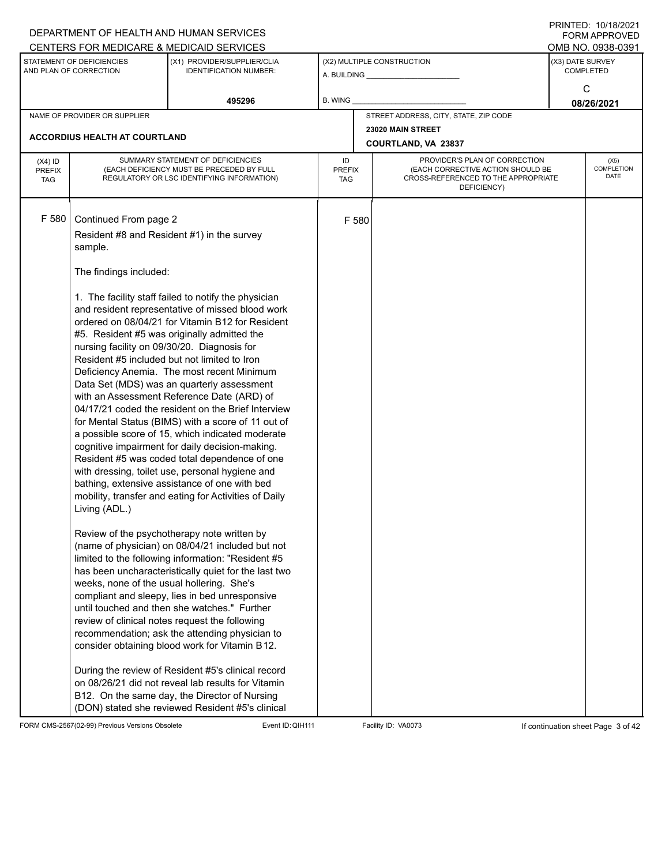|                                          |                                                                                        | DEPARTMENT OF HEALTH AND HUMAN SERVICES                                                                                                                                                                                                                                                                                                                                                                                                                                                                                                                                                                                                                                                                                                                                                                                                |                            |       |                                                                                                                          |                  | <b>FORM APPROVED</b>                     |
|------------------------------------------|----------------------------------------------------------------------------------------|----------------------------------------------------------------------------------------------------------------------------------------------------------------------------------------------------------------------------------------------------------------------------------------------------------------------------------------------------------------------------------------------------------------------------------------------------------------------------------------------------------------------------------------------------------------------------------------------------------------------------------------------------------------------------------------------------------------------------------------------------------------------------------------------------------------------------------------|----------------------------|-------|--------------------------------------------------------------------------------------------------------------------------|------------------|------------------------------------------|
|                                          |                                                                                        | CENTERS FOR MEDICARE & MEDICAID SERVICES                                                                                                                                                                                                                                                                                                                                                                                                                                                                                                                                                                                                                                                                                                                                                                                               |                            |       |                                                                                                                          |                  | OMB NO. 0938-0391                        |
|                                          | STATEMENT OF DEFICIENCIES<br>AND PLAN OF CORRECTION                                    | (X1) PROVIDER/SUPPLIER/CLIA<br><b>IDENTIFICATION NUMBER:</b>                                                                                                                                                                                                                                                                                                                                                                                                                                                                                                                                                                                                                                                                                                                                                                           |                            |       | (X2) MULTIPLE CONSTRUCTION                                                                                               | (X3) DATE SURVEY | COMPLETED                                |
|                                          |                                                                                        | 495296                                                                                                                                                                                                                                                                                                                                                                                                                                                                                                                                                                                                                                                                                                                                                                                                                                 | B. WING                    |       |                                                                                                                          |                  | C<br>08/26/2021                          |
|                                          | NAME OF PROVIDER OR SUPPLIER                                                           |                                                                                                                                                                                                                                                                                                                                                                                                                                                                                                                                                                                                                                                                                                                                                                                                                                        |                            |       | STREET ADDRESS, CITY, STATE, ZIP CODE                                                                                    |                  |                                          |
|                                          | <b>ACCORDIUS HEALTH AT COURTLAND</b>                                                   |                                                                                                                                                                                                                                                                                                                                                                                                                                                                                                                                                                                                                                                                                                                                                                                                                                        |                            |       | 23020 MAIN STREET                                                                                                        |                  |                                          |
|                                          |                                                                                        |                                                                                                                                                                                                                                                                                                                                                                                                                                                                                                                                                                                                                                                                                                                                                                                                                                        |                            |       | <b>COURTLAND, VA 23837</b>                                                                                               |                  |                                          |
| $(X4)$ ID<br><b>PREFIX</b><br><b>TAG</b> |                                                                                        | SUMMARY STATEMENT OF DEFICIENCIES<br>(EACH DEFICIENCY MUST BE PRECEDED BY FULL<br>REGULATORY OR LSC IDENTIFYING INFORMATION)                                                                                                                                                                                                                                                                                                                                                                                                                                                                                                                                                                                                                                                                                                           | ID<br>PREFIX<br><b>TAG</b> |       | PROVIDER'S PLAN OF CORRECTION<br>(EACH CORRECTIVE ACTION SHOULD BE<br>CROSS-REFERENCED TO THE APPROPRIATE<br>DEFICIENCY) |                  | (X5)<br><b>COMPLETION</b><br><b>DATE</b> |
| F 580                                    | Continued From page 2<br>sample.                                                       | Resident #8 and Resident #1) in the survey                                                                                                                                                                                                                                                                                                                                                                                                                                                                                                                                                                                                                                                                                                                                                                                             |                            | F 580 |                                                                                                                          |                  |                                          |
|                                          | The findings included:<br>nursing facility on 09/30/20. Diagnosis for<br>Living (ADL.) | 1. The facility staff failed to notify the physician<br>and resident representative of missed blood work<br>ordered on 08/04/21 for Vitamin B12 for Resident<br>#5. Resident #5 was originally admitted the<br>Resident #5 included but not limited to Iron<br>Deficiency Anemia. The most recent Minimum<br>Data Set (MDS) was an quarterly assessment<br>with an Assessment Reference Date (ARD) of<br>04/17/21 coded the resident on the Brief Interview<br>for Mental Status (BIMS) with a score of 11 out of<br>a possible score of 15, which indicated moderate<br>cognitive impairment for daily decision-making.<br>Resident #5 was coded total dependence of one<br>with dressing, toilet use, personal hygiene and<br>bathing, extensive assistance of one with bed<br>mobility, transfer and eating for Activities of Daily |                            |       |                                                                                                                          |                  |                                          |
|                                          | weeks, none of the usual hollering. She's                                              | Review of the psychotherapy note written by<br>(name of physician) on 08/04/21 included but not<br>limited to the following information: "Resident #5<br>has been uncharacteristically quiet for the last two<br>compliant and sleepy, lies in bed unresponsive<br>until touched and then she watches." Further<br>review of clinical notes request the following<br>recommendation; ask the attending physician to<br>consider obtaining blood work for Vitamin B12.<br>During the review of Resident #5's clinical record<br>on 08/26/21 did not reveal lab results for Vitamin<br>B12. On the same day, the Director of Nursing<br>(DON) stated she reviewed Resident #5's clinical                                                                                                                                                 |                            |       |                                                                                                                          |                  |                                          |

FORM CMS-2567(02-99) Previous Versions Obsolete Event ID: QIH111 Facility ID: VA0073 If continuation sheet Page 3 of 42

DEPARTMENT OF HEALTH AND HUMAN SERVICES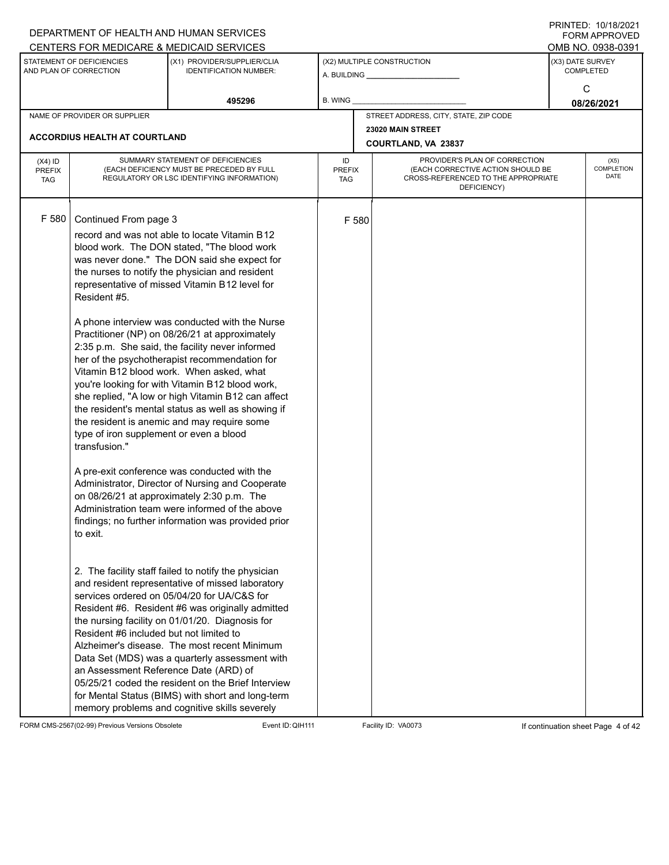|                                          |                                                                                                                                                                                                   | DEPARTMENT OF HEALTH AND HUMAN SERVICES                                                                                                                                                                                                                                                                                                                                                                                                                                                                                                                                                                                                                                                                                                                                                                                                                                                                                                                                                                                                                                                                                                                                                                                                                                                                                                                                                                  |                     |       |                                                                                                                          | I I III I LU. I U I U LUZUZI<br><b>FORM APPROVED</b> |
|------------------------------------------|---------------------------------------------------------------------------------------------------------------------------------------------------------------------------------------------------|----------------------------------------------------------------------------------------------------------------------------------------------------------------------------------------------------------------------------------------------------------------------------------------------------------------------------------------------------------------------------------------------------------------------------------------------------------------------------------------------------------------------------------------------------------------------------------------------------------------------------------------------------------------------------------------------------------------------------------------------------------------------------------------------------------------------------------------------------------------------------------------------------------------------------------------------------------------------------------------------------------------------------------------------------------------------------------------------------------------------------------------------------------------------------------------------------------------------------------------------------------------------------------------------------------------------------------------------------------------------------------------------------------|---------------------|-------|--------------------------------------------------------------------------------------------------------------------------|------------------------------------------------------|
|                                          |                                                                                                                                                                                                   | CENTERS FOR MEDICARE & MEDICAID SERVICES                                                                                                                                                                                                                                                                                                                                                                                                                                                                                                                                                                                                                                                                                                                                                                                                                                                                                                                                                                                                                                                                                                                                                                                                                                                                                                                                                                 |                     |       |                                                                                                                          | OMB NO. 0938-0391                                    |
|                                          | STATEMENT OF DEFICIENCIES<br>AND PLAN OF CORRECTION                                                                                                                                               | (X1) PROVIDER/SUPPLIER/CLIA<br><b>IDENTIFICATION NUMBER:</b>                                                                                                                                                                                                                                                                                                                                                                                                                                                                                                                                                                                                                                                                                                                                                                                                                                                                                                                                                                                                                                                                                                                                                                                                                                                                                                                                             |                     |       | (X2) MULTIPLE CONSTRUCTION                                                                                               | (X3) DATE SURVEY<br><b>COMPLETED</b>                 |
|                                          |                                                                                                                                                                                                   | 495296                                                                                                                                                                                                                                                                                                                                                                                                                                                                                                                                                                                                                                                                                                                                                                                                                                                                                                                                                                                                                                                                                                                                                                                                                                                                                                                                                                                                   | B. WING             |       |                                                                                                                          | C<br>08/26/2021                                      |
|                                          | NAME OF PROVIDER OR SUPPLIER                                                                                                                                                                      |                                                                                                                                                                                                                                                                                                                                                                                                                                                                                                                                                                                                                                                                                                                                                                                                                                                                                                                                                                                                                                                                                                                                                                                                                                                                                                                                                                                                          |                     |       | STREET ADDRESS, CITY, STATE, ZIP CODE                                                                                    |                                                      |
|                                          |                                                                                                                                                                                                   |                                                                                                                                                                                                                                                                                                                                                                                                                                                                                                                                                                                                                                                                                                                                                                                                                                                                                                                                                                                                                                                                                                                                                                                                                                                                                                                                                                                                          |                     |       | 23020 MAIN STREET                                                                                                        |                                                      |
|                                          | ACCORDIUS HEALTH AT COURTLAND                                                                                                                                                                     |                                                                                                                                                                                                                                                                                                                                                                                                                                                                                                                                                                                                                                                                                                                                                                                                                                                                                                                                                                                                                                                                                                                                                                                                                                                                                                                                                                                                          |                     |       | COURTLAND, VA 23837                                                                                                      |                                                      |
| $(X4)$ ID<br><b>PREFIX</b><br><b>TAG</b> |                                                                                                                                                                                                   | SUMMARY STATEMENT OF DEFICIENCIES<br>(EACH DEFICIENCY MUST BE PRECEDED BY FULL<br>REGULATORY OR LSC IDENTIFYING INFORMATION)                                                                                                                                                                                                                                                                                                                                                                                                                                                                                                                                                                                                                                                                                                                                                                                                                                                                                                                                                                                                                                                                                                                                                                                                                                                                             | ID<br>PREFIX<br>TAG |       | PROVIDER'S PLAN OF CORRECTION<br>(EACH CORRECTIVE ACTION SHOULD BE<br>CROSS-REFERENCED TO THE APPROPRIATE<br>DEFICIENCY) | (X5)<br>COMPLETION<br>DATE                           |
| F 580                                    | Continued From page 3<br>Resident #5.<br>type of iron supplement or even a blood<br>transfusion."<br>to exit.<br>Resident #6 included but not limited to<br>an Assessment Reference Date (ARD) of | record and was not able to locate Vitamin B12<br>blood work. The DON stated, "The blood work<br>was never done." The DON said she expect for<br>the nurses to notify the physician and resident<br>representative of missed Vitamin B12 level for<br>A phone interview was conducted with the Nurse<br>Practitioner (NP) on 08/26/21 at approximately<br>2:35 p.m. She said, the facility never informed<br>her of the psychotherapist recommendation for<br>Vitamin B12 blood work. When asked, what<br>you're looking for with Vitamin B12 blood work,<br>she replied, "A low or high Vitamin B12 can affect<br>the resident's mental status as well as showing if<br>the resident is anemic and may require some<br>A pre-exit conference was conducted with the<br>Administrator, Director of Nursing and Cooperate<br>on 08/26/21 at approximately 2:30 p.m. The<br>Administration team were informed of the above<br>findings; no further information was provided prior<br>2. The facility staff failed to notify the physician<br>and resident representative of missed laboratory<br>services ordered on 05/04/20 for UA/C&S for<br>Resident #6. Resident #6 was originally admitted<br>the nursing facility on 01/01/20. Diagnosis for<br>Alzheimer's disease. The most recent Minimum<br>Data Set (MDS) was a quarterly assessment with<br>05/25/21 coded the resident on the Brief Interview |                     | F 580 |                                                                                                                          |                                                      |
|                                          |                                                                                                                                                                                                   | for Mental Status (BIMS) with short and long-term<br>memory problems and cognitive skills severely                                                                                                                                                                                                                                                                                                                                                                                                                                                                                                                                                                                                                                                                                                                                                                                                                                                                                                                                                                                                                                                                                                                                                                                                                                                                                                       |                     |       |                                                                                                                          |                                                      |

FORM CMS-2567(02-99) Previous Versions Obsolete Event ID:QIH111 Facility ID: VA0073 If continuation sheet Page 4 of 42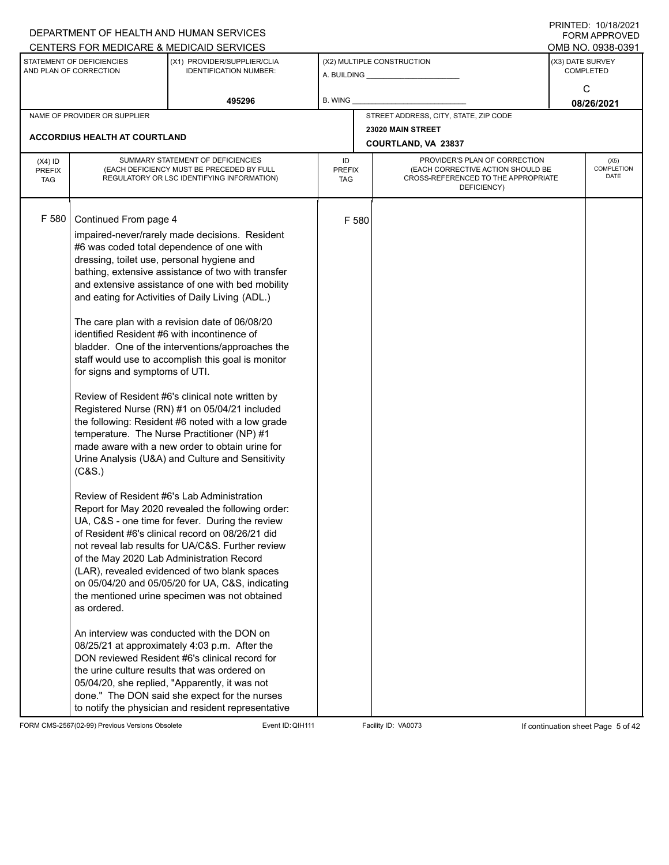|                                          |                                                                                                                                                                               | DEPARTMENT OF HEALTH AND HUMAN SERVICES<br>CENTERS FOR MEDICARE & MEDICAID SERVICES                                                                                                                                                                                                                                                                                                                                                                                                                                                                                                                                                                                                                                                                                                                                                                                                                                                                                                                                                                                                                                                                                                                                                                                                                                                                                                                                                                                                                                                                                  |                                   |       |                                                                                                                          |                  | FININTLU. TV/TO/ZVZT<br><b>FORM APPROVED</b><br>OMB NO. 0938-0391 |
|------------------------------------------|-------------------------------------------------------------------------------------------------------------------------------------------------------------------------------|----------------------------------------------------------------------------------------------------------------------------------------------------------------------------------------------------------------------------------------------------------------------------------------------------------------------------------------------------------------------------------------------------------------------------------------------------------------------------------------------------------------------------------------------------------------------------------------------------------------------------------------------------------------------------------------------------------------------------------------------------------------------------------------------------------------------------------------------------------------------------------------------------------------------------------------------------------------------------------------------------------------------------------------------------------------------------------------------------------------------------------------------------------------------------------------------------------------------------------------------------------------------------------------------------------------------------------------------------------------------------------------------------------------------------------------------------------------------------------------------------------------------------------------------------------------------|-----------------------------------|-------|--------------------------------------------------------------------------------------------------------------------------|------------------|-------------------------------------------------------------------|
|                                          | STATEMENT OF DEFICIENCIES<br>AND PLAN OF CORRECTION                                                                                                                           | (X1) PROVIDER/SUPPLIER/CLIA<br><b>IDENTIFICATION NUMBER:</b>                                                                                                                                                                                                                                                                                                                                                                                                                                                                                                                                                                                                                                                                                                                                                                                                                                                                                                                                                                                                                                                                                                                                                                                                                                                                                                                                                                                                                                                                                                         |                                   |       | (X2) MULTIPLE CONSTRUCTION                                                                                               | (X3) DATE SURVEY | <b>COMPLETED</b>                                                  |
|                                          |                                                                                                                                                                               | 495296                                                                                                                                                                                                                                                                                                                                                                                                                                                                                                                                                                                                                                                                                                                                                                                                                                                                                                                                                                                                                                                                                                                                                                                                                                                                                                                                                                                                                                                                                                                                                               | B. WING                           |       |                                                                                                                          |                  | C<br>08/26/2021                                                   |
|                                          | NAME OF PROVIDER OR SUPPLIER                                                                                                                                                  |                                                                                                                                                                                                                                                                                                                                                                                                                                                                                                                                                                                                                                                                                                                                                                                                                                                                                                                                                                                                                                                                                                                                                                                                                                                                                                                                                                                                                                                                                                                                                                      |                                   |       | STREET ADDRESS, CITY, STATE, ZIP CODE                                                                                    |                  |                                                                   |
|                                          | <b>ACCORDIUS HEALTH AT COURTLAND</b>                                                                                                                                          |                                                                                                                                                                                                                                                                                                                                                                                                                                                                                                                                                                                                                                                                                                                                                                                                                                                                                                                                                                                                                                                                                                                                                                                                                                                                                                                                                                                                                                                                                                                                                                      |                                   |       | 23020 MAIN STREET<br>COURTLAND, VA 23837                                                                                 |                  |                                                                   |
| $(X4)$ ID<br><b>PREFIX</b><br><b>TAG</b> |                                                                                                                                                                               | SUMMARY STATEMENT OF DEFICIENCIES<br>(EACH DEFICIENCY MUST BE PRECEDED BY FULL<br>REGULATORY OR LSC IDENTIFYING INFORMATION)                                                                                                                                                                                                                                                                                                                                                                                                                                                                                                                                                                                                                                                                                                                                                                                                                                                                                                                                                                                                                                                                                                                                                                                                                                                                                                                                                                                                                                         | ID<br><b>PREFIX</b><br><b>TAG</b> |       | PROVIDER'S PLAN OF CORRECTION<br>(EACH CORRECTIVE ACTION SHOULD BE<br>CROSS-REFERENCED TO THE APPROPRIATE<br>DEFICIENCY) |                  | (X5)<br><b>COMPLETION</b><br><b>DATE</b>                          |
| F 580                                    | Continued From page 4<br>dressing, toilet use, personal hygiene and<br>identified Resident #6 with incontinence of<br>for signs and symptoms of UTI.<br>(C&S.)<br>as ordered. | impaired-never/rarely made decisions. Resident<br>#6 was coded total dependence of one with<br>bathing, extensive assistance of two with transfer<br>and extensive assistance of one with bed mobility<br>and eating for Activities of Daily Living (ADL.)<br>The care plan with a revision date of 06/08/20<br>bladder. One of the interventions/approaches the<br>staff would use to accomplish this goal is monitor<br>Review of Resident #6's clinical note written by<br>Registered Nurse (RN) #1 on 05/04/21 included<br>the following: Resident #6 noted with a low grade<br>temperature. The Nurse Practitioner (NP) #1<br>made aware with a new order to obtain urine for<br>Urine Analysis (U&A) and Culture and Sensitivity<br>Review of Resident #6's Lab Administration<br>Report for May 2020 revealed the following order:<br>UA, C&S - one time for fever. During the review<br>of Resident #6's clinical record on 08/26/21 did<br>not reveal lab results for UA/C&S. Further review<br>of the May 2020 Lab Administration Record<br>(LAR), revealed evidenced of two blank spaces<br>on 05/04/20 and 05/05/20 for UA, C&S, indicating<br>the mentioned urine specimen was not obtained<br>An interview was conducted with the DON on<br>08/25/21 at approximately 4:03 p.m. After the<br>DON reviewed Resident #6's clinical record for<br>the urine culture results that was ordered on<br>05/04/20, she replied, "Apparently, it was not<br>done." The DON said she expect for the nurses<br>to notify the physician and resident representative |                                   | F 580 |                                                                                                                          |                  |                                                                   |

FORM CMS-2567(02-99) Previous Versions Obsolete Event ID: QIH111 Facility ID: VA0073 If continuation sheet Page 5 of 42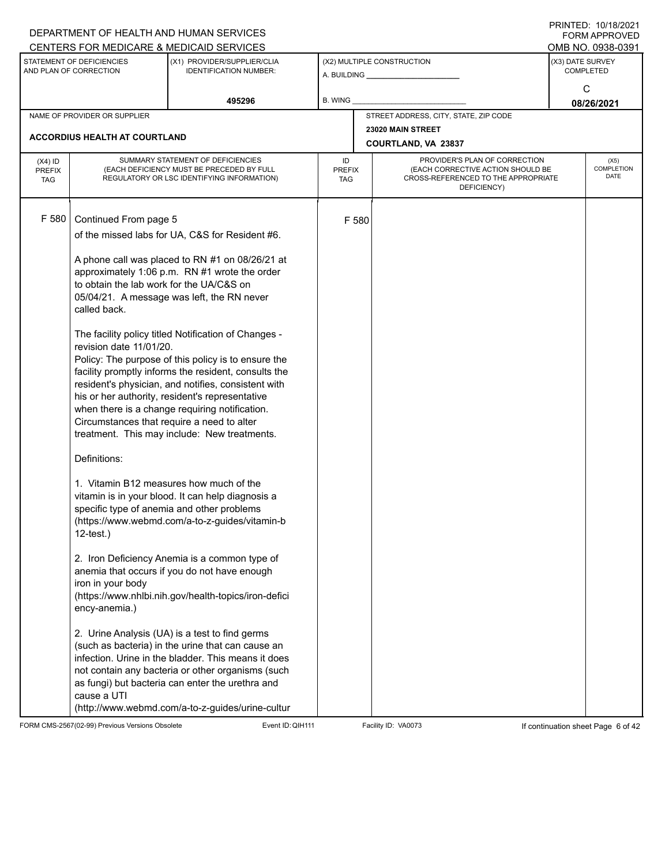|                                                                                                                                                                                               |                                                                                                                                                                                                                                  | DEPARTMENT OF HEALTH AND HUMAN SERVICES                                                                                                                                                                                                                                                                                                                                                                                                                                                                                                                                                                                                                                                                                                                                                                                                                                                                                                                                                                                                                                                                                                                          |                                   |                  |                                                                                                                          |  | FININILLY. IVIIOIZVZI<br>FORM APPROVED<br>OMB NO. 0938-0391 |
|-----------------------------------------------------------------------------------------------------------------------------------------------------------------------------------------------|----------------------------------------------------------------------------------------------------------------------------------------------------------------------------------------------------------------------------------|------------------------------------------------------------------------------------------------------------------------------------------------------------------------------------------------------------------------------------------------------------------------------------------------------------------------------------------------------------------------------------------------------------------------------------------------------------------------------------------------------------------------------------------------------------------------------------------------------------------------------------------------------------------------------------------------------------------------------------------------------------------------------------------------------------------------------------------------------------------------------------------------------------------------------------------------------------------------------------------------------------------------------------------------------------------------------------------------------------------------------------------------------------------|-----------------------------------|------------------|--------------------------------------------------------------------------------------------------------------------------|--|-------------------------------------------------------------|
| CENTERS FOR MEDICARE & MEDICAID SERVICES<br>STATEMENT OF DEFICIENCIES<br>(X1) PROVIDER/SUPPLIER/CLIA<br>(X2) MULTIPLE CONSTRUCTION<br>AND PLAN OF CORRECTION<br><b>IDENTIFICATION NUMBER:</b> |                                                                                                                                                                                                                                  |                                                                                                                                                                                                                                                                                                                                                                                                                                                                                                                                                                                                                                                                                                                                                                                                                                                                                                                                                                                                                                                                                                                                                                  | (X3) DATE SURVEY                  | <b>COMPLETED</b> |                                                                                                                          |  |                                                             |
|                                                                                                                                                                                               |                                                                                                                                                                                                                                  | 495296                                                                                                                                                                                                                                                                                                                                                                                                                                                                                                                                                                                                                                                                                                                                                                                                                                                                                                                                                                                                                                                                                                                                                           | <b>B. WING</b>                    |                  |                                                                                                                          |  | C<br>08/26/2021                                             |
|                                                                                                                                                                                               | NAME OF PROVIDER OR SUPPLIER                                                                                                                                                                                                     |                                                                                                                                                                                                                                                                                                                                                                                                                                                                                                                                                                                                                                                                                                                                                                                                                                                                                                                                                                                                                                                                                                                                                                  |                                   |                  | STREET ADDRESS, CITY, STATE, ZIP CODE                                                                                    |  |                                                             |
|                                                                                                                                                                                               | <b>ACCORDIUS HEALTH AT COURTLAND</b>                                                                                                                                                                                             |                                                                                                                                                                                                                                                                                                                                                                                                                                                                                                                                                                                                                                                                                                                                                                                                                                                                                                                                                                                                                                                                                                                                                                  |                                   |                  | 23020 MAIN STREET<br>COURTLAND, VA 23837                                                                                 |  |                                                             |
| $(X4)$ ID<br><b>PREFIX</b><br><b>TAG</b>                                                                                                                                                      |                                                                                                                                                                                                                                  | SUMMARY STATEMENT OF DEFICIENCIES<br>(EACH DEFICIENCY MUST BE PRECEDED BY FULL<br>REGULATORY OR LSC IDENTIFYING INFORMATION)                                                                                                                                                                                                                                                                                                                                                                                                                                                                                                                                                                                                                                                                                                                                                                                                                                                                                                                                                                                                                                     | ID<br><b>PREFIX</b><br><b>TAG</b> |                  | PROVIDER'S PLAN OF CORRECTION<br>(EACH CORRECTIVE ACTION SHOULD BE<br>CROSS-REFERENCED TO THE APPROPRIATE<br>DEFICIENCY) |  | (X5)<br>COMPLETION<br><b>DATE</b>                           |
| F 580                                                                                                                                                                                         | Continued From page 5<br>to obtain the lab work for the UA/C&S on<br>called back.<br>revision date 11/01/20.<br>Circumstances that require a need to alter<br>Definitions:<br>$12$ -test.)<br>iron in your body<br>ency-anemia.) | of the missed labs for UA, C&S for Resident #6.<br>A phone call was placed to RN #1 on 08/26/21 at<br>approximately 1:06 p.m. RN #1 wrote the order<br>05/04/21. A message was left, the RN never<br>The facility policy titled Notification of Changes -<br>Policy: The purpose of this policy is to ensure the<br>facility promptly informs the resident, consults the<br>resident's physician, and notifies, consistent with<br>his or her authority, resident's representative<br>when there is a change requiring notification.<br>treatment. This may include: New treatments.<br>1. Vitamin B12 measures how much of the<br>vitamin is in your blood. It can help diagnosis a<br>specific type of anemia and other problems<br>(https://www.webmd.com/a-to-z-guides/vitamin-b<br>2. Iron Deficiency Anemia is a common type of<br>anemia that occurs if you do not have enough<br>(https://www.nhlbi.nih.gov/health-topics/iron-defici<br>2. Urine Analysis (UA) is a test to find germs<br>(such as bacteria) in the urine that can cause an<br>infection. Urine in the bladder. This means it does<br>not contain any bacteria or other organisms (such |                                   | F 580            |                                                                                                                          |  |                                                             |
|                                                                                                                                                                                               | cause a UTI                                                                                                                                                                                                                      | as fungi) but bacteria can enter the urethra and<br>(http://www.webmd.com/a-to-z-guides/urine-cultur                                                                                                                                                                                                                                                                                                                                                                                                                                                                                                                                                                                                                                                                                                                                                                                                                                                                                                                                                                                                                                                             |                                   |                  |                                                                                                                          |  |                                                             |

FORM CMS-2567(02-99) Previous Versions Obsolete Event ID: QIH111 Facility ID: VA0073 If continuation sheet Page 6 of 42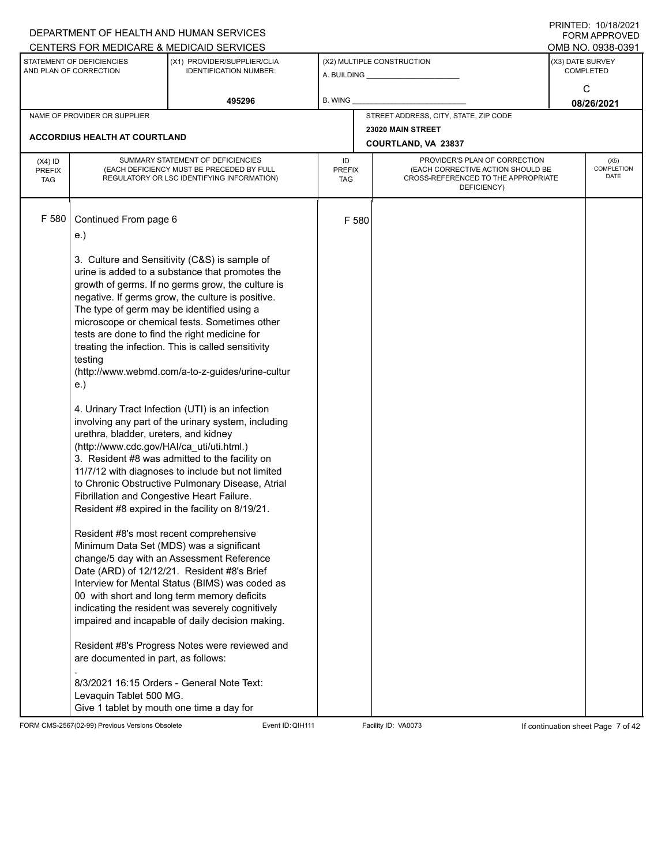|                                          |                                                                                                                                                                                                                                                                                                                                                                                                                 | DEPARTMENT OF HEALTH AND HUMAN SERVICES<br>CENTERS FOR MEDICARE & MEDICAID SERVICES                                                                                                                                                                                                                                                                                                                                                                                                                                                                                                                                                                                                                                                                                                                                                                                                                                                                                                                                                                                                                  |                                   |       |                                                                                                                          |      | FININTLU. TU/TO/ZUZT<br>FORM APPROVED<br>OMB NO. 0938-0391 |  |  |
|------------------------------------------|-----------------------------------------------------------------------------------------------------------------------------------------------------------------------------------------------------------------------------------------------------------------------------------------------------------------------------------------------------------------------------------------------------------------|------------------------------------------------------------------------------------------------------------------------------------------------------------------------------------------------------------------------------------------------------------------------------------------------------------------------------------------------------------------------------------------------------------------------------------------------------------------------------------------------------------------------------------------------------------------------------------------------------------------------------------------------------------------------------------------------------------------------------------------------------------------------------------------------------------------------------------------------------------------------------------------------------------------------------------------------------------------------------------------------------------------------------------------------------------------------------------------------------|-----------------------------------|-------|--------------------------------------------------------------------------------------------------------------------------|------|------------------------------------------------------------|--|--|
|                                          | STATEMENT OF DEFICIENCIES<br>AND PLAN OF CORRECTION                                                                                                                                                                                                                                                                                                                                                             | (X1) PROVIDER/SUPPLIER/CLIA<br><b>IDENTIFICATION NUMBER:</b>                                                                                                                                                                                                                                                                                                                                                                                                                                                                                                                                                                                                                                                                                                                                                                                                                                                                                                                                                                                                                                         |                                   |       | (X2) MULTIPLE CONSTRUCTION                                                                                               |      | (X3) DATE SURVEY<br><b>COMPLETED</b>                       |  |  |
|                                          |                                                                                                                                                                                                                                                                                                                                                                                                                 | 495296                                                                                                                                                                                                                                                                                                                                                                                                                                                                                                                                                                                                                                                                                                                                                                                                                                                                                                                                                                                                                                                                                               | <b>B. WING</b>                    |       |                                                                                                                          |      | C<br>08/26/2021                                            |  |  |
|                                          | NAME OF PROVIDER OR SUPPLIER                                                                                                                                                                                                                                                                                                                                                                                    |                                                                                                                                                                                                                                                                                                                                                                                                                                                                                                                                                                                                                                                                                                                                                                                                                                                                                                                                                                                                                                                                                                      |                                   |       | STREET ADDRESS, CITY, STATE, ZIP CODE                                                                                    |      |                                                            |  |  |
|                                          | <b>ACCORDIUS HEALTH AT COURTLAND</b>                                                                                                                                                                                                                                                                                                                                                                            |                                                                                                                                                                                                                                                                                                                                                                                                                                                                                                                                                                                                                                                                                                                                                                                                                                                                                                                                                                                                                                                                                                      |                                   |       | 23020 MAIN STREET<br>COURTLAND, VA 23837                                                                                 | (X5) |                                                            |  |  |
| $(X4)$ ID<br><b>PREFIX</b><br><b>TAG</b> |                                                                                                                                                                                                                                                                                                                                                                                                                 | SUMMARY STATEMENT OF DEFICIENCIES<br>(EACH DEFICIENCY MUST BE PRECEDED BY FULL<br>REGULATORY OR LSC IDENTIFYING INFORMATION)                                                                                                                                                                                                                                                                                                                                                                                                                                                                                                                                                                                                                                                                                                                                                                                                                                                                                                                                                                         | ID<br><b>PREFIX</b><br><b>TAG</b> |       | PROVIDER'S PLAN OF CORRECTION<br>(EACH CORRECTIVE ACTION SHOULD BE<br>CROSS-REFERENCED TO THE APPROPRIATE<br>DEFICIENCY) |      | COMPLETION<br><b>DATE</b>                                  |  |  |
| F 580                                    | Continued From page 6<br>e.)<br>The type of germ may be identified using a<br>tests are done to find the right medicine for<br>testing<br>e.)<br>urethra, bladder, ureters, and kidney<br>(http://www.cdc.gov/HAI/ca_uti/uti.html.)<br>Fibrillation and Congestive Heart Failure.<br>Resident #8's most recent comprehensive<br>Minimum Data Set (MDS) was a significant<br>are documented in part, as follows: | 3. Culture and Sensitivity (C&S) is sample of<br>urine is added to a substance that promotes the<br>growth of germs. If no germs grow, the culture is<br>negative. If germs grow, the culture is positive.<br>microscope or chemical tests. Sometimes other<br>treating the infection. This is called sensitivity<br>(http://www.webmd.com/a-to-z-guides/urine-cultur<br>4. Urinary Tract Infection (UTI) is an infection<br>involving any part of the urinary system, including<br>3. Resident #8 was admitted to the facility on<br>11/7/12 with diagnoses to include but not limited<br>to Chronic Obstructive Pulmonary Disease, Atrial<br>Resident #8 expired in the facility on 8/19/21.<br>change/5 day with an Assessment Reference<br>Date (ARD) of 12/12/21. Resident #8's Brief<br>Interview for Mental Status (BIMS) was coded as<br>00 with short and long term memory deficits<br>indicating the resident was severely cognitively<br>impaired and incapable of daily decision making.<br>Resident #8's Progress Notes were reviewed and<br>8/3/2021 16:15 Orders - General Note Text: |                                   | F 580 |                                                                                                                          |      |                                                            |  |  |
|                                          | Levaquin Tablet 500 MG.<br>Give 1 tablet by mouth one time a day for                                                                                                                                                                                                                                                                                                                                            |                                                                                                                                                                                                                                                                                                                                                                                                                                                                                                                                                                                                                                                                                                                                                                                                                                                                                                                                                                                                                                                                                                      |                                   |       |                                                                                                                          |      |                                                            |  |  |

FORM CMS-2567(02-99) Previous Versions Obsolete Event ID: QIH111 Facility ID: VA0073 If continuation sheet Page 7 of 42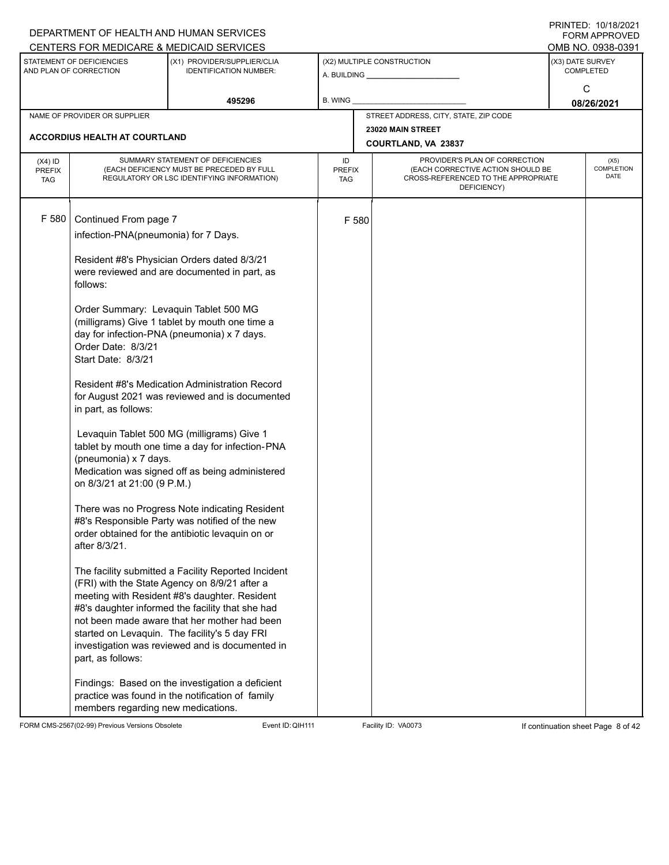|               |                                                     | DEPARTMENT OF HEALTH AND HUMAN SERVICES                                                          |               |                   |                                                                          |  | $1 \times 1 \times 1 = 1$ . $1 \times 1 \times 1 = 1$<br><b>FORM APPROVED</b> |  |  |  |  |
|---------------|-----------------------------------------------------|--------------------------------------------------------------------------------------------------|---------------|-------------------|--------------------------------------------------------------------------|--|-------------------------------------------------------------------------------|--|--|--|--|
|               |                                                     | CENTERS FOR MEDICARE & MEDICAID SERVICES                                                         |               |                   |                                                                          |  | OMB NO. 0938-0391                                                             |  |  |  |  |
|               | STATEMENT OF DEFICIENCIES<br>AND PLAN OF CORRECTION | (X1) PROVIDER/SUPPLIER/CLIA<br><b>IDENTIFICATION NUMBER:</b>                                     |               |                   | (X2) MULTIPLE CONSTRUCTION                                               |  | (X3) DATE SURVEY<br><b>COMPLETED</b>                                          |  |  |  |  |
|               |                                                     |                                                                                                  |               |                   | A. BUILDING A. BUILDING                                                  |  | C                                                                             |  |  |  |  |
|               |                                                     | 495296                                                                                           | B. WING       |                   |                                                                          |  | 08/26/2021                                                                    |  |  |  |  |
|               | NAME OF PROVIDER OR SUPPLIER                        |                                                                                                  |               |                   | STREET ADDRESS, CITY, STATE, ZIP CODE                                    |  |                                                                               |  |  |  |  |
|               |                                                     |                                                                                                  |               | 23020 MAIN STREET |                                                                          |  |                                                                               |  |  |  |  |
|               | <b>ACCORDIUS HEALTH AT COURTLAND</b>                |                                                                                                  |               |                   | COURTLAND, VA 23837                                                      |  |                                                                               |  |  |  |  |
| $(X4)$ ID     |                                                     | SUMMARY STATEMENT OF DEFICIENCIES                                                                | ID            |                   | PROVIDER'S PLAN OF CORRECTION                                            |  | (X5)                                                                          |  |  |  |  |
| <b>PREFIX</b> |                                                     | (EACH DEFICIENCY MUST BE PRECEDED BY FULL                                                        | <b>PREFIX</b> |                   | (EACH CORRECTIVE ACTION SHOULD BE<br>CROSS-REFERENCED TO THE APPROPRIATE |  | COMPLETION<br><b>DATE</b>                                                     |  |  |  |  |
| <b>TAG</b>    |                                                     | REGULATORY OR LSC IDENTIFYING INFORMATION)                                                       | TAG           |                   | DEFICIENCY)                                                              |  |                                                                               |  |  |  |  |
|               |                                                     |                                                                                                  |               |                   |                                                                          |  |                                                                               |  |  |  |  |
| F 580         | Continued From page 7                               |                                                                                                  |               | F 580             |                                                                          |  |                                                                               |  |  |  |  |
|               | infection-PNA(pneumonia) for 7 Days.                |                                                                                                  |               |                   |                                                                          |  |                                                                               |  |  |  |  |
|               |                                                     |                                                                                                  |               |                   |                                                                          |  |                                                                               |  |  |  |  |
|               |                                                     | Resident #8's Physician Orders dated 8/3/21                                                      |               |                   |                                                                          |  |                                                                               |  |  |  |  |
|               |                                                     | were reviewed and are documented in part, as                                                     |               |                   |                                                                          |  |                                                                               |  |  |  |  |
|               | follows:                                            |                                                                                                  |               |                   |                                                                          |  |                                                                               |  |  |  |  |
|               |                                                     |                                                                                                  |               |                   |                                                                          |  |                                                                               |  |  |  |  |
|               |                                                     | Order Summary: Levaquin Tablet 500 MG<br>(milligrams) Give 1 tablet by mouth one time a          |               |                   |                                                                          |  |                                                                               |  |  |  |  |
|               |                                                     | day for infection-PNA (pneumonia) x 7 days.                                                      |               |                   |                                                                          |  |                                                                               |  |  |  |  |
|               | Order Date: 8/3/21                                  |                                                                                                  |               |                   |                                                                          |  |                                                                               |  |  |  |  |
|               | Start Date: 8/3/21                                  |                                                                                                  |               |                   |                                                                          |  |                                                                               |  |  |  |  |
|               |                                                     |                                                                                                  |               |                   |                                                                          |  |                                                                               |  |  |  |  |
|               |                                                     | Resident #8's Medication Administration Record                                                   |               |                   |                                                                          |  |                                                                               |  |  |  |  |
|               |                                                     | for August 2021 was reviewed and is documented                                                   |               |                   |                                                                          |  |                                                                               |  |  |  |  |
|               | in part, as follows:                                |                                                                                                  |               |                   |                                                                          |  |                                                                               |  |  |  |  |
|               |                                                     | Levaquin Tablet 500 MG (milligrams) Give 1                                                       |               |                   |                                                                          |  |                                                                               |  |  |  |  |
|               |                                                     | tablet by mouth one time a day for infection-PNA                                                 |               |                   |                                                                          |  |                                                                               |  |  |  |  |
|               | (pneumonia) x 7 days.                               |                                                                                                  |               |                   |                                                                          |  |                                                                               |  |  |  |  |
|               |                                                     | Medication was signed off as being administered                                                  |               |                   |                                                                          |  |                                                                               |  |  |  |  |
|               | on 8/3/21 at 21:00 (9 P.M.)                         |                                                                                                  |               |                   |                                                                          |  |                                                                               |  |  |  |  |
|               |                                                     |                                                                                                  |               |                   |                                                                          |  |                                                                               |  |  |  |  |
|               |                                                     | There was no Progress Note indicating Resident<br>#8's Responsible Party was notified of the new |               |                   |                                                                          |  |                                                                               |  |  |  |  |
|               |                                                     | order obtained for the antibiotic levaquin on or                                                 |               |                   |                                                                          |  |                                                                               |  |  |  |  |
|               | after 8/3/21.                                       |                                                                                                  |               |                   |                                                                          |  |                                                                               |  |  |  |  |
|               |                                                     |                                                                                                  |               |                   |                                                                          |  |                                                                               |  |  |  |  |
|               |                                                     | The facility submitted a Facility Reported Incident                                              |               |                   |                                                                          |  |                                                                               |  |  |  |  |
|               |                                                     | (FRI) with the State Agency on 8/9/21 after a                                                    |               |                   |                                                                          |  |                                                                               |  |  |  |  |
|               |                                                     | meeting with Resident #8's daughter. Resident                                                    |               |                   |                                                                          |  |                                                                               |  |  |  |  |
|               |                                                     | #8's daughter informed the facility that she had<br>not been made aware that her mother had been |               |                   |                                                                          |  |                                                                               |  |  |  |  |
|               |                                                     | started on Levaquin. The facility's 5 day FRI                                                    |               |                   |                                                                          |  |                                                                               |  |  |  |  |
|               |                                                     | investigation was reviewed and is documented in                                                  |               |                   |                                                                          |  |                                                                               |  |  |  |  |
|               | part, as follows:                                   |                                                                                                  |               |                   |                                                                          |  |                                                                               |  |  |  |  |
|               |                                                     |                                                                                                  |               |                   |                                                                          |  |                                                                               |  |  |  |  |
|               |                                                     | Findings: Based on the investigation a deficient                                                 |               |                   |                                                                          |  |                                                                               |  |  |  |  |
|               |                                                     | practice was found in the notification of family                                                 |               |                   |                                                                          |  |                                                                               |  |  |  |  |
|               | members regarding new medications.                  |                                                                                                  |               |                   |                                                                          |  |                                                                               |  |  |  |  |

FORM CMS-2567(02-99) Previous Versions Obsolete Event ID: QIH111 Facility ID: VA0073 If continuation sheet Page 8 of 42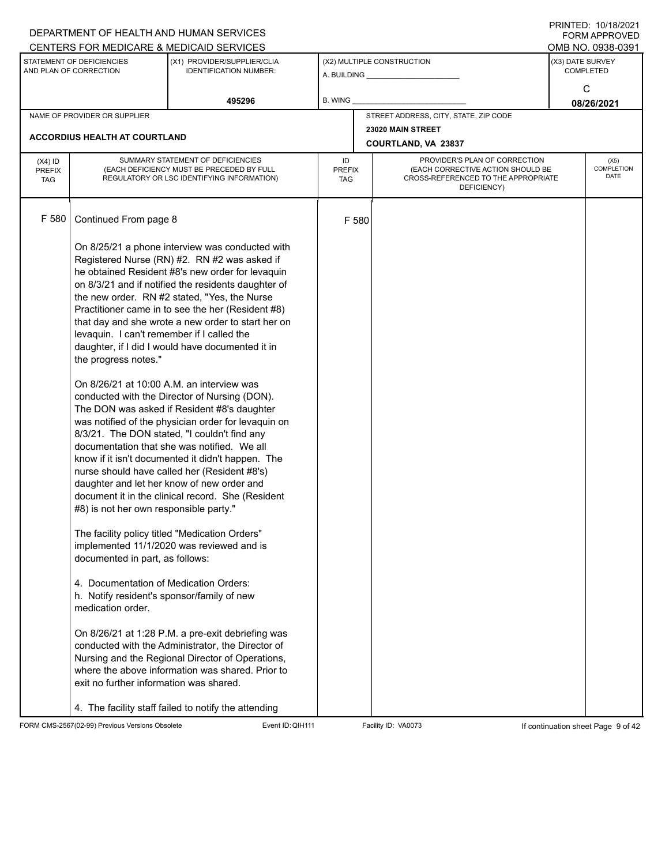|                                          |                                                                                                                                                                                                                                                                                                                                                      | DEPARTMENT OF HEALTH AND HUMAN SERVICES<br>CENTERS FOR MEDICARE & MEDICAID SERVICES                                                                                                                                                                                                                                                                                                                                                                                                                                                                                                                                                                                                                                                                                                                                                                                                                                                                                                                                                                                                                                                                                                                      |                                   |       |                                                                                                                          |  | FININILU. IVIIVIZUZI<br><b>FORM APPROVED</b><br>OMB NO. 0938-0391 |  |  |  |
|------------------------------------------|------------------------------------------------------------------------------------------------------------------------------------------------------------------------------------------------------------------------------------------------------------------------------------------------------------------------------------------------------|----------------------------------------------------------------------------------------------------------------------------------------------------------------------------------------------------------------------------------------------------------------------------------------------------------------------------------------------------------------------------------------------------------------------------------------------------------------------------------------------------------------------------------------------------------------------------------------------------------------------------------------------------------------------------------------------------------------------------------------------------------------------------------------------------------------------------------------------------------------------------------------------------------------------------------------------------------------------------------------------------------------------------------------------------------------------------------------------------------------------------------------------------------------------------------------------------------|-----------------------------------|-------|--------------------------------------------------------------------------------------------------------------------------|--|-------------------------------------------------------------------|--|--|--|
|                                          | STATEMENT OF DEFICIENCIES<br>AND PLAN OF CORRECTION                                                                                                                                                                                                                                                                                                  | (X1) PROVIDER/SUPPLIER/CLIA<br><b>IDENTIFICATION NUMBER:</b>                                                                                                                                                                                                                                                                                                                                                                                                                                                                                                                                                                                                                                                                                                                                                                                                                                                                                                                                                                                                                                                                                                                                             |                                   |       | (X2) MULTIPLE CONSTRUCTION                                                                                               |  | (X3) DATE SURVEY<br><b>COMPLETED</b>                              |  |  |  |
|                                          |                                                                                                                                                                                                                                                                                                                                                      | 495296                                                                                                                                                                                                                                                                                                                                                                                                                                                                                                                                                                                                                                                                                                                                                                                                                                                                                                                                                                                                                                                                                                                                                                                                   | <b>B. WING</b>                    |       |                                                                                                                          |  | C<br>08/26/2021                                                   |  |  |  |
|                                          | NAME OF PROVIDER OR SUPPLIER                                                                                                                                                                                                                                                                                                                         |                                                                                                                                                                                                                                                                                                                                                                                                                                                                                                                                                                                                                                                                                                                                                                                                                                                                                                                                                                                                                                                                                                                                                                                                          |                                   |       | STREET ADDRESS, CITY, STATE, ZIP CODE                                                                                    |  |                                                                   |  |  |  |
|                                          | <b>ACCORDIUS HEALTH AT COURTLAND</b>                                                                                                                                                                                                                                                                                                                 |                                                                                                                                                                                                                                                                                                                                                                                                                                                                                                                                                                                                                                                                                                                                                                                                                                                                                                                                                                                                                                                                                                                                                                                                          |                                   |       | 23020 MAIN STREET<br>COURTLAND, VA 23837                                                                                 |  |                                                                   |  |  |  |
| $(X4)$ ID<br><b>PREFIX</b><br><b>TAG</b> |                                                                                                                                                                                                                                                                                                                                                      | SUMMARY STATEMENT OF DEFICIENCIES<br>(EACH DEFICIENCY MUST BE PRECEDED BY FULL<br>REGULATORY OR LSC IDENTIFYING INFORMATION)                                                                                                                                                                                                                                                                                                                                                                                                                                                                                                                                                                                                                                                                                                                                                                                                                                                                                                                                                                                                                                                                             | ID<br><b>PREFIX</b><br><b>TAG</b> |       | PROVIDER'S PLAN OF CORRECTION<br>(EACH CORRECTIVE ACTION SHOULD BE<br>CROSS-REFERENCED TO THE APPROPRIATE<br>DEFICIENCY) |  | (X5)<br><b>COMPLETION</b><br><b>DATE</b>                          |  |  |  |
| F 580                                    | Continued From page 8                                                                                                                                                                                                                                                                                                                                |                                                                                                                                                                                                                                                                                                                                                                                                                                                                                                                                                                                                                                                                                                                                                                                                                                                                                                                                                                                                                                                                                                                                                                                                          |                                   | F 580 |                                                                                                                          |  |                                                                   |  |  |  |
|                                          | levaquin. I can't remember if I called the<br>the progress notes."<br>On 8/26/21 at 10:00 A.M. an interview was<br>#8) is not her own responsible party."<br>documented in part, as follows:<br>4. Documentation of Medication Orders:<br>h. Notify resident's sponsor/family of new<br>medication order.<br>exit no further information was shared. | On 8/25/21 a phone interview was conducted with<br>Registered Nurse (RN) #2. RN #2 was asked if<br>he obtained Resident #8's new order for levaquin<br>on 8/3/21 and if notified the residents daughter of<br>the new order. RN #2 stated, "Yes, the Nurse<br>Practitioner came in to see the her (Resident #8)<br>that day and she wrote a new order to start her on<br>daughter, if I did I would have documented it in<br>conducted with the Director of Nursing (DON).<br>The DON was asked if Resident #8's daughter<br>was notified of the physician order for levaquin on<br>8/3/21. The DON stated, "I couldn't find any<br>documentation that she was notified. We all<br>know if it isn't documented it didn't happen. The<br>nurse should have called her (Resident #8's)<br>daughter and let her know of new order and<br>document it in the clinical record. She (Resident<br>The facility policy titled "Medication Orders"<br>implemented 11/1/2020 was reviewed and is<br>On 8/26/21 at 1:28 P.M. a pre-exit debriefing was<br>conducted with the Administrator, the Director of<br>Nursing and the Regional Director of Operations,<br>where the above information was shared. Prior to |                                   |       |                                                                                                                          |  |                                                                   |  |  |  |
|                                          |                                                                                                                                                                                                                                                                                                                                                      | 4. The facility staff failed to notify the attending                                                                                                                                                                                                                                                                                                                                                                                                                                                                                                                                                                                                                                                                                                                                                                                                                                                                                                                                                                                                                                                                                                                                                     |                                   |       |                                                                                                                          |  |                                                                   |  |  |  |

FORM CMS-2567(02-99) Previous Versions Obsolete Event ID: QIH111 Facility ID: VA0073 If continuation sheet Page 9 of 42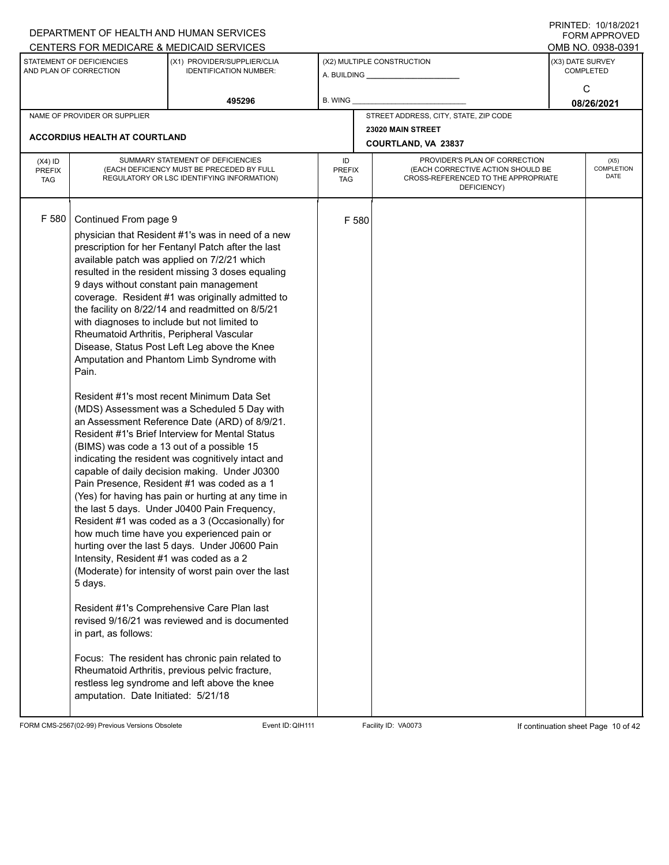|                                          |                                                                                                                                                                                                                                                                                                                                          | DEPARTMENT OF HEALTH AND HUMAN SERVICES<br>CENTERS FOR MEDICARE & MEDICAID SERVICES                                                                                                                                                                                                                                                                                                                                                                                                                                                                                                                                                                                                                                                                                                                                                                                                                                                                                                                                                                                                                                                                                                                                                                                                                                                              |                                   |       |                                                                                                                          |                       | FININILU. IVIIVIZVZI<br>FORM APPROVED<br>OMB NO. 0938-0391 |  |
|------------------------------------------|------------------------------------------------------------------------------------------------------------------------------------------------------------------------------------------------------------------------------------------------------------------------------------------------------------------------------------------|--------------------------------------------------------------------------------------------------------------------------------------------------------------------------------------------------------------------------------------------------------------------------------------------------------------------------------------------------------------------------------------------------------------------------------------------------------------------------------------------------------------------------------------------------------------------------------------------------------------------------------------------------------------------------------------------------------------------------------------------------------------------------------------------------------------------------------------------------------------------------------------------------------------------------------------------------------------------------------------------------------------------------------------------------------------------------------------------------------------------------------------------------------------------------------------------------------------------------------------------------------------------------------------------------------------------------------------------------|-----------------------------------|-------|--------------------------------------------------------------------------------------------------------------------------|-----------------------|------------------------------------------------------------|--|
|                                          | STATEMENT OF DEFICIENCIES<br>AND PLAN OF CORRECTION                                                                                                                                                                                                                                                                                      | (X1) PROVIDER/SUPPLIER/CLIA<br><b>IDENTIFICATION NUMBER:</b>                                                                                                                                                                                                                                                                                                                                                                                                                                                                                                                                                                                                                                                                                                                                                                                                                                                                                                                                                                                                                                                                                                                                                                                                                                                                                     |                                   |       | (X2) MULTIPLE CONSTRUCTION                                                                                               |                       | <b>COMPLETED</b>                                           |  |
|                                          |                                                                                                                                                                                                                                                                                                                                          | 495296                                                                                                                                                                                                                                                                                                                                                                                                                                                                                                                                                                                                                                                                                                                                                                                                                                                                                                                                                                                                                                                                                                                                                                                                                                                                                                                                           | B. WING                           |       |                                                                                                                          | (X3) DATE SURVEY<br>C | 08/26/2021                                                 |  |
|                                          | NAME OF PROVIDER OR SUPPLIER                                                                                                                                                                                                                                                                                                             |                                                                                                                                                                                                                                                                                                                                                                                                                                                                                                                                                                                                                                                                                                                                                                                                                                                                                                                                                                                                                                                                                                                                                                                                                                                                                                                                                  |                                   |       | STREET ADDRESS, CITY, STATE, ZIP CODE                                                                                    |                       |                                                            |  |
|                                          | <b>ACCORDIUS HEALTH AT COURTLAND</b>                                                                                                                                                                                                                                                                                                     |                                                                                                                                                                                                                                                                                                                                                                                                                                                                                                                                                                                                                                                                                                                                                                                                                                                                                                                                                                                                                                                                                                                                                                                                                                                                                                                                                  |                                   |       | 23020 MAIN STREET<br><b>COURTLAND, VA 23837</b>                                                                          |                       |                                                            |  |
| $(X4)$ ID<br><b>PREFIX</b><br><b>TAG</b> |                                                                                                                                                                                                                                                                                                                                          | SUMMARY STATEMENT OF DEFICIENCIES<br>(EACH DEFICIENCY MUST BE PRECEDED BY FULL<br>REGULATORY OR LSC IDENTIFYING INFORMATION)                                                                                                                                                                                                                                                                                                                                                                                                                                                                                                                                                                                                                                                                                                                                                                                                                                                                                                                                                                                                                                                                                                                                                                                                                     | ID<br><b>PREFIX</b><br><b>TAG</b> |       | PROVIDER'S PLAN OF CORRECTION<br>(EACH CORRECTIVE ACTION SHOULD BE<br>CROSS-REFERENCED TO THE APPROPRIATE<br>DEFICIENCY) |                       | (X5)<br><b>COMPLETION</b><br>DATE                          |  |
| F 580                                    | Continued From page 9<br>9 days without constant pain management<br>with diagnoses to include but not limited to<br>Rheumatoid Arthritis, Peripheral Vascular<br>Pain.<br>(BIMS) was code a 13 out of a possible 15<br>Intensity, Resident #1 was coded as a 2<br>5 days.<br>in part, as follows:<br>amputation. Date Initiated: 5/21/18 | physician that Resident #1's was in need of a new<br>prescription for her Fentanyl Patch after the last<br>available patch was applied on 7/2/21 which<br>resulted in the resident missing 3 doses equaling<br>coverage. Resident #1 was originally admitted to<br>the facility on 8/22/14 and readmitted on 8/5/21<br>Disease, Status Post Left Leg above the Knee<br>Amputation and Phantom Limb Syndrome with<br>Resident #1's most recent Minimum Data Set<br>(MDS) Assessment was a Scheduled 5 Day with<br>an Assessment Reference Date (ARD) of 8/9/21.<br>Resident #1's Brief Interview for Mental Status<br>indicating the resident was cognitively intact and<br>capable of daily decision making. Under J0300<br>Pain Presence, Resident #1 was coded as a 1<br>(Yes) for having has pain or hurting at any time in<br>the last 5 days. Under J0400 Pain Frequency,<br>Resident #1 was coded as a 3 (Occasionally) for<br>how much time have you experienced pain or<br>hurting over the last 5 days. Under J0600 Pain<br>(Moderate) for intensity of worst pain over the last<br>Resident #1's Comprehensive Care Plan last<br>revised 9/16/21 was reviewed and is documented<br>Focus: The resident has chronic pain related to<br>Rheumatoid Arthritis, previous pelvic fracture,<br>restless leg syndrome and left above the knee |                                   | F 580 |                                                                                                                          |                       |                                                            |  |

FORM CMS-2567(02-99) Previous Versions Obsolete Event ID:QIH111 Facility ID: VA0073 If continuation sheet Page 10 of 42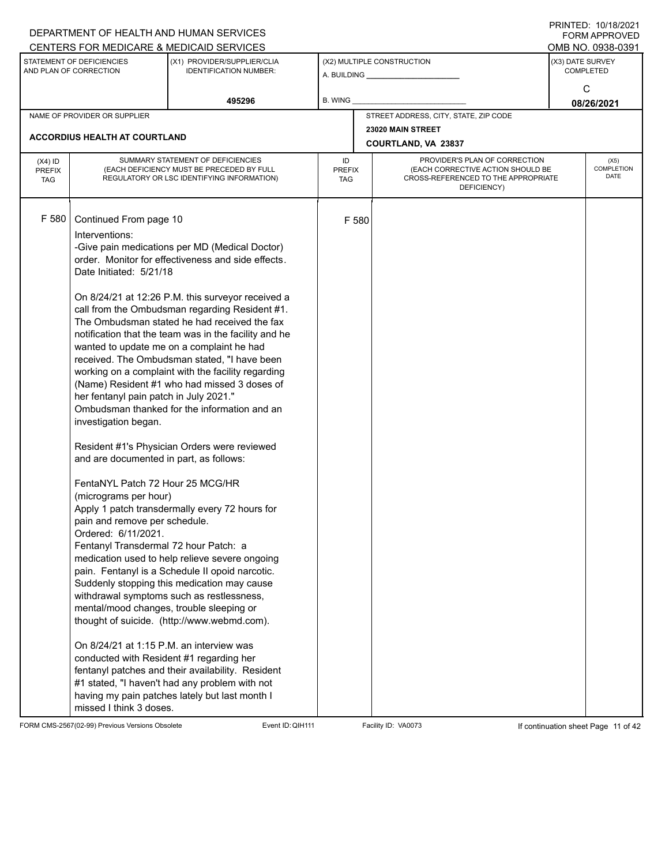|                                          |                                                                                                                                                                                                                                                                                                                                                                                                                                                                                                               | DEPARTMENT OF HEALTH AND HUMAN SERVICES<br>CENTERS FOR MEDICARE & MEDICAID SERVICES                                                                                                                                                                                                                                                                                                                                                                                                                                                                                                                                                                                                                                                                                                                                                                                                                                                                                                                                                                                                |                                   |       |                                                                                                                          |                  | FININTLU. TV/TO/ZVZT<br><b>FORM APPROVED</b><br>OMB NO. 0938-0391 |  |
|------------------------------------------|---------------------------------------------------------------------------------------------------------------------------------------------------------------------------------------------------------------------------------------------------------------------------------------------------------------------------------------------------------------------------------------------------------------------------------------------------------------------------------------------------------------|------------------------------------------------------------------------------------------------------------------------------------------------------------------------------------------------------------------------------------------------------------------------------------------------------------------------------------------------------------------------------------------------------------------------------------------------------------------------------------------------------------------------------------------------------------------------------------------------------------------------------------------------------------------------------------------------------------------------------------------------------------------------------------------------------------------------------------------------------------------------------------------------------------------------------------------------------------------------------------------------------------------------------------------------------------------------------------|-----------------------------------|-------|--------------------------------------------------------------------------------------------------------------------------|------------------|-------------------------------------------------------------------|--|
|                                          | STATEMENT OF DEFICIENCIES<br>AND PLAN OF CORRECTION                                                                                                                                                                                                                                                                                                                                                                                                                                                           | (X1) PROVIDER/SUPPLIER/CLIA<br><b>IDENTIFICATION NUMBER:</b>                                                                                                                                                                                                                                                                                                                                                                                                                                                                                                                                                                                                                                                                                                                                                                                                                                                                                                                                                                                                                       |                                   |       | (X2) MULTIPLE CONSTRUCTION                                                                                               | (X3) DATE SURVEY | <b>COMPLETED</b><br>C                                             |  |
|                                          |                                                                                                                                                                                                                                                                                                                                                                                                                                                                                                               | 495296                                                                                                                                                                                                                                                                                                                                                                                                                                                                                                                                                                                                                                                                                                                                                                                                                                                                                                                                                                                                                                                                             | <b>B. WING</b>                    |       |                                                                                                                          |                  | 08/26/2021                                                        |  |
|                                          | NAME OF PROVIDER OR SUPPLIER                                                                                                                                                                                                                                                                                                                                                                                                                                                                                  |                                                                                                                                                                                                                                                                                                                                                                                                                                                                                                                                                                                                                                                                                                                                                                                                                                                                                                                                                                                                                                                                                    |                                   |       | STREET ADDRESS, CITY, STATE, ZIP CODE                                                                                    |                  |                                                                   |  |
|                                          | <b>ACCORDIUS HEALTH AT COURTLAND</b>                                                                                                                                                                                                                                                                                                                                                                                                                                                                          |                                                                                                                                                                                                                                                                                                                                                                                                                                                                                                                                                                                                                                                                                                                                                                                                                                                                                                                                                                                                                                                                                    |                                   |       | 23020 MAIN STREET<br>COURTLAND, VA 23837                                                                                 |                  |                                                                   |  |
| $(X4)$ ID<br><b>PREFIX</b><br><b>TAG</b> |                                                                                                                                                                                                                                                                                                                                                                                                                                                                                                               | SUMMARY STATEMENT OF DEFICIENCIES<br>(EACH DEFICIENCY MUST BE PRECEDED BY FULL<br>REGULATORY OR LSC IDENTIFYING INFORMATION)                                                                                                                                                                                                                                                                                                                                                                                                                                                                                                                                                                                                                                                                                                                                                                                                                                                                                                                                                       | ID<br><b>PREFIX</b><br><b>TAG</b> |       | PROVIDER'S PLAN OF CORRECTION<br>(EACH CORRECTIVE ACTION SHOULD BE<br>CROSS-REFERENCED TO THE APPROPRIATE<br>DEFICIENCY) |                  | (X5)<br>COMPLETION<br><b>DATE</b>                                 |  |
| F 580                                    | Continued From page 10<br>Interventions:<br>Date Initiated: 5/21/18<br>her fentanyl pain patch in July 2021."<br>investigation began.<br>and are documented in part, as follows:<br>FentaNYL Patch 72 Hour 25 MCG/HR<br>(micrograms per hour)<br>pain and remove per schedule.<br>Ordered: 6/11/2021.<br>Fentanyl Transdermal 72 hour Patch: a<br>mental/mood changes, trouble sleeping or<br>On 8/24/21 at 1:15 P.M. an interview was<br>conducted with Resident #1 regarding her<br>missed I think 3 doses. | -Give pain medications per MD (Medical Doctor)<br>order. Monitor for effectiveness and side effects.<br>On 8/24/21 at 12:26 P.M. this surveyor received a<br>call from the Ombudsman regarding Resident #1.<br>The Ombudsman stated he had received the fax<br>notification that the team was in the facility and he<br>wanted to update me on a complaint he had<br>received. The Ombudsman stated, "I have been<br>working on a complaint with the facility regarding<br>(Name) Resident #1 who had missed 3 doses of<br>Ombudsman thanked for the information and an<br>Resident #1's Physician Orders were reviewed<br>Apply 1 patch transdermally every 72 hours for<br>medication used to help relieve severe ongoing<br>pain. Fentanyl is a Schedule II opoid narcotic.<br>Suddenly stopping this medication may cause<br>withdrawal symptoms such as restlessness,<br>thought of suicide. (http://www.webmd.com).<br>fentanyl patches and their availability. Resident<br>#1 stated, "I haven't had any problem with not<br>having my pain patches lately but last month I |                                   | F 580 |                                                                                                                          |                  |                                                                   |  |

FORM CMS-2567(02-99) Previous Versions Obsolete Event ID:QIH111 Facility ID: VA0073 If continuation sheet Page 11 of 42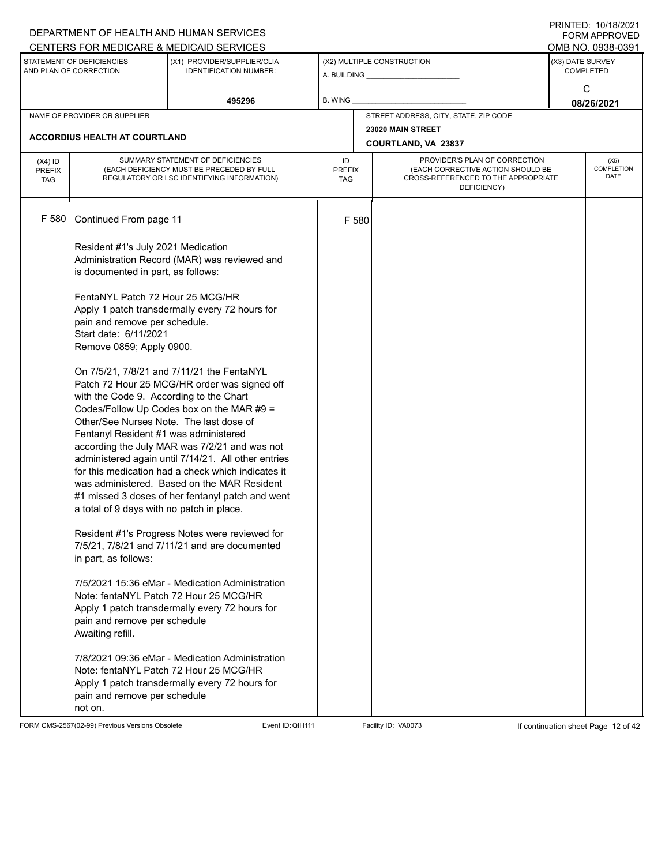|                                          |                                                                                                                                                                          | DEPARTMENT OF HEALTH AND HUMAN SERVICES                                                                                                                                                                                                                                                                                                                                                                  |                            |       |                                                                                                                          | I I \ II \ I L D . I U / I U / L U L I<br>FORM APPROVED |
|------------------------------------------|--------------------------------------------------------------------------------------------------------------------------------------------------------------------------|----------------------------------------------------------------------------------------------------------------------------------------------------------------------------------------------------------------------------------------------------------------------------------------------------------------------------------------------------------------------------------------------------------|----------------------------|-------|--------------------------------------------------------------------------------------------------------------------------|---------------------------------------------------------|
|                                          | STATEMENT OF DEFICIENCIES                                                                                                                                                | CENTERS FOR MEDICARE & MEDICAID SERVICES<br>(X1) PROVIDER/SUPPLIER/CLIA                                                                                                                                                                                                                                                                                                                                  |                            |       | (X2) MULTIPLE CONSTRUCTION                                                                                               | OMB NO. 0938-0391<br>(X3) DATE SURVEY                   |
|                                          | AND PLAN OF CORRECTION                                                                                                                                                   | <b>IDENTIFICATION NUMBER:</b>                                                                                                                                                                                                                                                                                                                                                                            |                            |       | A. BUILDING <b>A.</b> BUILDING                                                                                           | <b>COMPLETED</b>                                        |
|                                          |                                                                                                                                                                          | 495296                                                                                                                                                                                                                                                                                                                                                                                                   | B. WING                    |       |                                                                                                                          | C<br>08/26/2021                                         |
|                                          | NAME OF PROVIDER OR SUPPLIER                                                                                                                                             |                                                                                                                                                                                                                                                                                                                                                                                                          |                            |       | STREET ADDRESS, CITY, STATE, ZIP CODE                                                                                    |                                                         |
|                                          | ACCORDIUS HEALTH AT COURTLAND                                                                                                                                            |                                                                                                                                                                                                                                                                                                                                                                                                          |                            |       | 23020 MAIN STREET<br>COURTLAND, VA 23837                                                                                 |                                                         |
| $(X4)$ ID<br><b>PREFIX</b><br><b>TAG</b> |                                                                                                                                                                          | SUMMARY STATEMENT OF DEFICIENCIES<br>(EACH DEFICIENCY MUST BE PRECEDED BY FULL<br>REGULATORY OR LSC IDENTIFYING INFORMATION)                                                                                                                                                                                                                                                                             | ID<br><b>PREFIX</b><br>TAG |       | PROVIDER'S PLAN OF CORRECTION<br>(EACH CORRECTIVE ACTION SHOULD BE<br>CROSS-REFERENCED TO THE APPROPRIATE<br>DEFICIENCY) | (X5)<br><b>COMPLETION</b><br>DATE                       |
| F 580                                    | Continued From page 11                                                                                                                                                   |                                                                                                                                                                                                                                                                                                                                                                                                          |                            | F 580 |                                                                                                                          |                                                         |
|                                          | Resident #1's July 2021 Medication<br>is documented in part, as follows:                                                                                                 | Administration Record (MAR) was reviewed and                                                                                                                                                                                                                                                                                                                                                             |                            |       |                                                                                                                          |                                                         |
|                                          | FentaNYL Patch 72 Hour 25 MCG/HR<br>pain and remove per schedule.<br>Start date: 6/11/2021<br>Remove 0859; Apply 0900.                                                   | Apply 1 patch transdermally every 72 hours for                                                                                                                                                                                                                                                                                                                                                           |                            |       |                                                                                                                          |                                                         |
|                                          | with the Code 9. According to the Chart<br>Other/See Nurses Note. The last dose of<br>Fentanyl Resident #1 was administered<br>a total of 9 days with no patch in place. | On 7/5/21, 7/8/21 and 7/11/21 the FentaNYL<br>Patch 72 Hour 25 MCG/HR order was signed off<br>Codes/Follow Up Codes box on the MAR #9 =<br>according the July MAR was 7/2/21 and was not<br>administered again until 7/14/21. All other entries<br>for this medication had a check which indicates it<br>was administered. Based on the MAR Resident<br>#1 missed 3 doses of her fentanyl patch and went |                            |       |                                                                                                                          |                                                         |
|                                          | in part, as follows:                                                                                                                                                     | Resident #1's Progress Notes were reviewed for<br>7/5/21, 7/8/21 and 7/11/21 and are documented                                                                                                                                                                                                                                                                                                          |                            |       |                                                                                                                          |                                                         |
|                                          | pain and remove per schedule<br>Awaiting refill.                                                                                                                         | 7/5/2021 15:36 eMar - Medication Administration<br>Note: fentaNYL Patch 72 Hour 25 MCG/HR<br>Apply 1 patch transdermally every 72 hours for                                                                                                                                                                                                                                                              |                            |       |                                                                                                                          |                                                         |
|                                          | pain and remove per schedule<br>not on.                                                                                                                                  | 7/8/2021 09:36 eMar - Medication Administration<br>Note: fentaNYL Patch 72 Hour 25 MCG/HR<br>Apply 1 patch transdermally every 72 hours for                                                                                                                                                                                                                                                              |                            |       |                                                                                                                          |                                                         |

FORM CMS-2567(02-99) Previous Versions Obsolete Event ID:QIH111 Facility ID: VA0073 If continuation sheet Page 12 of 42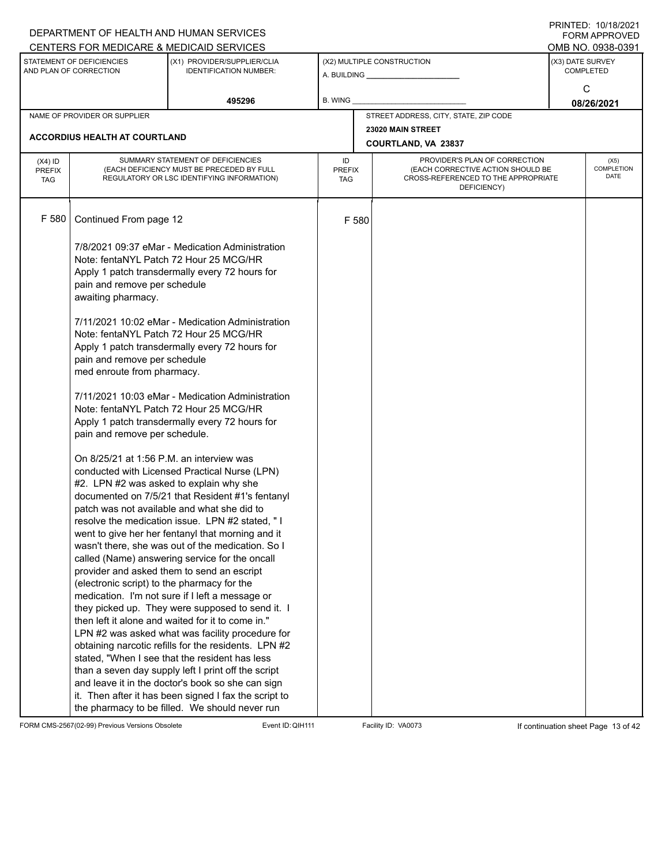|                                          |                                                                                                                                    | DEPARTMENT OF HEALTH AND HUMAN SERVICES<br>CENTERS FOR MEDICARE & MEDICAID SERVICES                                                                                                                                                                                                                                                                                                                                                                                                                                                                                                                                                                                                                                                                                                                                                                                                                                                                            |                                   |                                                                                                                                        |                                       |                  | FININILU. IVIIVIZUZI<br><b>FORM APPROVED</b><br>OMB NO. 0938-0391 |  |
|------------------------------------------|------------------------------------------------------------------------------------------------------------------------------------|----------------------------------------------------------------------------------------------------------------------------------------------------------------------------------------------------------------------------------------------------------------------------------------------------------------------------------------------------------------------------------------------------------------------------------------------------------------------------------------------------------------------------------------------------------------------------------------------------------------------------------------------------------------------------------------------------------------------------------------------------------------------------------------------------------------------------------------------------------------------------------------------------------------------------------------------------------------|-----------------------------------|----------------------------------------------------------------------------------------------------------------------------------------|---------------------------------------|------------------|-------------------------------------------------------------------|--|
|                                          | STATEMENT OF DEFICIENCIES<br>AND PLAN OF CORRECTION                                                                                | (X1) PROVIDER/SUPPLIER/CLIA<br><b>IDENTIFICATION NUMBER:</b>                                                                                                                                                                                                                                                                                                                                                                                                                                                                                                                                                                                                                                                                                                                                                                                                                                                                                                   |                                   |                                                                                                                                        | (X2) MULTIPLE CONSTRUCTION            | (X3) DATE SURVEY | <b>COMPLETED</b>                                                  |  |
|                                          |                                                                                                                                    | 495296                                                                                                                                                                                                                                                                                                                                                                                                                                                                                                                                                                                                                                                                                                                                                                                                                                                                                                                                                         | B. WING                           |                                                                                                                                        |                                       |                  | C<br>08/26/2021                                                   |  |
|                                          | NAME OF PROVIDER OR SUPPLIER                                                                                                       |                                                                                                                                                                                                                                                                                                                                                                                                                                                                                                                                                                                                                                                                                                                                                                                                                                                                                                                                                                |                                   |                                                                                                                                        | STREET ADDRESS, CITY, STATE, ZIP CODE |                  |                                                                   |  |
|                                          |                                                                                                                                    |                                                                                                                                                                                                                                                                                                                                                                                                                                                                                                                                                                                                                                                                                                                                                                                                                                                                                                                                                                |                                   |                                                                                                                                        | 23020 MAIN STREET                     |                  |                                                                   |  |
|                                          | <b>ACCORDIUS HEALTH AT COURTLAND</b>                                                                                               |                                                                                                                                                                                                                                                                                                                                                                                                                                                                                                                                                                                                                                                                                                                                                                                                                                                                                                                                                                |                                   |                                                                                                                                        | COURTLAND, VA 23837                   |                  |                                                                   |  |
| $(X4)$ ID<br><b>PREFIX</b><br><b>TAG</b> |                                                                                                                                    | SUMMARY STATEMENT OF DEFICIENCIES<br>(EACH DEFICIENCY MUST BE PRECEDED BY FULL<br>REGULATORY OR LSC IDENTIFYING INFORMATION)                                                                                                                                                                                                                                                                                                                                                                                                                                                                                                                                                                                                                                                                                                                                                                                                                                   | ID<br><b>PREFIX</b><br><b>TAG</b> | PROVIDER'S PLAN OF CORRECTION<br>COMPLETION<br>(EACH CORRECTIVE ACTION SHOULD BE<br>CROSS-REFERENCED TO THE APPROPRIATE<br>DEFICIENCY) |                                       |                  |                                                                   |  |
| F 580                                    | Continued From page 12                                                                                                             |                                                                                                                                                                                                                                                                                                                                                                                                                                                                                                                                                                                                                                                                                                                                                                                                                                                                                                                                                                |                                   | F 580                                                                                                                                  |                                       |                  |                                                                   |  |
|                                          | pain and remove per schedule<br>awaiting pharmacy.                                                                                 | 7/8/2021 09:37 eMar - Medication Administration<br>Note: fentaNYL Patch 72 Hour 25 MCG/HR<br>Apply 1 patch transdermally every 72 hours for                                                                                                                                                                                                                                                                                                                                                                                                                                                                                                                                                                                                                                                                                                                                                                                                                    |                                   |                                                                                                                                        |                                       |                  |                                                                   |  |
|                                          | pain and remove per schedule<br>med enroute from pharmacy.                                                                         | 7/11/2021 10:02 eMar - Medication Administration<br>Note: fentaNYL Patch 72 Hour 25 MCG/HR<br>Apply 1 patch transdermally every 72 hours for                                                                                                                                                                                                                                                                                                                                                                                                                                                                                                                                                                                                                                                                                                                                                                                                                   |                                   |                                                                                                                                        |                                       |                  |                                                                   |  |
|                                          | pain and remove per schedule.                                                                                                      | 7/11/2021 10:03 eMar - Medication Administration<br>Note: fentaNYL Patch 72 Hour 25 MCG/HR<br>Apply 1 patch transdermally every 72 hours for                                                                                                                                                                                                                                                                                                                                                                                                                                                                                                                                                                                                                                                                                                                                                                                                                   |                                   |                                                                                                                                        |                                       |                  |                                                                   |  |
|                                          | On 8/25/21 at 1:56 P.M. an interview was<br>#2. LPN #2 was asked to explain why she<br>(electronic script) to the pharmacy for the | conducted with Licensed Practical Nurse (LPN)<br>documented on 7/5/21 that Resident #1's fentanyl<br>patch was not available and what she did to<br>resolve the medication issue. LPN #2 stated, "I<br>went to give her her fentanyl that morning and it<br>wasn't there, she was out of the medication. So I<br>called (Name) answering service for the oncall<br>provider and asked them to send an escript<br>medication. I'm not sure if I left a message or<br>they picked up. They were supposed to send it. I<br>then left it alone and waited for it to come in."<br>LPN #2 was asked what was facility procedure for<br>obtaining narcotic refills for the residents. LPN #2<br>stated, "When I see that the resident has less<br>than a seven day supply left I print off the script<br>and leave it in the doctor's book so she can sign<br>it. Then after it has been signed I fax the script to<br>the pharmacy to be filled. We should never run |                                   |                                                                                                                                        |                                       |                  |                                                                   |  |

FORM CMS-2567(02-99) Previous Versions Obsolete Event ID:QIH111 Facility ID: VA0073 If continuation sheet Page 13 of 42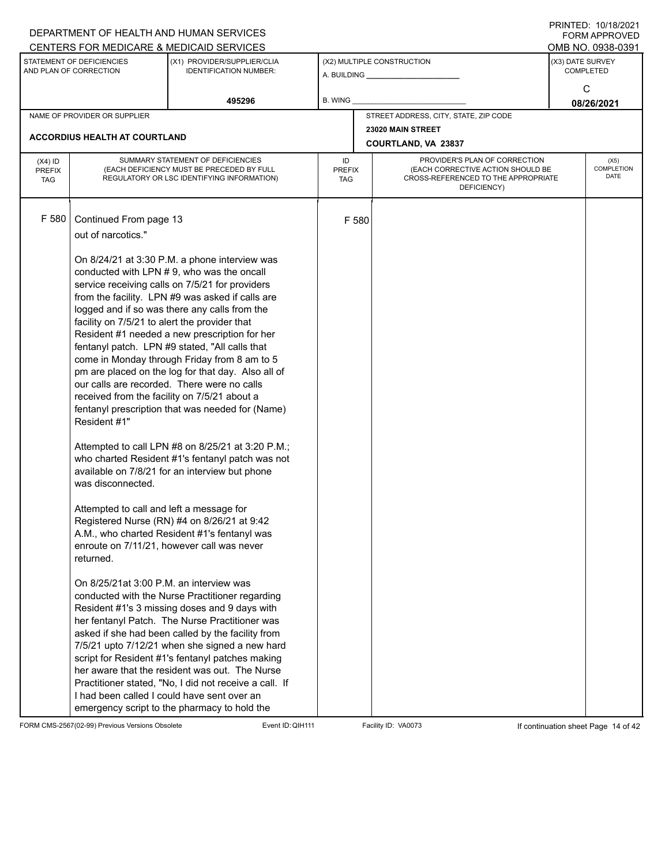|                                          |                                                                                                                                                                                                                                                                                        | DEPARTMENT OF HEALTH AND HUMAN SERVICES<br>CENTERS FOR MEDICARE & MEDICAID SERVICES                                                                                                                                                                                                                                                                                                                                                                                                                                                                                                                                                                                                                                                                                                                                                                                                                                                                                                                                                                                                                                                                                                                                                                                                                                                                |                            |       |                                                                                                                          |  | FININILU. IVIIVIZUZI<br><b>FORM APPROVED</b><br>OMB NO. 0938-0391 |  |  |
|------------------------------------------|----------------------------------------------------------------------------------------------------------------------------------------------------------------------------------------------------------------------------------------------------------------------------------------|----------------------------------------------------------------------------------------------------------------------------------------------------------------------------------------------------------------------------------------------------------------------------------------------------------------------------------------------------------------------------------------------------------------------------------------------------------------------------------------------------------------------------------------------------------------------------------------------------------------------------------------------------------------------------------------------------------------------------------------------------------------------------------------------------------------------------------------------------------------------------------------------------------------------------------------------------------------------------------------------------------------------------------------------------------------------------------------------------------------------------------------------------------------------------------------------------------------------------------------------------------------------------------------------------------------------------------------------------|----------------------------|-------|--------------------------------------------------------------------------------------------------------------------------|--|-------------------------------------------------------------------|--|--|
|                                          | STATEMENT OF DEFICIENCIES<br>AND PLAN OF CORRECTION                                                                                                                                                                                                                                    | (X1) PROVIDER/SUPPLIER/CLIA<br><b>IDENTIFICATION NUMBER:</b>                                                                                                                                                                                                                                                                                                                                                                                                                                                                                                                                                                                                                                                                                                                                                                                                                                                                                                                                                                                                                                                                                                                                                                                                                                                                                       |                            |       | (X2) MULTIPLE CONSTRUCTION                                                                                               |  | (X3) DATE SURVEY<br><b>COMPLETED</b><br>C                         |  |  |
|                                          |                                                                                                                                                                                                                                                                                        | 495296                                                                                                                                                                                                                                                                                                                                                                                                                                                                                                                                                                                                                                                                                                                                                                                                                                                                                                                                                                                                                                                                                                                                                                                                                                                                                                                                             | <b>B. WING</b>             |       |                                                                                                                          |  | 08/26/2021                                                        |  |  |
|                                          | NAME OF PROVIDER OR SUPPLIER                                                                                                                                                                                                                                                           |                                                                                                                                                                                                                                                                                                                                                                                                                                                                                                                                                                                                                                                                                                                                                                                                                                                                                                                                                                                                                                                                                                                                                                                                                                                                                                                                                    |                            |       | STREET ADDRESS, CITY, STATE, ZIP CODE                                                                                    |  |                                                                   |  |  |
|                                          | <b>ACCORDIUS HEALTH AT COURTLAND</b>                                                                                                                                                                                                                                                   |                                                                                                                                                                                                                                                                                                                                                                                                                                                                                                                                                                                                                                                                                                                                                                                                                                                                                                                                                                                                                                                                                                                                                                                                                                                                                                                                                    |                            |       | 23020 MAIN STREET<br>COURTLAND, VA 23837                                                                                 |  |                                                                   |  |  |
| $(X4)$ ID<br><b>PREFIX</b><br><b>TAG</b> |                                                                                                                                                                                                                                                                                        | SUMMARY STATEMENT OF DEFICIENCIES<br>(EACH DEFICIENCY MUST BE PRECEDED BY FULL<br>REGULATORY OR LSC IDENTIFYING INFORMATION)                                                                                                                                                                                                                                                                                                                                                                                                                                                                                                                                                                                                                                                                                                                                                                                                                                                                                                                                                                                                                                                                                                                                                                                                                       | ID<br><b>PREFIX</b><br>TAG |       | PROVIDER'S PLAN OF CORRECTION<br>(EACH CORRECTIVE ACTION SHOULD BE<br>CROSS-REFERENCED TO THE APPROPRIATE<br>DEFICIENCY) |  | (X5)<br>COMPLETION<br><b>DATE</b>                                 |  |  |
| F 580                                    | Continued From page 13<br>out of narcotics."<br>facility on 7/5/21 to alert the provider that<br>received from the facility on 7/5/21 about a<br>Resident #1"<br>was disconnected.<br>Attempted to call and left a message for<br>returned.<br>On 8/25/21at 3:00 P.M. an interview was | On 8/24/21 at 3:30 P.M. a phone interview was<br>conducted with LPN #9, who was the oncall<br>service receiving calls on 7/5/21 for providers<br>from the facility. LPN #9 was asked if calls are<br>logged and if so was there any calls from the<br>Resident #1 needed a new prescription for her<br>fentanyl patch. LPN #9 stated, "All calls that<br>come in Monday through Friday from 8 am to 5<br>pm are placed on the log for that day. Also all of<br>our calls are recorded. There were no calls<br>fentanyl prescription that was needed for (Name)<br>Attempted to call LPN #8 on 8/25/21 at 3:20 P.M.;<br>who charted Resident #1's fentanyl patch was not<br>available on 7/8/21 for an interview but phone<br>Registered Nurse (RN) #4 on 8/26/21 at 9:42<br>A.M., who charted Resident #1's fentanyl was<br>enroute on 7/11/21, however call was never<br>conducted with the Nurse Practitioner regarding<br>Resident #1's 3 missing doses and 9 days with<br>her fentanyl Patch. The Nurse Practitioner was<br>asked if she had been called by the facility from<br>7/5/21 upto 7/12/21 when she signed a new hard<br>script for Resident #1's fentanyl patches making<br>her aware that the resident was out. The Nurse<br>Practitioner stated, "No, I did not receive a call. If<br>I had been called I could have sent over an |                            | F 580 |                                                                                                                          |  |                                                                   |  |  |
|                                          |                                                                                                                                                                                                                                                                                        | emergency script to the pharmacy to hold the                                                                                                                                                                                                                                                                                                                                                                                                                                                                                                                                                                                                                                                                                                                                                                                                                                                                                                                                                                                                                                                                                                                                                                                                                                                                                                       |                            |       |                                                                                                                          |  |                                                                   |  |  |

FORM CMS-2567(02-99) Previous Versions Obsolete Event ID: QIH111 Facility ID: VA0073 If continuation sheet Page 14 of 42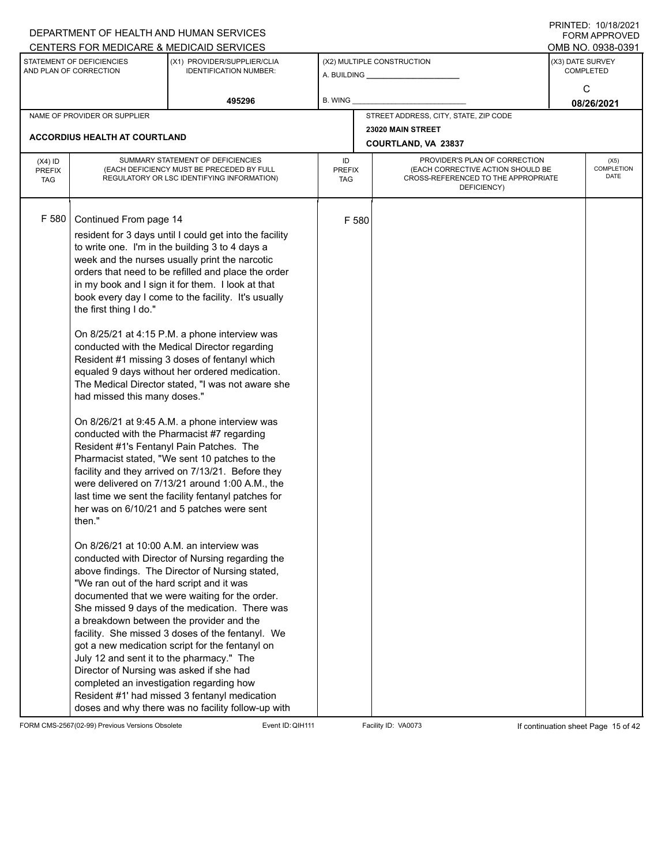|                                          |                                                                                                                                                                                                                                                                                                                                                                       | DEPARTMENT OF HEALTH AND HUMAN SERVICES<br>CENTERS FOR MEDICARE & MEDICAID SERVICES                                                                                                                                                                                                                                                                                                                                                                                                                                                                                                                                                                                                                                                                                                                                                                                                                                                                                                                                                                                                                                                                                                                                                                                                                                                                                                                                         |                                   |                                       |                                                                                                                          |  | FININILD. IVIIVIZVZI<br><b>FORM APPROVED</b><br>OMB NO. 0938-0391 |
|------------------------------------------|-----------------------------------------------------------------------------------------------------------------------------------------------------------------------------------------------------------------------------------------------------------------------------------------------------------------------------------------------------------------------|-----------------------------------------------------------------------------------------------------------------------------------------------------------------------------------------------------------------------------------------------------------------------------------------------------------------------------------------------------------------------------------------------------------------------------------------------------------------------------------------------------------------------------------------------------------------------------------------------------------------------------------------------------------------------------------------------------------------------------------------------------------------------------------------------------------------------------------------------------------------------------------------------------------------------------------------------------------------------------------------------------------------------------------------------------------------------------------------------------------------------------------------------------------------------------------------------------------------------------------------------------------------------------------------------------------------------------------------------------------------------------------------------------------------------------|-----------------------------------|---------------------------------------|--------------------------------------------------------------------------------------------------------------------------|--|-------------------------------------------------------------------|
|                                          | STATEMENT OF DEFICIENCIES<br>AND PLAN OF CORRECTION                                                                                                                                                                                                                                                                                                                   | (X1) PROVIDER/SUPPLIER/CLIA<br><b>IDENTIFICATION NUMBER:</b>                                                                                                                                                                                                                                                                                                                                                                                                                                                                                                                                                                                                                                                                                                                                                                                                                                                                                                                                                                                                                                                                                                                                                                                                                                                                                                                                                                |                                   |                                       | (X2) MULTIPLE CONSTRUCTION                                                                                               |  | (X3) DATE SURVEY<br><b>COMPLETED</b>                              |
|                                          |                                                                                                                                                                                                                                                                                                                                                                       | 495296                                                                                                                                                                                                                                                                                                                                                                                                                                                                                                                                                                                                                                                                                                                                                                                                                                                                                                                                                                                                                                                                                                                                                                                                                                                                                                                                                                                                                      | B. WING                           |                                       |                                                                                                                          |  | C<br>08/26/2021                                                   |
|                                          | NAME OF PROVIDER OR SUPPLIER                                                                                                                                                                                                                                                                                                                                          |                                                                                                                                                                                                                                                                                                                                                                                                                                                                                                                                                                                                                                                                                                                                                                                                                                                                                                                                                                                                                                                                                                                                                                                                                                                                                                                                                                                                                             |                                   | STREET ADDRESS, CITY, STATE, ZIP CODE |                                                                                                                          |  |                                                                   |
|                                          | <b>ACCORDIUS HEALTH AT COURTLAND</b>                                                                                                                                                                                                                                                                                                                                  |                                                                                                                                                                                                                                                                                                                                                                                                                                                                                                                                                                                                                                                                                                                                                                                                                                                                                                                                                                                                                                                                                                                                                                                                                                                                                                                                                                                                                             |                                   |                                       | 23020 MAIN STREET<br>COURTLAND, VA 23837                                                                                 |  |                                                                   |
| $(X4)$ ID<br><b>PREFIX</b><br><b>TAG</b> |                                                                                                                                                                                                                                                                                                                                                                       | SUMMARY STATEMENT OF DEFICIENCIES<br>(EACH DEFICIENCY MUST BE PRECEDED BY FULL<br>REGULATORY OR LSC IDENTIFYING INFORMATION)                                                                                                                                                                                                                                                                                                                                                                                                                                                                                                                                                                                                                                                                                                                                                                                                                                                                                                                                                                                                                                                                                                                                                                                                                                                                                                | ID<br><b>PREFIX</b><br><b>TAG</b> |                                       | PROVIDER'S PLAN OF CORRECTION<br>(EACH CORRECTIVE ACTION SHOULD BE<br>CROSS-REFERENCED TO THE APPROPRIATE<br>DEFICIENCY) |  | (X5)<br><b>COMPLETION</b><br><b>DATE</b>                          |
| F 580                                    | Continued From page 14<br>the first thing I do."<br>had missed this many doses."<br>Resident #1's Fentanyl Pain Patches. The<br>then."<br>On 8/26/21 at 10:00 A.M. an interview was<br>"We ran out of the hard script and it was<br>July 12 and sent it to the pharmacy." The<br>Director of Nursing was asked if she had<br>completed an investigation regarding how | resident for 3 days until I could get into the facility<br>to write one. I'm in the building 3 to 4 days a<br>week and the nurses usually print the narcotic<br>orders that need to be refilled and place the order<br>in my book and I sign it for them. I look at that<br>book every day I come to the facility. It's usually<br>On 8/25/21 at 4:15 P.M. a phone interview was<br>conducted with the Medical Director regarding<br>Resident #1 missing 3 doses of fentanyl which<br>equaled 9 days without her ordered medication.<br>The Medical Director stated, "I was not aware she<br>On 8/26/21 at 9:45 A.M. a phone interview was<br>conducted with the Pharmacist #7 regarding<br>Pharmacist stated, "We sent 10 patches to the<br>facility and they arrived on 7/13/21. Before they<br>were delivered on 7/13/21 around 1:00 A.M., the<br>last time we sent the facility fentanyl patches for<br>her was on 6/10/21 and 5 patches were sent<br>conducted with Director of Nursing regarding the<br>above findings. The Director of Nursing stated,<br>documented that we were waiting for the order.<br>She missed 9 days of the medication. There was<br>a breakdown between the provider and the<br>facility. She missed 3 doses of the fentanyl. We<br>got a new medication script for the fentanyl on<br>Resident #1' had missed 3 fentanyl medication<br>doses and why there was no facility follow-up with |                                   | F 580                                 |                                                                                                                          |  |                                                                   |

FORM CMS-2567(02-99) Previous Versions Obsolete Event ID:QIH111 Facility ID: VA0073 If continuation sheet Page 15 of 42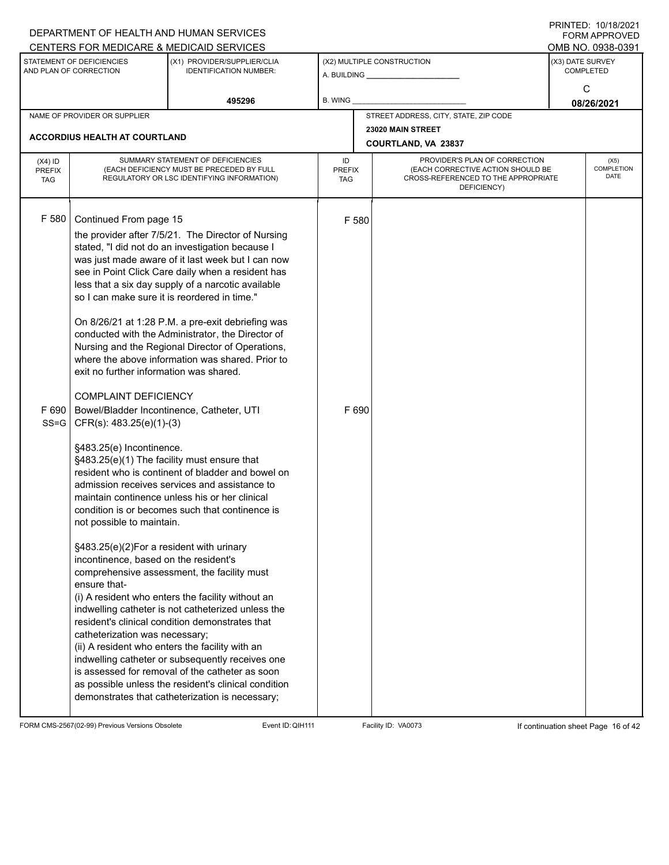|                                          |                                                                                                                                                                                                                                                                                                                                                                                                                                                                                    | DEPARTMENT OF HEALTH AND HUMAN SERVICES<br>CENTERS FOR MEDICARE & MEDICAID SERVICES                                                                                                                                                                                                                                                                                                                                                                                                                                                                                                                                                                                                                                                                                                                                                                                                                                                                                                                                                                                                                                                                                                   |                                   |                |                                                                                                                          |                  | FININILU. IVIIVIZVZI<br><b>FORM APPROVED</b><br>OMB NO. 0938-0391 |
|------------------------------------------|------------------------------------------------------------------------------------------------------------------------------------------------------------------------------------------------------------------------------------------------------------------------------------------------------------------------------------------------------------------------------------------------------------------------------------------------------------------------------------|---------------------------------------------------------------------------------------------------------------------------------------------------------------------------------------------------------------------------------------------------------------------------------------------------------------------------------------------------------------------------------------------------------------------------------------------------------------------------------------------------------------------------------------------------------------------------------------------------------------------------------------------------------------------------------------------------------------------------------------------------------------------------------------------------------------------------------------------------------------------------------------------------------------------------------------------------------------------------------------------------------------------------------------------------------------------------------------------------------------------------------------------------------------------------------------|-----------------------------------|----------------|--------------------------------------------------------------------------------------------------------------------------|------------------|-------------------------------------------------------------------|
|                                          | STATEMENT OF DEFICIENCIES<br>AND PLAN OF CORRECTION                                                                                                                                                                                                                                                                                                                                                                                                                                | (X1) PROVIDER/SUPPLIER/CLIA<br><b>IDENTIFICATION NUMBER:</b>                                                                                                                                                                                                                                                                                                                                                                                                                                                                                                                                                                                                                                                                                                                                                                                                                                                                                                                                                                                                                                                                                                                          |                                   |                | (X2) MULTIPLE CONSTRUCTION<br>A. BUILDING A. BUILDING                                                                    | (X3) DATE SURVEY | <b>COMPLETED</b><br>C                                             |
|                                          |                                                                                                                                                                                                                                                                                                                                                                                                                                                                                    | 495296                                                                                                                                                                                                                                                                                                                                                                                                                                                                                                                                                                                                                                                                                                                                                                                                                                                                                                                                                                                                                                                                                                                                                                                | <b>B. WING</b>                    |                |                                                                                                                          |                  | 08/26/2021                                                        |
|                                          | NAME OF PROVIDER OR SUPPLIER                                                                                                                                                                                                                                                                                                                                                                                                                                                       |                                                                                                                                                                                                                                                                                                                                                                                                                                                                                                                                                                                                                                                                                                                                                                                                                                                                                                                                                                                                                                                                                                                                                                                       |                                   |                | STREET ADDRESS, CITY, STATE, ZIP CODE                                                                                    |                  |                                                                   |
|                                          | <b>ACCORDIUS HEALTH AT COURTLAND</b>                                                                                                                                                                                                                                                                                                                                                                                                                                               |                                                                                                                                                                                                                                                                                                                                                                                                                                                                                                                                                                                                                                                                                                                                                                                                                                                                                                                                                                                                                                                                                                                                                                                       |                                   |                | 23020 MAIN STREET<br>COURTLAND, VA 23837                                                                                 |                  |                                                                   |
| $(X4)$ ID<br><b>PREFIX</b><br><b>TAG</b> |                                                                                                                                                                                                                                                                                                                                                                                                                                                                                    | SUMMARY STATEMENT OF DEFICIENCIES<br>(EACH DEFICIENCY MUST BE PRECEDED BY FULL<br>REGULATORY OR LSC IDENTIFYING INFORMATION)                                                                                                                                                                                                                                                                                                                                                                                                                                                                                                                                                                                                                                                                                                                                                                                                                                                                                                                                                                                                                                                          | ID<br><b>PREFIX</b><br><b>TAG</b> |                | PROVIDER'S PLAN OF CORRECTION<br>(EACH CORRECTIVE ACTION SHOULD BE<br>CROSS-REFERENCED TO THE APPROPRIATE<br>DEFICIENCY) |                  | (X5)<br>COMPLETION<br><b>DATE</b>                                 |
| F 580<br>$SS = G$                        | Continued From page 15<br>so I can make sure it is reordered in time."<br>exit no further information was shared.<br><b>COMPLAINT DEFICIENCY</b><br>F 690   Bowel/Bladder Incontinence, Catheter, UTI<br>$CFR(s): 483.25(e)(1)-(3)$<br>§483.25(e) Incontinence.<br>§483.25(e)(1) The facility must ensure that<br>not possible to maintain.<br>§483.25(e)(2)For a resident with urinary<br>incontinence, based on the resident's<br>ensure that-<br>catheterization was necessary; | the provider after 7/5/21. The Director of Nursing<br>stated, "I did not do an investigation because I<br>was just made aware of it last week but I can now<br>see in Point Click Care daily when a resident has<br>less that a six day supply of a narcotic available<br>On 8/26/21 at 1:28 P.M. a pre-exit debriefing was<br>conducted with the Administrator, the Director of<br>Nursing and the Regional Director of Operations,<br>where the above information was shared. Prior to<br>resident who is continent of bladder and bowel on<br>admission receives services and assistance to<br>maintain continence unless his or her clinical<br>condition is or becomes such that continence is<br>comprehensive assessment, the facility must<br>(i) A resident who enters the facility without an<br>indwelling catheter is not catheterized unless the<br>resident's clinical condition demonstrates that<br>(ii) A resident who enters the facility with an<br>indwelling catheter or subsequently receives one<br>is assessed for removal of the catheter as soon<br>as possible unless the resident's clinical condition<br>demonstrates that catheterization is necessary; |                                   | F 580<br>F 690 |                                                                                                                          |                  |                                                                   |
|                                          |                                                                                                                                                                                                                                                                                                                                                                                                                                                                                    |                                                                                                                                                                                                                                                                                                                                                                                                                                                                                                                                                                                                                                                                                                                                                                                                                                                                                                                                                                                                                                                                                                                                                                                       |                                   |                |                                                                                                                          |                  |                                                                   |

FORM CMS-2567(02-99) Previous Versions Obsolete Event ID:QIH111 Facility ID: VA0073 If continuation sheet Page 16 of 42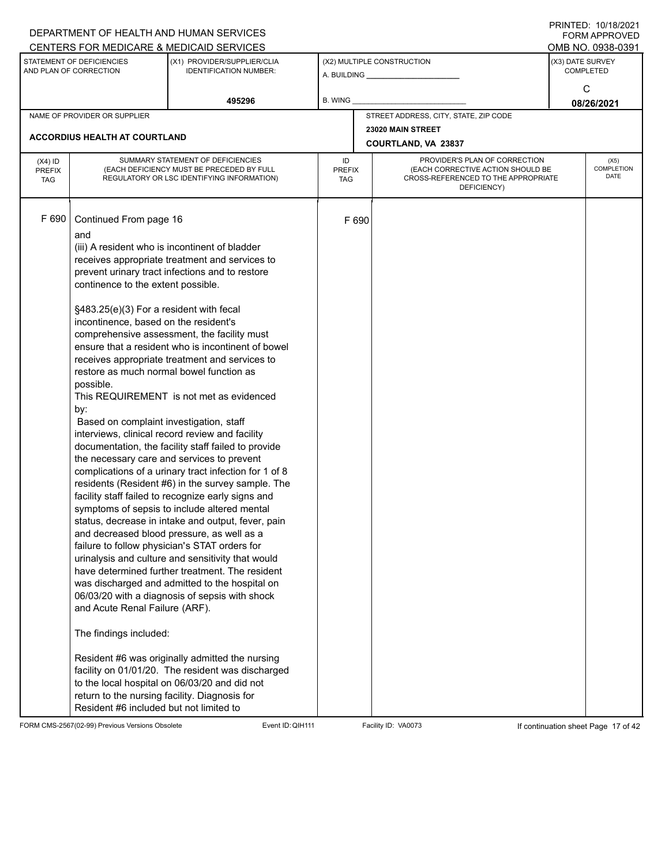|                                          |                                                                                                                                                                                                                                                                                                                                                                                                                            | DEPARTMENT OF HEALTH AND HUMAN SERVICES<br>CENTERS FOR MEDICARE & MEDICAID SERVICES                                                                                                                                                                                                                                                                                                                                                                                                                                                                                                                                                                                                                                                                                                                                                                                                                                                                                                                                                                                                                                                                                                                                                                          |                                   |       |                                                                                                                          |                  | FININTLU. TV/TO/ZVZT<br>FORM APPROVED<br>OMB NO. 0938-0391 |  |  |
|------------------------------------------|----------------------------------------------------------------------------------------------------------------------------------------------------------------------------------------------------------------------------------------------------------------------------------------------------------------------------------------------------------------------------------------------------------------------------|--------------------------------------------------------------------------------------------------------------------------------------------------------------------------------------------------------------------------------------------------------------------------------------------------------------------------------------------------------------------------------------------------------------------------------------------------------------------------------------------------------------------------------------------------------------------------------------------------------------------------------------------------------------------------------------------------------------------------------------------------------------------------------------------------------------------------------------------------------------------------------------------------------------------------------------------------------------------------------------------------------------------------------------------------------------------------------------------------------------------------------------------------------------------------------------------------------------------------------------------------------------|-----------------------------------|-------|--------------------------------------------------------------------------------------------------------------------------|------------------|------------------------------------------------------------|--|--|
|                                          | STATEMENT OF DEFICIENCIES<br>AND PLAN OF CORRECTION                                                                                                                                                                                                                                                                                                                                                                        | (X1) PROVIDER/SUPPLIER/CLIA<br><b>IDENTIFICATION NUMBER:</b>                                                                                                                                                                                                                                                                                                                                                                                                                                                                                                                                                                                                                                                                                                                                                                                                                                                                                                                                                                                                                                                                                                                                                                                                 |                                   |       | (X2) MULTIPLE CONSTRUCTION                                                                                               | (X3) DATE SURVEY | <b>COMPLETED</b>                                           |  |  |
|                                          |                                                                                                                                                                                                                                                                                                                                                                                                                            | 495296                                                                                                                                                                                                                                                                                                                                                                                                                                                                                                                                                                                                                                                                                                                                                                                                                                                                                                                                                                                                                                                                                                                                                                                                                                                       | <b>B. WING</b>                    |       |                                                                                                                          |                  | C<br>08/26/2021                                            |  |  |
|                                          | NAME OF PROVIDER OR SUPPLIER                                                                                                                                                                                                                                                                                                                                                                                               |                                                                                                                                                                                                                                                                                                                                                                                                                                                                                                                                                                                                                                                                                                                                                                                                                                                                                                                                                                                                                                                                                                                                                                                                                                                              |                                   |       | STREET ADDRESS, CITY, STATE, ZIP CODE                                                                                    |                  |                                                            |  |  |
|                                          | <b>ACCORDIUS HEALTH AT COURTLAND</b>                                                                                                                                                                                                                                                                                                                                                                                       |                                                                                                                                                                                                                                                                                                                                                                                                                                                                                                                                                                                                                                                                                                                                                                                                                                                                                                                                                                                                                                                                                                                                                                                                                                                              |                                   |       | 23020 MAIN STREET<br>COURTLAND, VA 23837                                                                                 |                  |                                                            |  |  |
| $(X4)$ ID<br><b>PREFIX</b><br><b>TAG</b> |                                                                                                                                                                                                                                                                                                                                                                                                                            | SUMMARY STATEMENT OF DEFICIENCIES<br>(EACH DEFICIENCY MUST BE PRECEDED BY FULL<br>REGULATORY OR LSC IDENTIFYING INFORMATION)                                                                                                                                                                                                                                                                                                                                                                                                                                                                                                                                                                                                                                                                                                                                                                                                                                                                                                                                                                                                                                                                                                                                 | ID<br><b>PREFIX</b><br><b>TAG</b> |       | PROVIDER'S PLAN OF CORRECTION<br>(EACH CORRECTIVE ACTION SHOULD BE<br>CROSS-REFERENCED TO THE APPROPRIATE<br>DEFICIENCY) |                  | (X5)<br>COMPLETION<br><b>DATE</b>                          |  |  |
| F 690                                    | Continued From page 16<br>and<br>continence to the extent possible.<br>§483.25(e)(3) For a resident with fecal<br>incontinence, based on the resident's<br>restore as much normal bowel function as<br>possible.<br>by:<br>Based on complaint investigation, staff<br>and Acute Renal Failure (ARF).<br>The findings included:<br>return to the nursing facility. Diagnosis for<br>Resident #6 included but not limited to | (iii) A resident who is incontinent of bladder<br>receives appropriate treatment and services to<br>prevent urinary tract infections and to restore<br>comprehensive assessment, the facility must<br>ensure that a resident who is incontinent of bowel<br>receives appropriate treatment and services to<br>This REQUIREMENT is not met as evidenced<br>interviews, clinical record review and facility<br>documentation, the facility staff failed to provide<br>the necessary care and services to prevent<br>complications of a urinary tract infection for 1 of 8<br>residents (Resident #6) in the survey sample. The<br>facility staff failed to recognize early signs and<br>symptoms of sepsis to include altered mental<br>status, decrease in intake and output, fever, pain<br>and decreased blood pressure, as well as a<br>failure to follow physician's STAT orders for<br>urinalysis and culture and sensitivity that would<br>have determined further treatment. The resident<br>was discharged and admitted to the hospital on<br>06/03/20 with a diagnosis of sepsis with shock<br>Resident #6 was originally admitted the nursing<br>facility on 01/01/20. The resident was discharged<br>to the local hospital on 06/03/20 and did not |                                   | F 690 |                                                                                                                          |                  |                                                            |  |  |

FORM CMS-2567(02-99) Previous Versions Obsolete Event ID:QIH111 Facility ID: VA0073 If continuation sheet Page 17 of 42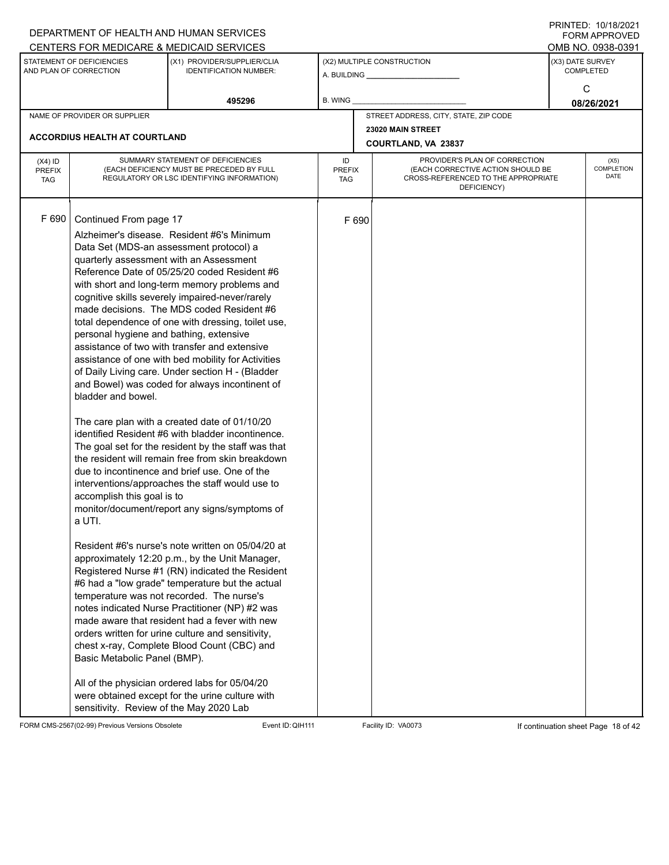|               |                                                     | DEPARTMENT OF HEALTH AND HUMAN SERVICES                                                           |                      |       |                                                                          |                  | $1 \times 1 \times 1 = 1$ . $1 \times 1 \times 1 = 1$<br><b>FORM APPROVED</b> |  |  |
|---------------|-----------------------------------------------------|---------------------------------------------------------------------------------------------------|----------------------|-------|--------------------------------------------------------------------------|------------------|-------------------------------------------------------------------------------|--|--|
|               |                                                     | CENTERS FOR MEDICARE & MEDICAID SERVICES                                                          |                      |       |                                                                          |                  | OMB NO. 0938-0391                                                             |  |  |
|               | STATEMENT OF DEFICIENCIES<br>AND PLAN OF CORRECTION | (X1) PROVIDER/SUPPLIER/CLIA<br><b>IDENTIFICATION NUMBER:</b>                                      |                      |       | (X2) MULTIPLE CONSTRUCTION                                               | (X3) DATE SURVEY | <b>COMPLETED</b>                                                              |  |  |
|               |                                                     |                                                                                                   |                      |       |                                                                          |                  | C                                                                             |  |  |
|               |                                                     | 495296                                                                                            | <b>B. WING</b>       |       |                                                                          |                  | 08/26/2021                                                                    |  |  |
|               | NAME OF PROVIDER OR SUPPLIER                        |                                                                                                   |                      |       | STREET ADDRESS, CITY, STATE, ZIP CODE                                    |                  |                                                                               |  |  |
|               |                                                     |                                                                                                   |                      |       | 23020 MAIN STREET                                                        |                  |                                                                               |  |  |
|               | ACCORDIUS HEALTH AT COURTLAND                       |                                                                                                   |                      |       | COURTLAND, VA 23837                                                      |                  |                                                                               |  |  |
| $(X4)$ ID     |                                                     | SUMMARY STATEMENT OF DEFICIENCIES                                                                 | ID                   |       | PROVIDER'S PLAN OF CORRECTION                                            | (X5)             |                                                                               |  |  |
| <b>PREFIX</b> |                                                     | (EACH DEFICIENCY MUST BE PRECEDED BY FULL<br>REGULATORY OR LSC IDENTIFYING INFORMATION)           | <b>PREFIX</b><br>TAG |       | (EACH CORRECTIVE ACTION SHOULD BE<br>CROSS-REFERENCED TO THE APPROPRIATE |                  | COMPLETION<br>DATE                                                            |  |  |
| <b>TAG</b>    |                                                     |                                                                                                   |                      |       | DEFICIENCY)                                                              |                  |                                                                               |  |  |
|               |                                                     |                                                                                                   |                      |       |                                                                          |                  |                                                                               |  |  |
| F 690         | Continued From page 17                              |                                                                                                   |                      | F 690 |                                                                          |                  |                                                                               |  |  |
|               |                                                     | Alzheimer's disease. Resident #6's Minimum                                                        |                      |       |                                                                          |                  |                                                                               |  |  |
|               |                                                     | Data Set (MDS-an assessment protocol) a                                                           |                      |       |                                                                          |                  |                                                                               |  |  |
|               |                                                     | quarterly assessment with an Assessment                                                           |                      |       |                                                                          |                  |                                                                               |  |  |
|               |                                                     | Reference Date of 05/25/20 coded Resident #6                                                      |                      |       |                                                                          |                  |                                                                               |  |  |
|               |                                                     | with short and long-term memory problems and                                                      |                      |       |                                                                          |                  |                                                                               |  |  |
|               |                                                     | cognitive skills severely impaired-never/rarely                                                   |                      |       |                                                                          |                  |                                                                               |  |  |
|               |                                                     | made decisions. The MDS coded Resident #6<br>total dependence of one with dressing, toilet use,   |                      |       |                                                                          |                  |                                                                               |  |  |
|               | personal hygiene and bathing, extensive             |                                                                                                   |                      |       |                                                                          |                  |                                                                               |  |  |
|               |                                                     | assistance of two with transfer and extensive                                                     |                      |       |                                                                          |                  |                                                                               |  |  |
|               |                                                     | assistance of one with bed mobility for Activities                                                |                      |       |                                                                          |                  |                                                                               |  |  |
|               |                                                     | of Daily Living care. Under section H - (Bladder                                                  |                      |       |                                                                          |                  |                                                                               |  |  |
|               |                                                     | and Bowel) was coded for always incontinent of                                                    |                      |       |                                                                          |                  |                                                                               |  |  |
|               | bladder and bowel.                                  |                                                                                                   |                      |       |                                                                          |                  |                                                                               |  |  |
|               |                                                     | The care plan with a created date of 01/10/20                                                     |                      |       |                                                                          |                  |                                                                               |  |  |
|               |                                                     | identified Resident #6 with bladder incontinence.                                                 |                      |       |                                                                          |                  |                                                                               |  |  |
|               |                                                     | The goal set for the resident by the staff was that                                               |                      |       |                                                                          |                  |                                                                               |  |  |
|               |                                                     | the resident will remain free from skin breakdown                                                 |                      |       |                                                                          |                  |                                                                               |  |  |
|               |                                                     | due to incontinence and brief use. One of the                                                     |                      |       |                                                                          |                  |                                                                               |  |  |
|               |                                                     | interventions/approaches the staff would use to                                                   |                      |       |                                                                          |                  |                                                                               |  |  |
|               | accomplish this goal is to                          | monitor/document/report any signs/symptoms of                                                     |                      |       |                                                                          |                  |                                                                               |  |  |
|               | a UTI.                                              |                                                                                                   |                      |       |                                                                          |                  |                                                                               |  |  |
|               |                                                     |                                                                                                   |                      |       |                                                                          |                  |                                                                               |  |  |
|               |                                                     | Resident #6's nurse's note written on 05/04/20 at                                                 |                      |       |                                                                          |                  |                                                                               |  |  |
|               |                                                     | approximately 12:20 p.m., by the Unit Manager,                                                    |                      |       |                                                                          |                  |                                                                               |  |  |
|               |                                                     | Registered Nurse #1 (RN) indicated the Resident                                                   |                      |       |                                                                          |                  |                                                                               |  |  |
|               |                                                     | #6 had a "low grade" temperature but the actual<br>temperature was not recorded. The nurse's      |                      |       |                                                                          |                  |                                                                               |  |  |
|               |                                                     | notes indicated Nurse Practitioner (NP) #2 was                                                    |                      |       |                                                                          |                  |                                                                               |  |  |
|               |                                                     | made aware that resident had a fever with new                                                     |                      |       |                                                                          |                  |                                                                               |  |  |
|               |                                                     | orders written for urine culture and sensitivity,                                                 |                      |       |                                                                          |                  |                                                                               |  |  |
|               |                                                     | chest x-ray, Complete Blood Count (CBC) and                                                       |                      |       |                                                                          |                  |                                                                               |  |  |
|               | Basic Metabolic Panel (BMP).                        |                                                                                                   |                      |       |                                                                          |                  |                                                                               |  |  |
|               |                                                     |                                                                                                   |                      |       |                                                                          |                  |                                                                               |  |  |
|               |                                                     | All of the physician ordered labs for 05/04/20<br>were obtained except for the urine culture with |                      |       |                                                                          |                  |                                                                               |  |  |
|               | sensitivity. Review of the May 2020 Lab             |                                                                                                   |                      |       |                                                                          |                  |                                                                               |  |  |

FORM CMS-2567(02-99) Previous Versions Obsolete Event ID: QIH111 Facility ID: VA0073 If continuation sheet Page 18 of 42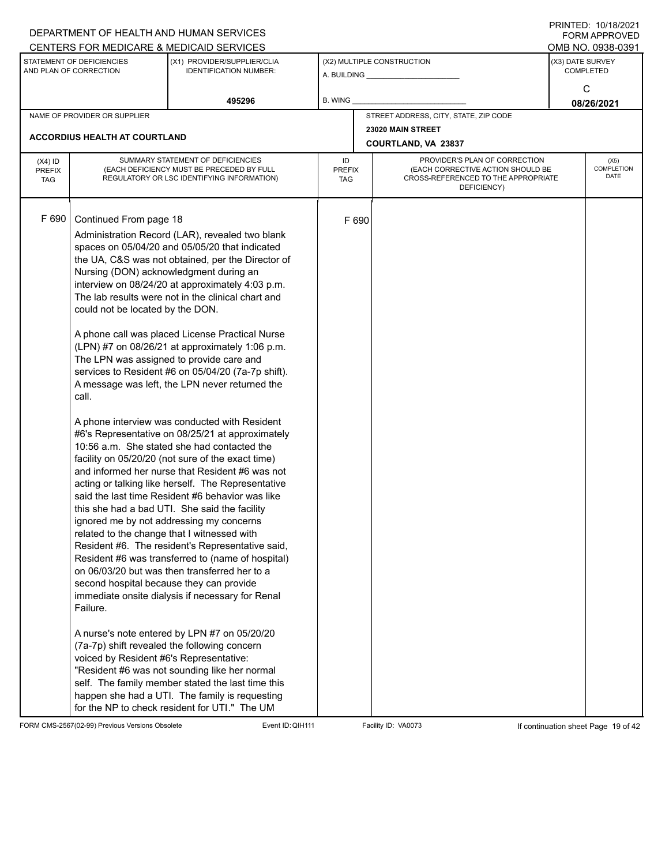|                                          |                                                                                                                                                                                                                                                                 | DEPARTMENT OF HEALTH AND HUMAN SERVICES                                                                                                                                                                                                                                                                                                                                                                                                                                                                                                                                                                                                                                                                                                                                                                                                                                                                                                                                                                                                                                                                                                                                                                                                                                                                                                                                                                                                                                                                              |                                   |                                          |                                                                                                                          |  | $\blacksquare$ $\blacksquare$ $\blacksquare$ $\blacksquare$ $\blacksquare$ $\blacksquare$ $\blacksquare$ $\blacksquare$ $\blacksquare$ $\blacksquare$ $\blacksquare$ $\blacksquare$ $\blacksquare$ $\blacksquare$ $\blacksquare$ $\blacksquare$ $\blacksquare$ $\blacksquare$ $\blacksquare$ $\blacksquare$ $\blacksquare$ $\blacksquare$ $\blacksquare$ $\blacksquare$ $\blacksquare$ $\blacksquare$ $\blacksquare$ $\blacksquare$ $\blacksquare$ $\blacksquare$ $\blacksquare$ $\blacks$<br>FORM APPROVED |  |  |  |  |
|------------------------------------------|-----------------------------------------------------------------------------------------------------------------------------------------------------------------------------------------------------------------------------------------------------------------|----------------------------------------------------------------------------------------------------------------------------------------------------------------------------------------------------------------------------------------------------------------------------------------------------------------------------------------------------------------------------------------------------------------------------------------------------------------------------------------------------------------------------------------------------------------------------------------------------------------------------------------------------------------------------------------------------------------------------------------------------------------------------------------------------------------------------------------------------------------------------------------------------------------------------------------------------------------------------------------------------------------------------------------------------------------------------------------------------------------------------------------------------------------------------------------------------------------------------------------------------------------------------------------------------------------------------------------------------------------------------------------------------------------------------------------------------------------------------------------------------------------------|-----------------------------------|------------------------------------------|--------------------------------------------------------------------------------------------------------------------------|--|-------------------------------------------------------------------------------------------------------------------------------------------------------------------------------------------------------------------------------------------------------------------------------------------------------------------------------------------------------------------------------------------------------------------------------------------------------------------------------------------------------------|--|--|--|--|
|                                          |                                                                                                                                                                                                                                                                 | CENTERS FOR MEDICARE & MEDICAID SERVICES                                                                                                                                                                                                                                                                                                                                                                                                                                                                                                                                                                                                                                                                                                                                                                                                                                                                                                                                                                                                                                                                                                                                                                                                                                                                                                                                                                                                                                                                             |                                   |                                          |                                                                                                                          |  | OMB NO. 0938-0391                                                                                                                                                                                                                                                                                                                                                                                                                                                                                           |  |  |  |  |
|                                          | STATEMENT OF DEFICIENCIES<br>AND PLAN OF CORRECTION                                                                                                                                                                                                             | (X1) PROVIDER/SUPPLIER/CLIA<br><b>IDENTIFICATION NUMBER:</b>                                                                                                                                                                                                                                                                                                                                                                                                                                                                                                                                                                                                                                                                                                                                                                                                                                                                                                                                                                                                                                                                                                                                                                                                                                                                                                                                                                                                                                                         |                                   |                                          | (X2) MULTIPLE CONSTRUCTION<br>A. BUILDING <b>A.</b> BUILDING                                                             |  | (X3) DATE SURVEY<br><b>COMPLETED</b>                                                                                                                                                                                                                                                                                                                                                                                                                                                                        |  |  |  |  |
|                                          |                                                                                                                                                                                                                                                                 | 495296                                                                                                                                                                                                                                                                                                                                                                                                                                                                                                                                                                                                                                                                                                                                                                                                                                                                                                                                                                                                                                                                                                                                                                                                                                                                                                                                                                                                                                                                                                               | B. WING                           |                                          |                                                                                                                          |  | C<br>08/26/2021                                                                                                                                                                                                                                                                                                                                                                                                                                                                                             |  |  |  |  |
|                                          | NAME OF PROVIDER OR SUPPLIER                                                                                                                                                                                                                                    |                                                                                                                                                                                                                                                                                                                                                                                                                                                                                                                                                                                                                                                                                                                                                                                                                                                                                                                                                                                                                                                                                                                                                                                                                                                                                                                                                                                                                                                                                                                      |                                   |                                          | STREET ADDRESS, CITY, STATE, ZIP CODE                                                                                    |  |                                                                                                                                                                                                                                                                                                                                                                                                                                                                                                             |  |  |  |  |
|                                          | <b>ACCORDIUS HEALTH AT COURTLAND</b>                                                                                                                                                                                                                            |                                                                                                                                                                                                                                                                                                                                                                                                                                                                                                                                                                                                                                                                                                                                                                                                                                                                                                                                                                                                                                                                                                                                                                                                                                                                                                                                                                                                                                                                                                                      |                                   | 23020 MAIN STREET<br>COURTLAND, VA 23837 |                                                                                                                          |  |                                                                                                                                                                                                                                                                                                                                                                                                                                                                                                             |  |  |  |  |
| $(X4)$ ID<br><b>PREFIX</b><br><b>TAG</b> |                                                                                                                                                                                                                                                                 | SUMMARY STATEMENT OF DEFICIENCIES<br>(EACH DEFICIENCY MUST BE PRECEDED BY FULL<br>REGULATORY OR LSC IDENTIFYING INFORMATION)                                                                                                                                                                                                                                                                                                                                                                                                                                                                                                                                                                                                                                                                                                                                                                                                                                                                                                                                                                                                                                                                                                                                                                                                                                                                                                                                                                                         | ID<br><b>PREFIX</b><br><b>TAG</b> |                                          | PROVIDER'S PLAN OF CORRECTION<br>(EACH CORRECTIVE ACTION SHOULD BE<br>CROSS-REFERENCED TO THE APPROPRIATE<br>DEFICIENCY) |  | (X5)<br><b>COMPLETION</b><br>DATE                                                                                                                                                                                                                                                                                                                                                                                                                                                                           |  |  |  |  |
| F 690                                    | Continued From page 18<br>Nursing (DON) acknowledgment during an<br>could not be located by the DON.<br>call.<br>related to the change that I witnessed with<br>second hospital because they can provide<br>Failure.<br>voiced by Resident #6's Representative: | Administration Record (LAR), revealed two blank<br>spaces on 05/04/20 and 05/05/20 that indicated<br>the UA, C&S was not obtained, per the Director of<br>interview on 08/24/20 at approximately 4:03 p.m.<br>The lab results were not in the clinical chart and<br>A phone call was placed License Practical Nurse<br>(LPN) #7 on 08/26/21 at approximately 1:06 p.m.<br>The LPN was assigned to provide care and<br>services to Resident #6 on 05/04/20 (7a-7p shift).<br>A message was left, the LPN never returned the<br>A phone interview was conducted with Resident<br>#6's Representative on 08/25/21 at approximately<br>10:56 a.m. She stated she had contacted the<br>facility on 05/20/20 (not sure of the exact time)<br>and informed her nurse that Resident #6 was not<br>acting or talking like herself. The Representative<br>said the last time Resident #6 behavior was like<br>this she had a bad UTI. She said the facility<br>ignored me by not addressing my concerns<br>Resident #6. The resident's Representative said,<br>Resident #6 was transferred to (name of hospital)<br>on 06/03/20 but was then transferred her to a<br>immediate onsite dialysis if necessary for Renal<br>A nurse's note entered by LPN #7 on 05/20/20<br>(7a-7p) shift revealed the following concern<br>"Resident #6 was not sounding like her normal<br>self. The family member stated the last time this<br>happen she had a UTI. The family is requesting<br>for the NP to check resident for UTI." The UM |                                   | F 690                                    |                                                                                                                          |  |                                                                                                                                                                                                                                                                                                                                                                                                                                                                                                             |  |  |  |  |

FORM CMS-2567(02-99) Previous Versions Obsolete Event ID:QIH111 Facility ID: VA0073 If continuation sheet Page 19 of 42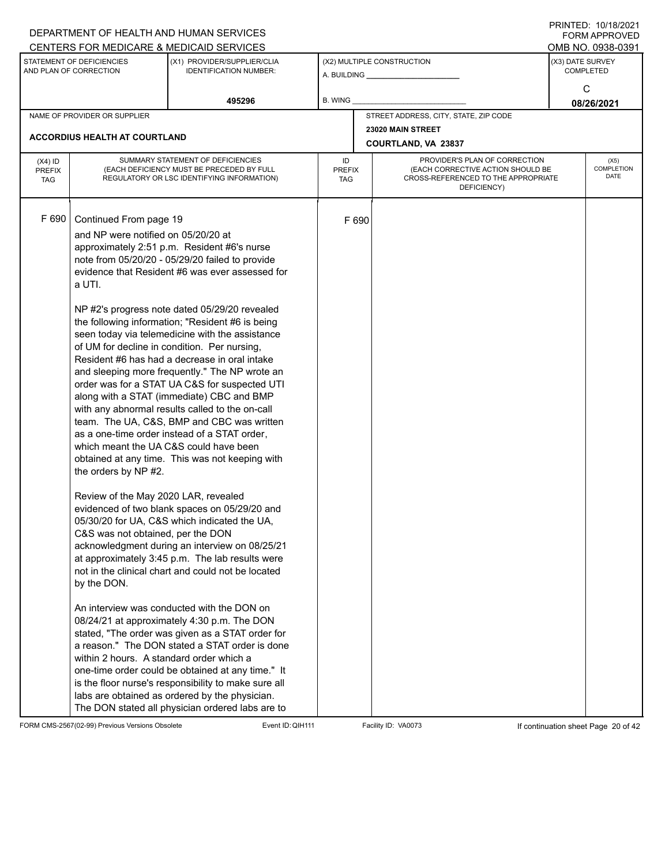|                                          |                                                                                                                                                                                             | DEPARTMENT OF HEALTH AND HUMAN SERVICES                                                                                                                                                                                                                                                                                                                                                                                                                                                                                                                                                                                                                                                                                                                                                                                                                                                                                                                                                                                                                              |                            |       |                                                                                                                          |                  | $1 \times 1 \times 1 = 1$ . $1 \times 1 \times 1 = 1$<br><b>FORM APPROVED</b> |  |
|------------------------------------------|---------------------------------------------------------------------------------------------------------------------------------------------------------------------------------------------|----------------------------------------------------------------------------------------------------------------------------------------------------------------------------------------------------------------------------------------------------------------------------------------------------------------------------------------------------------------------------------------------------------------------------------------------------------------------------------------------------------------------------------------------------------------------------------------------------------------------------------------------------------------------------------------------------------------------------------------------------------------------------------------------------------------------------------------------------------------------------------------------------------------------------------------------------------------------------------------------------------------------------------------------------------------------|----------------------------|-------|--------------------------------------------------------------------------------------------------------------------------|------------------|-------------------------------------------------------------------------------|--|
|                                          |                                                                                                                                                                                             | CENTERS FOR MEDICARE & MEDICAID SERVICES                                                                                                                                                                                                                                                                                                                                                                                                                                                                                                                                                                                                                                                                                                                                                                                                                                                                                                                                                                                                                             |                            |       |                                                                                                                          |                  | OMB NO. 0938-0391                                                             |  |
|                                          | STATEMENT OF DEFICIENCIES<br>AND PLAN OF CORRECTION                                                                                                                                         | (X1) PROVIDER/SUPPLIER/CLIA<br><b>IDENTIFICATION NUMBER:</b>                                                                                                                                                                                                                                                                                                                                                                                                                                                                                                                                                                                                                                                                                                                                                                                                                                                                                                                                                                                                         |                            |       | (X2) MULTIPLE CONSTRUCTION<br>A. BUILDING A. BUILDING                                                                    | (X3) DATE SURVEY | <b>COMPLETED</b>                                                              |  |
|                                          |                                                                                                                                                                                             | 495296                                                                                                                                                                                                                                                                                                                                                                                                                                                                                                                                                                                                                                                                                                                                                                                                                                                                                                                                                                                                                                                               | B. WING                    |       |                                                                                                                          |                  | C<br>08/26/2021                                                               |  |
|                                          | NAME OF PROVIDER OR SUPPLIER                                                                                                                                                                |                                                                                                                                                                                                                                                                                                                                                                                                                                                                                                                                                                                                                                                                                                                                                                                                                                                                                                                                                                                                                                                                      |                            |       | STREET ADDRESS, CITY, STATE, ZIP CODE                                                                                    |                  |                                                                               |  |
|                                          | <b>ACCORDIUS HEALTH AT COURTLAND</b>                                                                                                                                                        |                                                                                                                                                                                                                                                                                                                                                                                                                                                                                                                                                                                                                                                                                                                                                                                                                                                                                                                                                                                                                                                                      |                            |       | 23020 MAIN STREET                                                                                                        |                  |                                                                               |  |
|                                          |                                                                                                                                                                                             |                                                                                                                                                                                                                                                                                                                                                                                                                                                                                                                                                                                                                                                                                                                                                                                                                                                                                                                                                                                                                                                                      |                            |       | COURTLAND, VA 23837                                                                                                      |                  |                                                                               |  |
| $(X4)$ ID<br><b>PREFIX</b><br><b>TAG</b> |                                                                                                                                                                                             | SUMMARY STATEMENT OF DEFICIENCIES<br>(EACH DEFICIENCY MUST BE PRECEDED BY FULL<br>REGULATORY OR LSC IDENTIFYING INFORMATION)                                                                                                                                                                                                                                                                                                                                                                                                                                                                                                                                                                                                                                                                                                                                                                                                                                                                                                                                         | ID<br><b>PREFIX</b><br>TAG |       | PROVIDER'S PLAN OF CORRECTION<br>(EACH CORRECTIVE ACTION SHOULD BE<br>CROSS-REFERENCED TO THE APPROPRIATE<br>DEFICIENCY) |                  | (X5)<br><b>COMPLETION</b><br><b>DATE</b>                                      |  |
| F 690                                    | Continued From page 19<br>and NP were notified on 05/20/20 at<br>a UTI.<br>the orders by NP #2.<br>Review of the May 2020 LAR, revealed<br>C&S was not obtained, per the DON<br>by the DON. | approximately 2:51 p.m. Resident #6's nurse<br>note from 05/20/20 - 05/29/20 failed to provide<br>evidence that Resident #6 was ever assessed for<br>NP #2's progress note dated 05/29/20 revealed<br>the following information; "Resident #6 is being<br>seen today via telemedicine with the assistance<br>of UM for decline in condition. Per nursing,<br>Resident #6 has had a decrease in oral intake<br>and sleeping more frequently." The NP wrote an<br>order was for a STAT UA C&S for suspected UTI<br>along with a STAT (immediate) CBC and BMP<br>with any abnormal results called to the on-call<br>team. The UA, C&S, BMP and CBC was written<br>as a one-time order instead of a STAT order,<br>which meant the UA C&S could have been<br>obtained at any time. This was not keeping with<br>evidenced of two blank spaces on 05/29/20 and<br>05/30/20 for UA, C&S which indicated the UA,<br>acknowledgment during an interview on 08/25/21<br>at approximately 3:45 p.m. The lab results were<br>not in the clinical chart and could not be located |                            | F 690 |                                                                                                                          |                  |                                                                               |  |
|                                          | within 2 hours. A standard order which a                                                                                                                                                    | An interview was conducted with the DON on<br>08/24/21 at approximately 4:30 p.m. The DON<br>stated, "The order was given as a STAT order for<br>a reason." The DON stated a STAT order is done<br>one-time order could be obtained at any time." It<br>is the floor nurse's responsibility to make sure all<br>labs are obtained as ordered by the physician.<br>The DON stated all physician ordered labs are to                                                                                                                                                                                                                                                                                                                                                                                                                                                                                                                                                                                                                                                   |                            |       |                                                                                                                          |                  |                                                                               |  |

FORM CMS-2567(02-99) Previous Versions Obsolete Event ID: QIH111 Facility ID: VA0073 If continuation sheet Page 20 of 42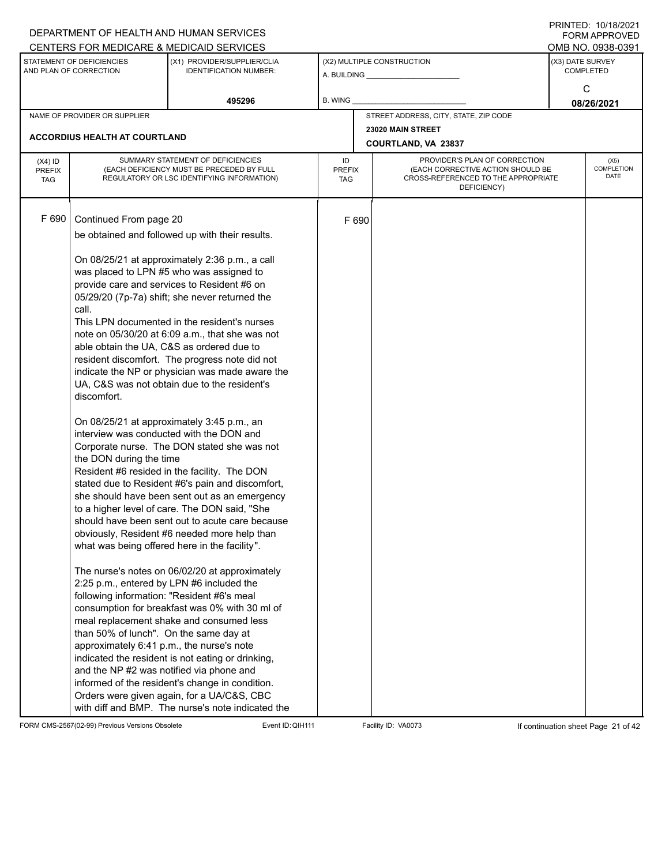|                                          |                                                                                                                                                                                                                | DEPARTMENT OF HEALTH AND HUMAN SERVICES                                                                                                                                                                                                                                                                                                                                                                                                                                                                                                                                                                                                                                                                                                                                                                                                                                                                                                                                                                                                                                                                                                                                                                |                            |       |                                                                                                                          |  | FORM APPROVED                        |
|------------------------------------------|----------------------------------------------------------------------------------------------------------------------------------------------------------------------------------------------------------------|--------------------------------------------------------------------------------------------------------------------------------------------------------------------------------------------------------------------------------------------------------------------------------------------------------------------------------------------------------------------------------------------------------------------------------------------------------------------------------------------------------------------------------------------------------------------------------------------------------------------------------------------------------------------------------------------------------------------------------------------------------------------------------------------------------------------------------------------------------------------------------------------------------------------------------------------------------------------------------------------------------------------------------------------------------------------------------------------------------------------------------------------------------------------------------------------------------|----------------------------|-------|--------------------------------------------------------------------------------------------------------------------------|--|--------------------------------------|
|                                          |                                                                                                                                                                                                                | CENTERS FOR MEDICARE & MEDICAID SERVICES                                                                                                                                                                                                                                                                                                                                                                                                                                                                                                                                                                                                                                                                                                                                                                                                                                                                                                                                                                                                                                                                                                                                                               |                            |       |                                                                                                                          |  | OMB NO. 0938-0391                    |
|                                          | STATEMENT OF DEFICIENCIES<br>AND PLAN OF CORRECTION                                                                                                                                                            | (X1) PROVIDER/SUPPLIER/CLIA<br><b>IDENTIFICATION NUMBER:</b>                                                                                                                                                                                                                                                                                                                                                                                                                                                                                                                                                                                                                                                                                                                                                                                                                                                                                                                                                                                                                                                                                                                                           |                            |       | (X2) MULTIPLE CONSTRUCTION                                                                                               |  | (X3) DATE SURVEY<br><b>COMPLETED</b> |
|                                          |                                                                                                                                                                                                                | 495296                                                                                                                                                                                                                                                                                                                                                                                                                                                                                                                                                                                                                                                                                                                                                                                                                                                                                                                                                                                                                                                                                                                                                                                                 | B. WING                    |       |                                                                                                                          |  | C<br>08/26/2021                      |
|                                          | NAME OF PROVIDER OR SUPPLIER                                                                                                                                                                                   |                                                                                                                                                                                                                                                                                                                                                                                                                                                                                                                                                                                                                                                                                                                                                                                                                                                                                                                                                                                                                                                                                                                                                                                                        |                            |       | STREET ADDRESS, CITY, STATE, ZIP CODE                                                                                    |  |                                      |
|                                          |                                                                                                                                                                                                                |                                                                                                                                                                                                                                                                                                                                                                                                                                                                                                                                                                                                                                                                                                                                                                                                                                                                                                                                                                                                                                                                                                                                                                                                        |                            |       | 23020 MAIN STREET                                                                                                        |  |                                      |
|                                          | ACCORDIUS HEALTH AT COURTLAND                                                                                                                                                                                  |                                                                                                                                                                                                                                                                                                                                                                                                                                                                                                                                                                                                                                                                                                                                                                                                                                                                                                                                                                                                                                                                                                                                                                                                        |                            |       | COURTLAND, VA 23837                                                                                                      |  |                                      |
| $(X4)$ ID<br><b>PREFIX</b><br><b>TAG</b> |                                                                                                                                                                                                                | SUMMARY STATEMENT OF DEFICIENCIES<br>(EACH DEFICIENCY MUST BE PRECEDED BY FULL<br>REGULATORY OR LSC IDENTIFYING INFORMATION)                                                                                                                                                                                                                                                                                                                                                                                                                                                                                                                                                                                                                                                                                                                                                                                                                                                                                                                                                                                                                                                                           | ID<br><b>PREFIX</b><br>TAG |       | PROVIDER'S PLAN OF CORRECTION<br>(EACH CORRECTIVE ACTION SHOULD BE<br>CROSS-REFERENCED TO THE APPROPRIATE<br>DEFICIENCY) |  | (X5)<br>COMPLETION<br>DATE           |
| F 690                                    | Continued From page 20<br>call.<br>discomfort.<br>the DON during the time<br>2:25 p.m., entered by LPN #6 included the<br>following information: "Resident #6's meal<br>than 50% of lunch". On the same day at | be obtained and followed up with their results.<br>On 08/25/21 at approximately 2:36 p.m., a call<br>was placed to LPN #5 who was assigned to<br>provide care and services to Resident #6 on<br>05/29/20 (7p-7a) shift; she never returned the<br>This LPN documented in the resident's nurses<br>note on 05/30/20 at 6:09 a.m., that she was not<br>able obtain the UA, C&S as ordered due to<br>resident discomfort. The progress note did not<br>indicate the NP or physician was made aware the<br>UA, C&S was not obtain due to the resident's<br>On 08/25/21 at approximately 3:45 p.m., an<br>interview was conducted with the DON and<br>Corporate nurse. The DON stated she was not<br>Resident #6 resided in the facility. The DON<br>stated due to Resident #6's pain and discomfort,<br>she should have been sent out as an emergency<br>to a higher level of care. The DON said, "She<br>should have been sent out to acute care because<br>obviously, Resident #6 needed more help than<br>what was being offered here in the facility".<br>The nurse's notes on 06/02/20 at approximately<br>consumption for breakfast was 0% with 30 ml of<br>meal replacement shake and consumed less |                            | F 690 |                                                                                                                          |  |                                      |
|                                          | approximately 6:41 p.m., the nurse's note<br>and the NP #2 was notified via phone and                                                                                                                          | indicated the resident is not eating or drinking,<br>informed of the resident's change in condition.<br>Orders were given again, for a UA/C&S, CBC<br>with diff and BMP. The nurse's note indicated the                                                                                                                                                                                                                                                                                                                                                                                                                                                                                                                                                                                                                                                                                                                                                                                                                                                                                                                                                                                                |                            |       |                                                                                                                          |  |                                      |

FORM CMS-2567(02-99) Previous Versions Obsolete Event ID: QIH111 Facility ID: VA0073 If continuation sheet Page 21 of 42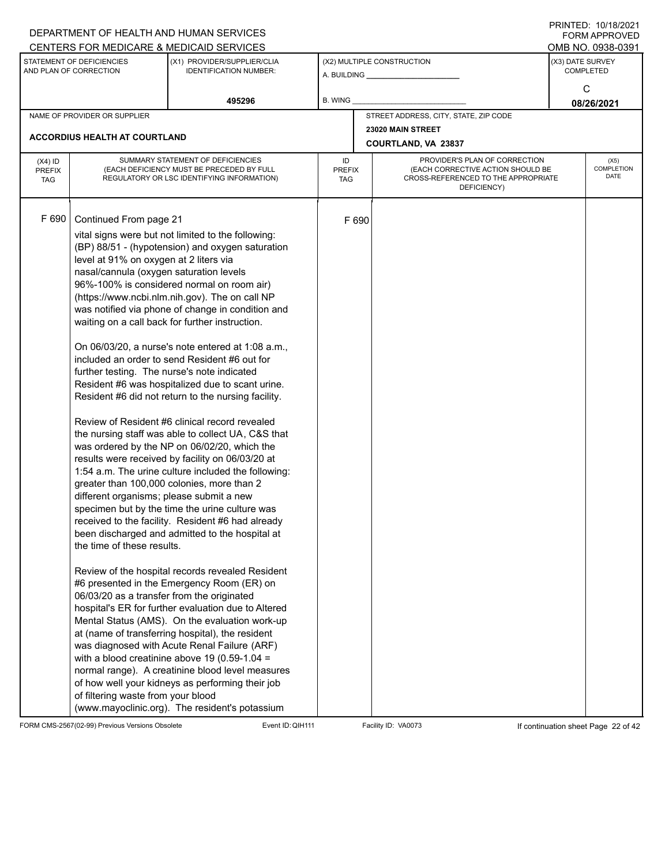|                                          |                                                                                                                                                                                                                                                                                                                          | DEPARTMENT OF HEALTH AND HUMAN SERVICES                                                                                                                                                                                                                                                                                                                                                                                                                                                                                                                                                                                                                                                                                                                                                                                                                                                                                                                                                                                                                                                                                                                                                                                                                                                                                                                                                                                                                                                                                              |                     |       |                                                                                                                          |                  | $1 \times 1 \times 1 = 1$ . $1 \times 1 \times 1 = 1$<br><b>FORM APPROVED</b> |  |  |
|------------------------------------------|--------------------------------------------------------------------------------------------------------------------------------------------------------------------------------------------------------------------------------------------------------------------------------------------------------------------------|--------------------------------------------------------------------------------------------------------------------------------------------------------------------------------------------------------------------------------------------------------------------------------------------------------------------------------------------------------------------------------------------------------------------------------------------------------------------------------------------------------------------------------------------------------------------------------------------------------------------------------------------------------------------------------------------------------------------------------------------------------------------------------------------------------------------------------------------------------------------------------------------------------------------------------------------------------------------------------------------------------------------------------------------------------------------------------------------------------------------------------------------------------------------------------------------------------------------------------------------------------------------------------------------------------------------------------------------------------------------------------------------------------------------------------------------------------------------------------------------------------------------------------------|---------------------|-------|--------------------------------------------------------------------------------------------------------------------------|------------------|-------------------------------------------------------------------------------|--|--|
|                                          |                                                                                                                                                                                                                                                                                                                          | CENTERS FOR MEDICARE & MEDICAID SERVICES                                                                                                                                                                                                                                                                                                                                                                                                                                                                                                                                                                                                                                                                                                                                                                                                                                                                                                                                                                                                                                                                                                                                                                                                                                                                                                                                                                                                                                                                                             |                     |       |                                                                                                                          |                  | OMB NO. 0938-0391                                                             |  |  |
|                                          | STATEMENT OF DEFICIENCIES<br>AND PLAN OF CORRECTION                                                                                                                                                                                                                                                                      | (X1) PROVIDER/SUPPLIER/CLIA<br><b>IDENTIFICATION NUMBER:</b>                                                                                                                                                                                                                                                                                                                                                                                                                                                                                                                                                                                                                                                                                                                                                                                                                                                                                                                                                                                                                                                                                                                                                                                                                                                                                                                                                                                                                                                                         |                     |       | (X2) MULTIPLE CONSTRUCTION                                                                                               | (X3) DATE SURVEY | <b>COMPLETED</b>                                                              |  |  |
|                                          |                                                                                                                                                                                                                                                                                                                          | 495296                                                                                                                                                                                                                                                                                                                                                                                                                                                                                                                                                                                                                                                                                                                                                                                                                                                                                                                                                                                                                                                                                                                                                                                                                                                                                                                                                                                                                                                                                                                               | B. WING             |       |                                                                                                                          |                  | C<br>08/26/2021                                                               |  |  |
|                                          | NAME OF PROVIDER OR SUPPLIER                                                                                                                                                                                                                                                                                             |                                                                                                                                                                                                                                                                                                                                                                                                                                                                                                                                                                                                                                                                                                                                                                                                                                                                                                                                                                                                                                                                                                                                                                                                                                                                                                                                                                                                                                                                                                                                      |                     |       | STREET ADDRESS, CITY, STATE, ZIP CODE                                                                                    |                  |                                                                               |  |  |
|                                          |                                                                                                                                                                                                                                                                                                                          |                                                                                                                                                                                                                                                                                                                                                                                                                                                                                                                                                                                                                                                                                                                                                                                                                                                                                                                                                                                                                                                                                                                                                                                                                                                                                                                                                                                                                                                                                                                                      |                     |       | 23020 MAIN STREET                                                                                                        |                  |                                                                               |  |  |
|                                          | ACCORDIUS HEALTH AT COURTLAND                                                                                                                                                                                                                                                                                            |                                                                                                                                                                                                                                                                                                                                                                                                                                                                                                                                                                                                                                                                                                                                                                                                                                                                                                                                                                                                                                                                                                                                                                                                                                                                                                                                                                                                                                                                                                                                      |                     |       | COURTLAND, VA 23837                                                                                                      |                  |                                                                               |  |  |
| $(X4)$ ID<br><b>PREFIX</b><br><b>TAG</b> |                                                                                                                                                                                                                                                                                                                          | SUMMARY STATEMENT OF DEFICIENCIES<br>(EACH DEFICIENCY MUST BE PRECEDED BY FULL<br>REGULATORY OR LSC IDENTIFYING INFORMATION)                                                                                                                                                                                                                                                                                                                                                                                                                                                                                                                                                                                                                                                                                                                                                                                                                                                                                                                                                                                                                                                                                                                                                                                                                                                                                                                                                                                                         | ID<br>PREFIX<br>TAG |       | PROVIDER'S PLAN OF CORRECTION<br>(EACH CORRECTIVE ACTION SHOULD BE<br>CROSS-REFERENCED TO THE APPROPRIATE<br>DEFICIENCY) |                  | (X5)<br><b>COMPLETION</b><br>DATE                                             |  |  |
| F 690                                    | Continued From page 21<br>level at 91% on oxygen at 2 liters via<br>nasal/cannula (oxygen saturation levels<br>further testing. The nurse's note indicated<br>different organisms; please submit a new<br>the time of these results.<br>06/03/20 as a transfer from the originated<br>of filtering waste from your blood | vital signs were but not limited to the following:<br>(BP) 88/51 - (hypotension) and oxygen saturation<br>96%-100% is considered normal on room air)<br>(https://www.ncbi.nlm.nih.gov). The on call NP<br>was notified via phone of change in condition and<br>waiting on a call back for further instruction.<br>On 06/03/20, a nurse's note entered at 1:08 a.m.,<br>included an order to send Resident #6 out for<br>Resident #6 was hospitalized due to scant urine.<br>Resident #6 did not return to the nursing facility.<br>Review of Resident #6 clinical record revealed<br>the nursing staff was able to collect UA, C&S that<br>was ordered by the NP on 06/02/20, which the<br>results were received by facility on 06/03/20 at<br>1:54 a.m. The urine culture included the following:<br>greater than 100,000 colonies, more than 2<br>specimen but by the time the urine culture was<br>received to the facility. Resident #6 had already<br>been discharged and admitted to the hospital at<br>Review of the hospital records revealed Resident<br>#6 presented in the Emergency Room (ER) on<br>hospital's ER for further evaluation due to Altered<br>Mental Status (AMS). On the evaluation work-up<br>at (name of transferring hospital), the resident<br>was diagnosed with Acute Renal Failure (ARF)<br>with a blood creatinine above 19 (0.59-1.04 =<br>normal range). A creatinine blood level measures<br>of how well your kidneys as performing their job<br>(www.mayoclinic.org). The resident's potassium |                     | F 690 |                                                                                                                          |                  |                                                                               |  |  |

FORM CMS-2567(02-99) Previous Versions Obsolete Event ID: QIH111 Facility ID: VA0073 If continuation sheet Page 22 of 42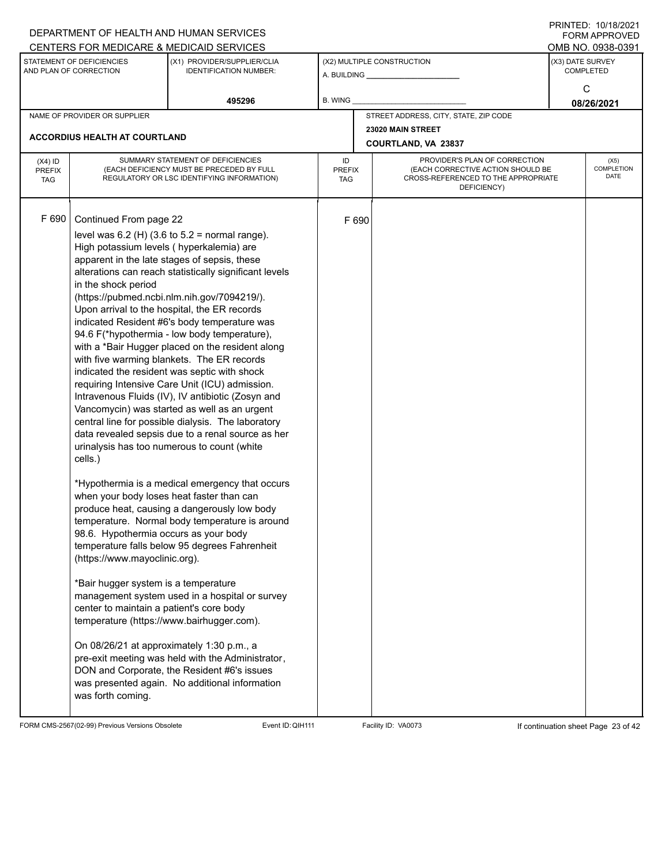|                                          |                                                                                                                                                                                                                                                                                                                                                                                                                                                                                | DEPARTMENT OF HEALTH AND HUMAN SERVICES<br>CENTERS FOR MEDICARE & MEDICAID SERVICES                                                                                                                                                                                                                                                                                                                                                                                                                                                                                                                                                                                                                                                                                                                                                                                                                                                                                                                                                                                                                                                                                                          |                                   |                                       |                                                                                                                          |                  | FININTLU. TV/TO/ZVZT<br><b>FORM APPROVED</b><br>OMB NO. 0938-0391 |
|------------------------------------------|--------------------------------------------------------------------------------------------------------------------------------------------------------------------------------------------------------------------------------------------------------------------------------------------------------------------------------------------------------------------------------------------------------------------------------------------------------------------------------|----------------------------------------------------------------------------------------------------------------------------------------------------------------------------------------------------------------------------------------------------------------------------------------------------------------------------------------------------------------------------------------------------------------------------------------------------------------------------------------------------------------------------------------------------------------------------------------------------------------------------------------------------------------------------------------------------------------------------------------------------------------------------------------------------------------------------------------------------------------------------------------------------------------------------------------------------------------------------------------------------------------------------------------------------------------------------------------------------------------------------------------------------------------------------------------------|-----------------------------------|---------------------------------------|--------------------------------------------------------------------------------------------------------------------------|------------------|-------------------------------------------------------------------|
|                                          | STATEMENT OF DEFICIENCIES<br>AND PLAN OF CORRECTION                                                                                                                                                                                                                                                                                                                                                                                                                            | (X1) PROVIDER/SUPPLIER/CLIA<br><b>IDENTIFICATION NUMBER:</b>                                                                                                                                                                                                                                                                                                                                                                                                                                                                                                                                                                                                                                                                                                                                                                                                                                                                                                                                                                                                                                                                                                                                 |                                   |                                       | (X2) MULTIPLE CONSTRUCTION                                                                                               | (X3) DATE SURVEY | <b>COMPLETED</b><br>C                                             |
|                                          |                                                                                                                                                                                                                                                                                                                                                                                                                                                                                | 495296                                                                                                                                                                                                                                                                                                                                                                                                                                                                                                                                                                                                                                                                                                                                                                                                                                                                                                                                                                                                                                                                                                                                                                                       | <b>B. WING</b>                    |                                       |                                                                                                                          |                  | 08/26/2021                                                        |
|                                          | NAME OF PROVIDER OR SUPPLIER                                                                                                                                                                                                                                                                                                                                                                                                                                                   |                                                                                                                                                                                                                                                                                                                                                                                                                                                                                                                                                                                                                                                                                                                                                                                                                                                                                                                                                                                                                                                                                                                                                                                              |                                   | STREET ADDRESS, CITY, STATE, ZIP CODE |                                                                                                                          |                  |                                                                   |
|                                          | <b>ACCORDIUS HEALTH AT COURTLAND</b>                                                                                                                                                                                                                                                                                                                                                                                                                                           |                                                                                                                                                                                                                                                                                                                                                                                                                                                                                                                                                                                                                                                                                                                                                                                                                                                                                                                                                                                                                                                                                                                                                                                              |                                   |                                       | 23020 MAIN STREET<br><b>COURTLAND, VA 23837</b>                                                                          |                  |                                                                   |
| $(X4)$ ID<br><b>PREFIX</b><br><b>TAG</b> |                                                                                                                                                                                                                                                                                                                                                                                                                                                                                | SUMMARY STATEMENT OF DEFICIENCIES<br>(EACH DEFICIENCY MUST BE PRECEDED BY FULL<br>REGULATORY OR LSC IDENTIFYING INFORMATION)                                                                                                                                                                                                                                                                                                                                                                                                                                                                                                                                                                                                                                                                                                                                                                                                                                                                                                                                                                                                                                                                 | ID<br><b>PREFIX</b><br><b>TAG</b> |                                       | PROVIDER'S PLAN OF CORRECTION<br>(EACH CORRECTIVE ACTION SHOULD BE<br>CROSS-REFERENCED TO THE APPROPRIATE<br>DEFICIENCY) |                  | (X5)<br>COMPLETION<br><b>DATE</b>                                 |
| F 690                                    | Continued From page 22<br>High potassium levels (hyperkalemia) are<br>apparent in the late stages of sepsis, these<br>in the shock period<br>cells.)<br>when your body loses heat faster than can<br>98.6. Hypothermia occurs as your body<br>(https://www.mayoclinic.org).<br>*Bair hugger system is a temperature<br>center to maintain a patient's core body<br>temperature (https://www.bairhugger.com).<br>On 08/26/21 at approximately 1:30 p.m., a<br>was forth coming. | level was $6.2$ (H) (3.6 to $5.2$ = normal range).<br>alterations can reach statistically significant levels<br>(https://pubmed.ncbi.nlm.nih.gov/7094219/).<br>Upon arrival to the hospital, the ER records<br>indicated Resident #6's body temperature was<br>94.6 F(*hypothermia - low body temperature),<br>with a *Bair Hugger placed on the resident along<br>with five warming blankets. The ER records<br>indicated the resident was septic with shock<br>requiring Intensive Care Unit (ICU) admission.<br>Intravenous Fluids (IV), IV antibiotic (Zosyn and<br>Vancomycin) was started as well as an urgent<br>central line for possible dialysis. The laboratory<br>data revealed sepsis due to a renal source as her<br>urinalysis has too numerous to count (white<br>*Hypothermia is a medical emergency that occurs<br>produce heat, causing a dangerously low body<br>temperature. Normal body temperature is around<br>temperature falls below 95 degrees Fahrenheit<br>management system used in a hospital or survey<br>pre-exit meeting was held with the Administrator,<br>DON and Corporate, the Resident #6's issues<br>was presented again. No additional information |                                   | F 690                                 |                                                                                                                          |                  |                                                                   |

FORM CMS-2567(02-99) Previous Versions Obsolete Event ID: QIH111 Facility ID: VA0073 If continuation sheet Page 23 of 42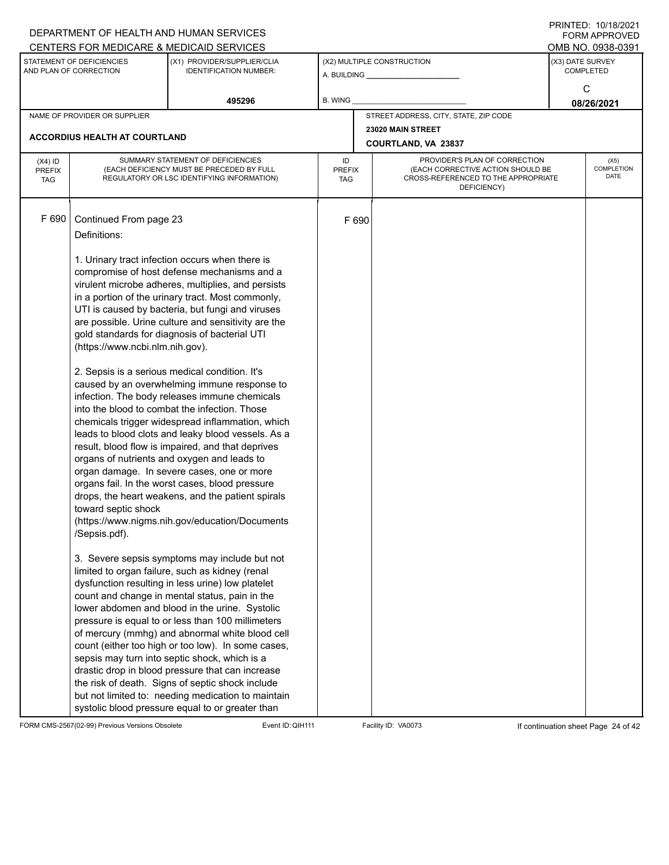|                                          |                                                                                                                   | DEPARTMENT OF HEALTH AND HUMAN SERVICES                                                                                                                                                                                                                                                                                                                                                                                                                                                                                                                                                                                                                                                                                                                                                                                                                                                                                                                                                                                                                                                                                                                                                                                                                      |                                   |       |                                                                                                                          | <b>FORM APPROVED</b>                     |
|------------------------------------------|-------------------------------------------------------------------------------------------------------------------|--------------------------------------------------------------------------------------------------------------------------------------------------------------------------------------------------------------------------------------------------------------------------------------------------------------------------------------------------------------------------------------------------------------------------------------------------------------------------------------------------------------------------------------------------------------------------------------------------------------------------------------------------------------------------------------------------------------------------------------------------------------------------------------------------------------------------------------------------------------------------------------------------------------------------------------------------------------------------------------------------------------------------------------------------------------------------------------------------------------------------------------------------------------------------------------------------------------------------------------------------------------|-----------------------------------|-------|--------------------------------------------------------------------------------------------------------------------------|------------------------------------------|
|                                          |                                                                                                                   | CENTERS FOR MEDICARE & MEDICAID SERVICES                                                                                                                                                                                                                                                                                                                                                                                                                                                                                                                                                                                                                                                                                                                                                                                                                                                                                                                                                                                                                                                                                                                                                                                                                     |                                   |       |                                                                                                                          | OMB NO. 0938-0391                        |
|                                          | STATEMENT OF DEFICIENCIES<br>AND PLAN OF CORRECTION                                                               | (X1) PROVIDER/SUPPLIER/CLIA<br><b>IDENTIFICATION NUMBER:</b>                                                                                                                                                                                                                                                                                                                                                                                                                                                                                                                                                                                                                                                                                                                                                                                                                                                                                                                                                                                                                                                                                                                                                                                                 |                                   |       | (X2) MULTIPLE CONSTRUCTION<br>A. BUILDING A. BUILDING                                                                    | (X3) DATE SURVEY<br><b>COMPLETED</b>     |
|                                          |                                                                                                                   | 495296                                                                                                                                                                                                                                                                                                                                                                                                                                                                                                                                                                                                                                                                                                                                                                                                                                                                                                                                                                                                                                                                                                                                                                                                                                                       | B. WING                           |       |                                                                                                                          | C<br>08/26/2021                          |
|                                          | NAME OF PROVIDER OR SUPPLIER                                                                                      |                                                                                                                                                                                                                                                                                                                                                                                                                                                                                                                                                                                                                                                                                                                                                                                                                                                                                                                                                                                                                                                                                                                                                                                                                                                              |                                   |       | STREET ADDRESS, CITY, STATE, ZIP CODE                                                                                    |                                          |
|                                          |                                                                                                                   |                                                                                                                                                                                                                                                                                                                                                                                                                                                                                                                                                                                                                                                                                                                                                                                                                                                                                                                                                                                                                                                                                                                                                                                                                                                              |                                   |       | 23020 MAIN STREET                                                                                                        |                                          |
|                                          | <b>ACCORDIUS HEALTH AT COURTLAND</b>                                                                              |                                                                                                                                                                                                                                                                                                                                                                                                                                                                                                                                                                                                                                                                                                                                                                                                                                                                                                                                                                                                                                                                                                                                                                                                                                                              |                                   |       | COURTLAND, VA 23837                                                                                                      |                                          |
| $(X4)$ ID<br><b>PREFIX</b><br><b>TAG</b> |                                                                                                                   | SUMMARY STATEMENT OF DEFICIENCIES<br>(EACH DEFICIENCY MUST BE PRECEDED BY FULL<br>REGULATORY OR LSC IDENTIFYING INFORMATION)                                                                                                                                                                                                                                                                                                                                                                                                                                                                                                                                                                                                                                                                                                                                                                                                                                                                                                                                                                                                                                                                                                                                 | ID<br><b>PREFIX</b><br><b>TAG</b> |       | PROVIDER'S PLAN OF CORRECTION<br>(EACH CORRECTIVE ACTION SHOULD BE<br>CROSS-REFERENCED TO THE APPROPRIATE<br>DEFICIENCY) | (X5)<br><b>COMPLETION</b><br><b>DATE</b> |
| F 690                                    | Continued From page 23<br>Definitions:<br>(https://www.ncbi.nlm.nih.gov).<br>toward septic shock<br>/Sepsis.pdf). | 1. Urinary tract infection occurs when there is<br>compromise of host defense mechanisms and a<br>virulent microbe adheres, multiplies, and persists<br>in a portion of the urinary tract. Most commonly,<br>UTI is caused by bacteria, but fungi and viruses<br>are possible. Urine culture and sensitivity are the<br>gold standards for diagnosis of bacterial UTI<br>2. Sepsis is a serious medical condition. It's<br>caused by an overwhelming immune response to<br>infection. The body releases immune chemicals<br>into the blood to combat the infection. Those<br>chemicals trigger widespread inflammation, which<br>leads to blood clots and leaky blood vessels. As a<br>result, blood flow is impaired, and that deprives<br>organs of nutrients and oxygen and leads to<br>organ damage. In severe cases, one or more<br>organs fail. In the worst cases, blood pressure<br>drops, the heart weakens, and the patient spirals<br>(https://www.nigms.nih.gov/education/Documents<br>3. Severe sepsis symptoms may include but not<br>limited to organ failure, such as kidney (renal<br>dysfunction resulting in less urine) low platelet<br>count and change in mental status, pain in the<br>lower abdomen and blood in the urine. Systolic |                                   | F 690 |                                                                                                                          |                                          |
|                                          |                                                                                                                   | pressure is equal to or less than 100 millimeters<br>of mercury (mmhg) and abnormal white blood cell<br>count (either too high or too low). In some cases,<br>sepsis may turn into septic shock, which is a<br>drastic drop in blood pressure that can increase<br>the risk of death. Signs of septic shock include<br>but not limited to: needing medication to maintain<br>systolic blood pressure equal to or greater than                                                                                                                                                                                                                                                                                                                                                                                                                                                                                                                                                                                                                                                                                                                                                                                                                                |                                   |       |                                                                                                                          |                                          |

FORM CMS-2567(02-99) Previous Versions Obsolete Event ID:QIH111 Facility ID: VA0073 If continuation sheet Page 24 of 42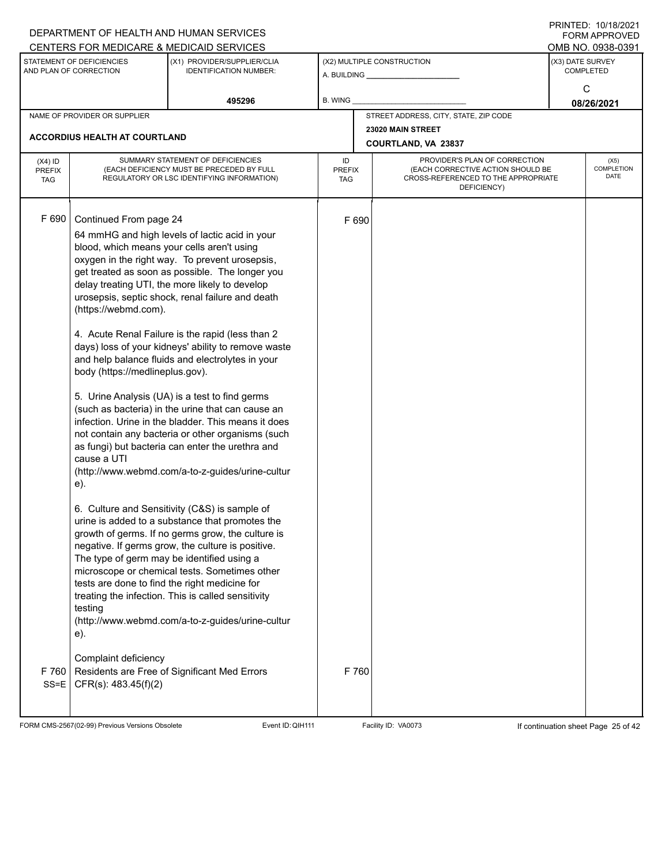| STATEMENT OF DEFICIENCIES                              |                                                                                                           | CENTERS FOR MEDICARE & MEDICAID SERVICES                                                                                                                                                                                                                                                                                                                                                                                                                                                                                                                                                                                                                                                                                                                                                                                                                                                                                                                                                                                                                                                                                                                                                                                                                                                                                  |                                   |       |                                                                                                                          |                  |                                     |
|--------------------------------------------------------|-----------------------------------------------------------------------------------------------------------|---------------------------------------------------------------------------------------------------------------------------------------------------------------------------------------------------------------------------------------------------------------------------------------------------------------------------------------------------------------------------------------------------------------------------------------------------------------------------------------------------------------------------------------------------------------------------------------------------------------------------------------------------------------------------------------------------------------------------------------------------------------------------------------------------------------------------------------------------------------------------------------------------------------------------------------------------------------------------------------------------------------------------------------------------------------------------------------------------------------------------------------------------------------------------------------------------------------------------------------------------------------------------------------------------------------------------|-----------------------------------|-------|--------------------------------------------------------------------------------------------------------------------------|------------------|-------------------------------------|
|                                                        |                                                                                                           |                                                                                                                                                                                                                                                                                                                                                                                                                                                                                                                                                                                                                                                                                                                                                                                                                                                                                                                                                                                                                                                                                                                                                                                                                                                                                                                           |                                   |       |                                                                                                                          |                  | OMB NO. 0938-0391                   |
| AND PLAN OF CORRECTION                                 |                                                                                                           | (X1) PROVIDER/SUPPLIER/CLIA<br><b>IDENTIFICATION NUMBER:</b>                                                                                                                                                                                                                                                                                                                                                                                                                                                                                                                                                                                                                                                                                                                                                                                                                                                                                                                                                                                                                                                                                                                                                                                                                                                              |                                   |       | (X2) MULTIPLE CONSTRUCTION                                                                                               | (X3) DATE SURVEY | <b>COMPLETED</b>                    |
|                                                        |                                                                                                           | 495296                                                                                                                                                                                                                                                                                                                                                                                                                                                                                                                                                                                                                                                                                                                                                                                                                                                                                                                                                                                                                                                                                                                                                                                                                                                                                                                    | <b>B. WING</b>                    |       |                                                                                                                          |                  | C<br>08/26/2021                     |
| NAME OF PROVIDER OR SUPPLIER                           |                                                                                                           |                                                                                                                                                                                                                                                                                                                                                                                                                                                                                                                                                                                                                                                                                                                                                                                                                                                                                                                                                                                                                                                                                                                                                                                                                                                                                                                           |                                   |       | STREET ADDRESS, CITY, STATE, ZIP CODE                                                                                    |                  |                                     |
| <b>ACCORDIUS HEALTH AT COURTLAND</b>                   |                                                                                                           |                                                                                                                                                                                                                                                                                                                                                                                                                                                                                                                                                                                                                                                                                                                                                                                                                                                                                                                                                                                                                                                                                                                                                                                                                                                                                                                           |                                   |       | 23020 MAIN STREET                                                                                                        |                  |                                     |
|                                                        |                                                                                                           |                                                                                                                                                                                                                                                                                                                                                                                                                                                                                                                                                                                                                                                                                                                                                                                                                                                                                                                                                                                                                                                                                                                                                                                                                                                                                                                           |                                   |       | COURTLAND, VA 23837                                                                                                      |                  |                                     |
| $(X4)$ ID<br><b>PREFIX</b><br><b>TAG</b>               |                                                                                                           | SUMMARY STATEMENT OF DEFICIENCIES<br>(EACH DEFICIENCY MUST BE PRECEDED BY FULL<br>REGULATORY OR LSC IDENTIFYING INFORMATION)                                                                                                                                                                                                                                                                                                                                                                                                                                                                                                                                                                                                                                                                                                                                                                                                                                                                                                                                                                                                                                                                                                                                                                                              | ID<br><b>PREFIX</b><br><b>TAG</b> |       | PROVIDER'S PLAN OF CORRECTION<br>(EACH CORRECTIVE ACTION SHOULD BE<br>CROSS-REFERENCED TO THE APPROPRIATE<br>DEFICIENCY) |                  | (X5)<br>COMPLETION<br><b>DATE</b>   |
| F 690<br>cause a UTI<br>e).<br>testing<br>e).<br>F 760 | Continued From page 24<br>(https://webmd.com).<br>body (https://medlineplus.gov).<br>Complaint deficiency | 64 mmHG and high levels of lactic acid in your<br>blood, which means your cells aren't using<br>oxygen in the right way. To prevent urosepsis,<br>get treated as soon as possible. The longer you<br>delay treating UTI, the more likely to develop<br>urosepsis, septic shock, renal failure and death<br>4. Acute Renal Failure is the rapid (less than 2<br>days) loss of your kidneys' ability to remove waste<br>and help balance fluids and electrolytes in your<br>5. Urine Analysis (UA) is a test to find germs<br>(such as bacteria) in the urine that can cause an<br>infection. Urine in the bladder. This means it does<br>not contain any bacteria or other organisms (such<br>as fungi) but bacteria can enter the urethra and<br>(http://www.webmd.com/a-to-z-guides/urine-cultur<br>6. Culture and Sensitivity (C&S) is sample of<br>urine is added to a substance that promotes the<br>growth of germs. If no germs grow, the culture is<br>negative. If germs grow, the culture is positive.<br>The type of germ may be identified using a<br>microscope or chemical tests. Sometimes other<br>tests are done to find the right medicine for<br>treating the infection. This is called sensitivity<br>(http://www.webmd.com/a-to-z-guides/urine-cultur<br>Residents are Free of Significant Med Errors | F 690                             | F 760 |                                                                                                                          |                  |                                     |
| $SS = E$                                               | CFR(s): 483.45(f)(2)                                                                                      |                                                                                                                                                                                                                                                                                                                                                                                                                                                                                                                                                                                                                                                                                                                                                                                                                                                                                                                                                                                                                                                                                                                                                                                                                                                                                                                           |                                   |       |                                                                                                                          |                  |                                     |
| FORM CMS-2567(02-99) Previous Versions Obsolete        |                                                                                                           | Event ID: QIH111                                                                                                                                                                                                                                                                                                                                                                                                                                                                                                                                                                                                                                                                                                                                                                                                                                                                                                                                                                                                                                                                                                                                                                                                                                                                                                          |                                   |       | Facility ID: VA0073                                                                                                      |                  | If continuation sheet Page 25 of 42 |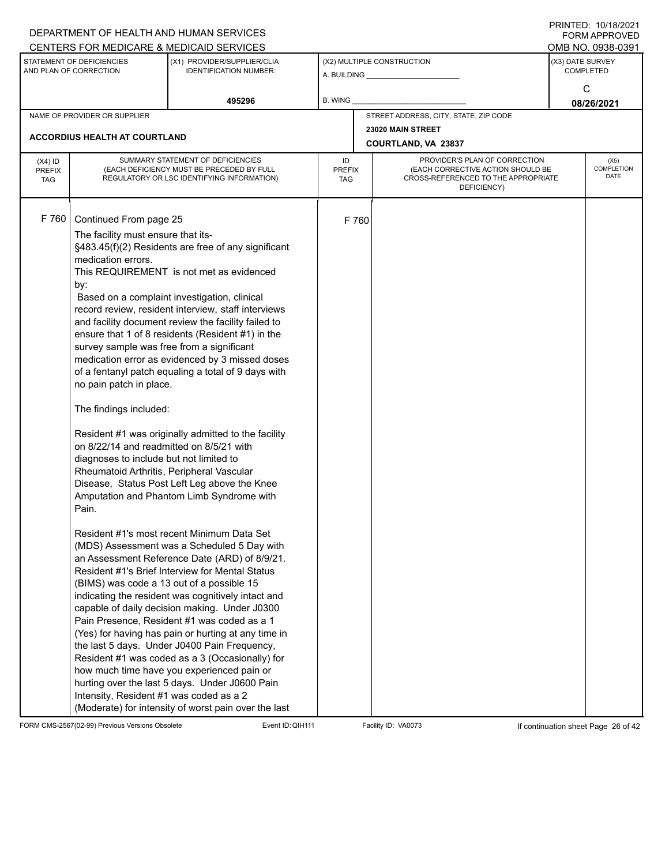|                                          |                                                                                                                                                                                                                                                                                                                                                                                                                                  | DEPARTMENT OF HEALTH AND HUMAN SERVICES<br>CENTERS FOR MEDICARE & MEDICAID SERVICES                                                                                                                                                                                                                                                                                                                                                                                                                                                                                                                                                                                                                                                                                                                                                                                                                                                                                                                                                                                                                                                                                                                                                                       |                                   |       |                                                                                                                          |                  | FININILD. IVIIVIZVZI<br><b>FORM APPROVED</b><br>OMB NO. 0938-0391 |
|------------------------------------------|----------------------------------------------------------------------------------------------------------------------------------------------------------------------------------------------------------------------------------------------------------------------------------------------------------------------------------------------------------------------------------------------------------------------------------|-----------------------------------------------------------------------------------------------------------------------------------------------------------------------------------------------------------------------------------------------------------------------------------------------------------------------------------------------------------------------------------------------------------------------------------------------------------------------------------------------------------------------------------------------------------------------------------------------------------------------------------------------------------------------------------------------------------------------------------------------------------------------------------------------------------------------------------------------------------------------------------------------------------------------------------------------------------------------------------------------------------------------------------------------------------------------------------------------------------------------------------------------------------------------------------------------------------------------------------------------------------|-----------------------------------|-------|--------------------------------------------------------------------------------------------------------------------------|------------------|-------------------------------------------------------------------|
|                                          | STATEMENT OF DEFICIENCIES<br>AND PLAN OF CORRECTION                                                                                                                                                                                                                                                                                                                                                                              | (X1) PROVIDER/SUPPLIER/CLIA<br><b>IDENTIFICATION NUMBER:</b>                                                                                                                                                                                                                                                                                                                                                                                                                                                                                                                                                                                                                                                                                                                                                                                                                                                                                                                                                                                                                                                                                                                                                                                              |                                   |       | (X2) MULTIPLE CONSTRUCTION                                                                                               | (X3) DATE SURVEY | <b>COMPLETED</b>                                                  |
|                                          |                                                                                                                                                                                                                                                                                                                                                                                                                                  | 495296                                                                                                                                                                                                                                                                                                                                                                                                                                                                                                                                                                                                                                                                                                                                                                                                                                                                                                                                                                                                                                                                                                                                                                                                                                                    | B. WING                           |       |                                                                                                                          |                  | C<br>08/26/2021                                                   |
|                                          | NAME OF PROVIDER OR SUPPLIER                                                                                                                                                                                                                                                                                                                                                                                                     |                                                                                                                                                                                                                                                                                                                                                                                                                                                                                                                                                                                                                                                                                                                                                                                                                                                                                                                                                                                                                                                                                                                                                                                                                                                           |                                   |       | STREET ADDRESS, CITY, STATE, ZIP CODE                                                                                    |                  |                                                                   |
|                                          |                                                                                                                                                                                                                                                                                                                                                                                                                                  |                                                                                                                                                                                                                                                                                                                                                                                                                                                                                                                                                                                                                                                                                                                                                                                                                                                                                                                                                                                                                                                                                                                                                                                                                                                           |                                   |       | 23020 MAIN STREET                                                                                                        |                  |                                                                   |
|                                          | ACCORDIUS HEALTH AT COURTLAND                                                                                                                                                                                                                                                                                                                                                                                                    |                                                                                                                                                                                                                                                                                                                                                                                                                                                                                                                                                                                                                                                                                                                                                                                                                                                                                                                                                                                                                                                                                                                                                                                                                                                           |                                   |       | COURTLAND, VA 23837                                                                                                      |                  |                                                                   |
| $(X4)$ ID<br><b>PREFIX</b><br><b>TAG</b> |                                                                                                                                                                                                                                                                                                                                                                                                                                  | SUMMARY STATEMENT OF DEFICIENCIES<br>(EACH DEFICIENCY MUST BE PRECEDED BY FULL<br>REGULATORY OR LSC IDENTIFYING INFORMATION)                                                                                                                                                                                                                                                                                                                                                                                                                                                                                                                                                                                                                                                                                                                                                                                                                                                                                                                                                                                                                                                                                                                              | ID<br><b>PREFIX</b><br><b>TAG</b> |       | PROVIDER'S PLAN OF CORRECTION<br>(EACH CORRECTIVE ACTION SHOULD BE<br>CROSS-REFERENCED TO THE APPROPRIATE<br>DEFICIENCY) |                  | (X5)<br>COMPLETION<br><b>DATE</b>                                 |
| F 760                                    | Continued From page 25<br>The facility must ensure that its-<br>medication errors.<br>by:<br>survey sample was free from a significant<br>no pain patch in place.<br>The findings included:<br>on 8/22/14 and readmitted on 8/5/21 with<br>diagnoses to include but not limited to<br>Rheumatoid Arthritis, Peripheral Vascular<br>Pain.<br>(BIMS) was code a 13 out of a possible 15<br>Intensity, Resident #1 was coded as a 2 | §483.45(f)(2) Residents are free of any significant<br>This REQUIREMENT is not met as evidenced<br>Based on a complaint investigation, clinical<br>record review, resident interview, staff interviews<br>and facility document review the facility failed to<br>ensure that 1 of 8 residents (Resident #1) in the<br>medication error as evidenced by 3 missed doses<br>of a fentanyl patch equaling a total of 9 days with<br>Resident #1 was originally admitted to the facility<br>Disease, Status Post Left Leg above the Knee<br>Amputation and Phantom Limb Syndrome with<br>Resident #1's most recent Minimum Data Set<br>(MDS) Assessment was a Scheduled 5 Day with<br>an Assessment Reference Date (ARD) of 8/9/21.<br>Resident #1's Brief Interview for Mental Status<br>indicating the resident was cognitively intact and<br>capable of daily decision making. Under J0300<br>Pain Presence, Resident #1 was coded as a 1<br>(Yes) for having has pain or hurting at any time in<br>the last 5 days. Under J0400 Pain Frequency,<br>Resident #1 was coded as a 3 (Occasionally) for<br>how much time have you experienced pain or<br>hurting over the last 5 days. Under J0600 Pain<br>(Moderate) for intensity of worst pain over the last |                                   | F 760 |                                                                                                                          |                  |                                                                   |

FORM CMS-2567(02-99) Previous Versions Obsolete Event ID: QIH111 Facility ID: VA0073 If continuation sheet Page 26 of 42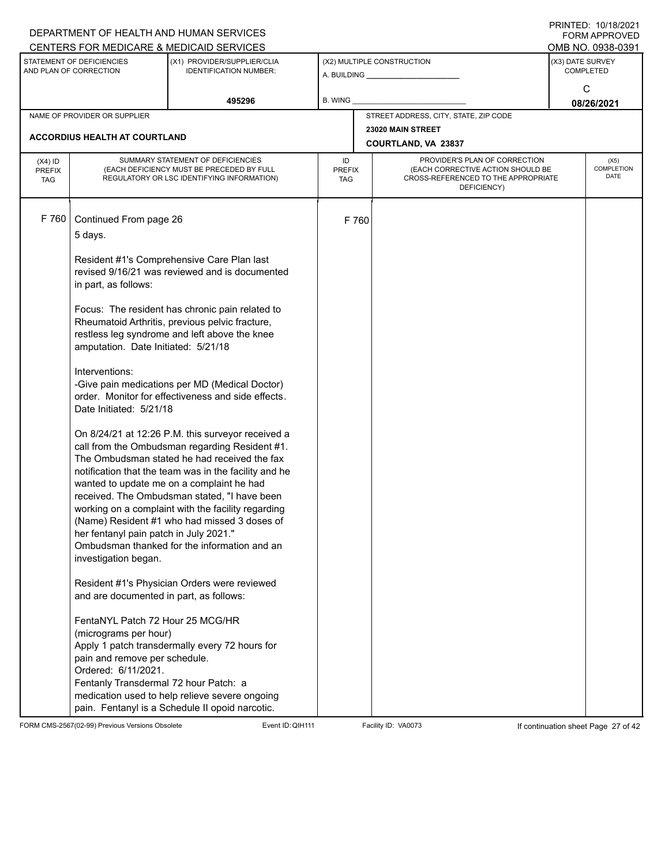|                                          |                                                                                                                                                                                         | DEPARTMENT OF HEALTH AND HUMAN SERVICES<br>CENTERS FOR MEDICARE & MEDICAID SERVICES                                                                                                                                                                                                                                                                                                                                                                                                                                                                                                                                                                                                                                                                                            |                                   |       |                                                                                                                          |                  | FININTLU. TV/TO/ZVZT<br><b>FORM APPROVED</b><br>OMB NO. 0938-0391 |
|------------------------------------------|-----------------------------------------------------------------------------------------------------------------------------------------------------------------------------------------|--------------------------------------------------------------------------------------------------------------------------------------------------------------------------------------------------------------------------------------------------------------------------------------------------------------------------------------------------------------------------------------------------------------------------------------------------------------------------------------------------------------------------------------------------------------------------------------------------------------------------------------------------------------------------------------------------------------------------------------------------------------------------------|-----------------------------------|-------|--------------------------------------------------------------------------------------------------------------------------|------------------|-------------------------------------------------------------------|
|                                          | STATEMENT OF DEFICIENCIES<br>AND PLAN OF CORRECTION                                                                                                                                     | (X1) PROVIDER/SUPPLIER/CLIA<br><b>IDENTIFICATION NUMBER:</b>                                                                                                                                                                                                                                                                                                                                                                                                                                                                                                                                                                                                                                                                                                                   |                                   |       | (X2) MULTIPLE CONSTRUCTION                                                                                               | (X3) DATE SURVEY | <b>COMPLETED</b>                                                  |
|                                          |                                                                                                                                                                                         | 495296                                                                                                                                                                                                                                                                                                                                                                                                                                                                                                                                                                                                                                                                                                                                                                         | <b>B. WING</b>                    |       |                                                                                                                          |                  | C<br>08/26/2021                                                   |
|                                          | NAME OF PROVIDER OR SUPPLIER                                                                                                                                                            |                                                                                                                                                                                                                                                                                                                                                                                                                                                                                                                                                                                                                                                                                                                                                                                |                                   |       | STREET ADDRESS, CITY, STATE, ZIP CODE                                                                                    |                  |                                                                   |
|                                          | <b>ACCORDIUS HEALTH AT COURTLAND</b>                                                                                                                                                    |                                                                                                                                                                                                                                                                                                                                                                                                                                                                                                                                                                                                                                                                                                                                                                                |                                   |       | 23020 MAIN STREET<br><b>COURTLAND, VA 23837</b>                                                                          |                  |                                                                   |
| $(X4)$ ID<br><b>PREFIX</b><br><b>TAG</b> |                                                                                                                                                                                         | SUMMARY STATEMENT OF DEFICIENCIES<br>(EACH DEFICIENCY MUST BE PRECEDED BY FULL<br>REGULATORY OR LSC IDENTIFYING INFORMATION)                                                                                                                                                                                                                                                                                                                                                                                                                                                                                                                                                                                                                                                   | ID<br><b>PREFIX</b><br><b>TAG</b> |       | PROVIDER'S PLAN OF CORRECTION<br>(EACH CORRECTIVE ACTION SHOULD BE<br>CROSS-REFERENCED TO THE APPROPRIATE<br>DEFICIENCY) |                  | (X5)<br>COMPLETION<br><b>DATE</b>                                 |
| F 760                                    | Continued From page 26<br>5 days.<br>in part, as follows:<br>amputation. Date Initiated: 5/21/18<br>Interventions:<br>Date Initiated: 5/21/18<br>her fentanyl pain patch in July 2021." | Resident #1's Comprehensive Care Plan last<br>revised 9/16/21 was reviewed and is documented<br>Focus: The resident has chronic pain related to<br>Rheumatoid Arthritis, previous pelvic fracture,<br>restless leg syndrome and left above the knee<br>-Give pain medications per MD (Medical Doctor)<br>order. Monitor for effectiveness and side effects.<br>On 8/24/21 at 12:26 P.M. this surveyor received a<br>call from the Ombudsman regarding Resident #1.<br>The Ombudsman stated he had received the fax<br>notification that the team was in the facility and he<br>wanted to update me on a complaint he had<br>received. The Ombudsman stated, "I have been<br>working on a complaint with the facility regarding<br>(Name) Resident #1 who had missed 3 doses of |                                   | F 760 |                                                                                                                          |                  |                                                                   |
|                                          | investigation began.<br>and are documented in part, as follows:                                                                                                                         | Ombudsman thanked for the information and an<br>Resident #1's Physician Orders were reviewed                                                                                                                                                                                                                                                                                                                                                                                                                                                                                                                                                                                                                                                                                   |                                   |       |                                                                                                                          |                  |                                                                   |
|                                          | FentaNYL Patch 72 Hour 25 MCG/HR<br>(micrograms per hour)<br>pain and remove per schedule.<br>Ordered: 6/11/2021.<br>Fentanly Transdermal 72 hour Patch: a                              | Apply 1 patch transdermally every 72 hours for<br>medication used to help relieve severe ongoing<br>pain. Fentanyl is a Schedule II opoid narcotic.                                                                                                                                                                                                                                                                                                                                                                                                                                                                                                                                                                                                                            |                                   |       |                                                                                                                          |                  |                                                                   |

FORM CMS-2567(02-99) Previous Versions Obsolete Event ID:QIH111 Facility ID: VA0073 If continuation sheet Page 27 of 42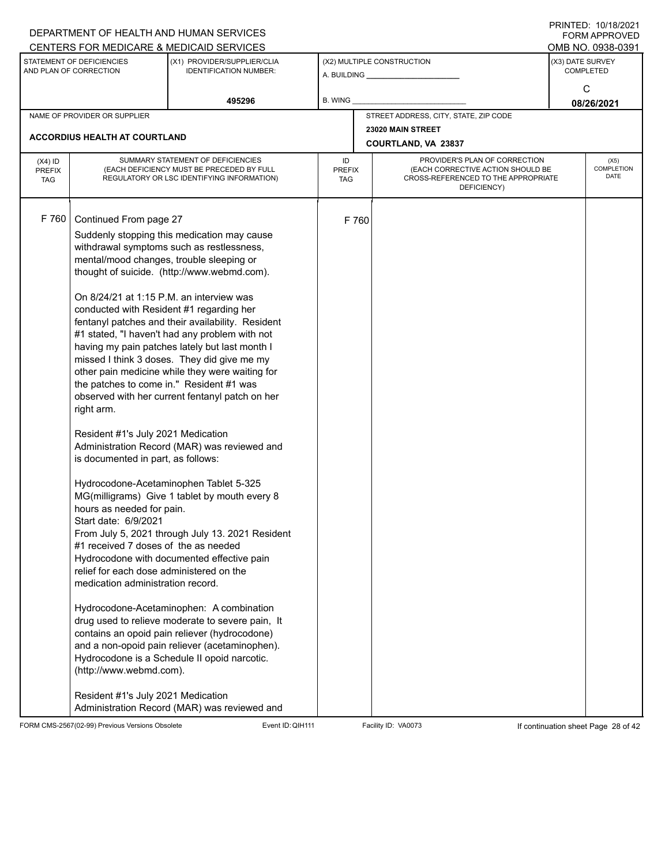|                                          |                                                                                                                                                                                                                                                                                                                                                                                                                                                                                                                                                 | DEPARTMENT OF HEALTH AND HUMAN SERVICES<br>CENTERS FOR MEDICARE & MEDICAID SERVICES                                                                                                                                                                                                                                                                                                                                                                                                                                                                                                                                                                                                                                                                                                                                                                                                                                                                                                                   |                                   |       |                                                                                                                          | FININTLU. TV/TO/ZVZT<br><b>FORM APPROVED</b><br>OMB NO. 0938-0391 |
|------------------------------------------|-------------------------------------------------------------------------------------------------------------------------------------------------------------------------------------------------------------------------------------------------------------------------------------------------------------------------------------------------------------------------------------------------------------------------------------------------------------------------------------------------------------------------------------------------|-------------------------------------------------------------------------------------------------------------------------------------------------------------------------------------------------------------------------------------------------------------------------------------------------------------------------------------------------------------------------------------------------------------------------------------------------------------------------------------------------------------------------------------------------------------------------------------------------------------------------------------------------------------------------------------------------------------------------------------------------------------------------------------------------------------------------------------------------------------------------------------------------------------------------------------------------------------------------------------------------------|-----------------------------------|-------|--------------------------------------------------------------------------------------------------------------------------|-------------------------------------------------------------------|
|                                          | STATEMENT OF DEFICIENCIES<br>AND PLAN OF CORRECTION                                                                                                                                                                                                                                                                                                                                                                                                                                                                                             | (X1) PROVIDER/SUPPLIER/CLIA<br><b>IDENTIFICATION NUMBER:</b>                                                                                                                                                                                                                                                                                                                                                                                                                                                                                                                                                                                                                                                                                                                                                                                                                                                                                                                                          |                                   |       | (X2) MULTIPLE CONSTRUCTION                                                                                               | (X3) DATE SURVEY<br><b>COMPLETED</b><br>C                         |
|                                          |                                                                                                                                                                                                                                                                                                                                                                                                                                                                                                                                                 | 495296                                                                                                                                                                                                                                                                                                                                                                                                                                                                                                                                                                                                                                                                                                                                                                                                                                                                                                                                                                                                | <b>B. WING</b>                    |       |                                                                                                                          | 08/26/2021                                                        |
|                                          | NAME OF PROVIDER OR SUPPLIER                                                                                                                                                                                                                                                                                                                                                                                                                                                                                                                    |                                                                                                                                                                                                                                                                                                                                                                                                                                                                                                                                                                                                                                                                                                                                                                                                                                                                                                                                                                                                       |                                   |       | STREET ADDRESS, CITY, STATE, ZIP CODE                                                                                    |                                                                   |
|                                          | ACCORDIUS HEALTH AT COURTLAND                                                                                                                                                                                                                                                                                                                                                                                                                                                                                                                   |                                                                                                                                                                                                                                                                                                                                                                                                                                                                                                                                                                                                                                                                                                                                                                                                                                                                                                                                                                                                       |                                   |       | 23020 MAIN STREET<br>COURTLAND, VA 23837                                                                                 |                                                                   |
| $(X4)$ ID<br><b>PREFIX</b><br><b>TAG</b> |                                                                                                                                                                                                                                                                                                                                                                                                                                                                                                                                                 | SUMMARY STATEMENT OF DEFICIENCIES<br>(EACH DEFICIENCY MUST BE PRECEDED BY FULL<br>REGULATORY OR LSC IDENTIFYING INFORMATION)                                                                                                                                                                                                                                                                                                                                                                                                                                                                                                                                                                                                                                                                                                                                                                                                                                                                          | ID<br><b>PREFIX</b><br><b>TAG</b> |       | PROVIDER'S PLAN OF CORRECTION<br>(EACH CORRECTIVE ACTION SHOULD BE<br>CROSS-REFERENCED TO THE APPROPRIATE<br>DEFICIENCY) | (X5)<br>COMPLETION<br><b>DATE</b>                                 |
| F 760                                    | Continued From page 27<br>mental/mood changes, trouble sleeping or<br>On 8/24/21 at 1:15 P.M. an interview was<br>conducted with Resident #1 regarding her<br>the patches to come in." Resident #1 was<br>right arm.<br>Resident #1's July 2021 Medication<br>is documented in part, as follows:<br>hours as needed for pain.<br>Start date: 6/9/2021<br>#1 received 7 doses of the as needed<br>relief for each dose administered on the<br>medication administration record.<br>(http://www.webmd.com).<br>Resident #1's July 2021 Medication | Suddenly stopping this medication may cause<br>withdrawal symptoms such as restlessness,<br>thought of suicide. (http://www.webmd.com).<br>fentanyl patches and their availability. Resident<br>#1 stated, "I haven't had any problem with not<br>having my pain patches lately but last month I<br>missed I think 3 doses. They did give me my<br>other pain medicine while they were waiting for<br>observed with her current fentanyl patch on her<br>Administration Record (MAR) was reviewed and<br>Hydrocodone-Acetaminophen Tablet 5-325<br>MG(milligrams) Give 1 tablet by mouth every 8<br>From July 5, 2021 through July 13. 2021 Resident<br>Hydrocodone with documented effective pain<br>Hydrocodone-Acetaminophen: A combination<br>drug used to relieve moderate to severe pain, It<br>contains an opoid pain reliever (hydrocodone)<br>and a non-opoid pain reliever (acetaminophen).<br>Hydrocodone is a Schedule II opoid narcotic.<br>Administration Record (MAR) was reviewed and |                                   | F 760 |                                                                                                                          |                                                                   |

FORM CMS-2567(02-99) Previous Versions Obsolete Event ID: QIH111 Facility ID: VA0073 If continuation sheet Page 28 of 42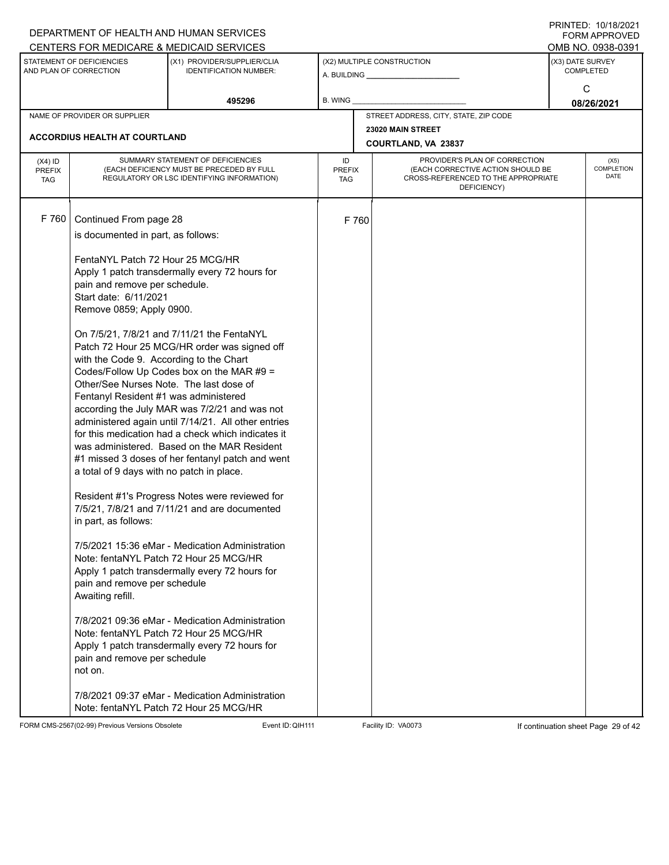|                                          |                                                                                                                                                                                                                                                                                                                                                                                                                                                | DEPARTMENT OF HEALTH AND HUMAN SERVICES                                                                                                                                                                                                                                                                                                                                                                                                                                                                                                                                                                                                                                                                                                                                                                                                                     |                            |       |                                                                                                                          | I ININTED. IVIIVIZVET<br>FORM APPROVED                    |
|------------------------------------------|------------------------------------------------------------------------------------------------------------------------------------------------------------------------------------------------------------------------------------------------------------------------------------------------------------------------------------------------------------------------------------------------------------------------------------------------|-------------------------------------------------------------------------------------------------------------------------------------------------------------------------------------------------------------------------------------------------------------------------------------------------------------------------------------------------------------------------------------------------------------------------------------------------------------------------------------------------------------------------------------------------------------------------------------------------------------------------------------------------------------------------------------------------------------------------------------------------------------------------------------------------------------------------------------------------------------|----------------------------|-------|--------------------------------------------------------------------------------------------------------------------------|-----------------------------------------------------------|
|                                          | STATEMENT OF DEFICIENCIES<br>AND PLAN OF CORRECTION                                                                                                                                                                                                                                                                                                                                                                                            | CENTERS FOR MEDICARE & MEDICAID SERVICES<br>(X1) PROVIDER/SUPPLIER/CLIA<br><b>IDENTIFICATION NUMBER:</b>                                                                                                                                                                                                                                                                                                                                                                                                                                                                                                                                                                                                                                                                                                                                                    |                            |       | (X2) MULTIPLE CONSTRUCTION<br>A. BUILDING A. BUILDING                                                                    | OMB NO. 0938-0391<br>(X3) DATE SURVEY<br><b>COMPLETED</b> |
|                                          |                                                                                                                                                                                                                                                                                                                                                                                                                                                | 495296                                                                                                                                                                                                                                                                                                                                                                                                                                                                                                                                                                                                                                                                                                                                                                                                                                                      | B. WING                    |       |                                                                                                                          | C<br>08/26/2021                                           |
|                                          | NAME OF PROVIDER OR SUPPLIER                                                                                                                                                                                                                                                                                                                                                                                                                   |                                                                                                                                                                                                                                                                                                                                                                                                                                                                                                                                                                                                                                                                                                                                                                                                                                                             |                            |       | STREET ADDRESS, CITY, STATE, ZIP CODE                                                                                    |                                                           |
|                                          | <b>ACCORDIUS HEALTH AT COURTLAND</b>                                                                                                                                                                                                                                                                                                                                                                                                           |                                                                                                                                                                                                                                                                                                                                                                                                                                                                                                                                                                                                                                                                                                                                                                                                                                                             |                            |       | 23020 MAIN STREET<br>COURTLAND, VA 23837                                                                                 |                                                           |
| $(X4)$ ID<br><b>PREFIX</b><br><b>TAG</b> |                                                                                                                                                                                                                                                                                                                                                                                                                                                | SUMMARY STATEMENT OF DEFICIENCIES<br>(EACH DEFICIENCY MUST BE PRECEDED BY FULL<br>REGULATORY OR LSC IDENTIFYING INFORMATION)                                                                                                                                                                                                                                                                                                                                                                                                                                                                                                                                                                                                                                                                                                                                | ID<br><b>PREFIX</b><br>TAG |       | PROVIDER'S PLAN OF CORRECTION<br>(EACH CORRECTIVE ACTION SHOULD BE<br>CROSS-REFERENCED TO THE APPROPRIATE<br>DEFICIENCY) | (X5)<br><b>COMPLETION</b><br><b>DATE</b>                  |
| F 760                                    | Continued From page 28<br>is documented in part, as follows:<br>FentaNYL Patch 72 Hour 25 MCG/HR<br>pain and remove per schedule.<br>Start date: 6/11/2021<br>Remove 0859; Apply 0900.<br>with the Code 9. According to the Chart<br>Other/See Nurses Note. The last dose of<br>Fentanyl Resident #1 was administered<br>a total of 9 days with no patch in place.<br>in part, as follows:<br>pain and remove per schedule<br>Awaiting refill. | Apply 1 patch transdermally every 72 hours for<br>On 7/5/21, 7/8/21 and 7/11/21 the FentaNYL<br>Patch 72 Hour 25 MCG/HR order was signed off<br>Codes/Follow Up Codes box on the MAR #9 =<br>according the July MAR was 7/2/21 and was not<br>administered again until 7/14/21. All other entries<br>for this medication had a check which indicates it<br>was administered. Based on the MAR Resident<br>#1 missed 3 doses of her fentanyl patch and went<br>Resident #1's Progress Notes were reviewed for<br>7/5/21, 7/8/21 and 7/11/21 and are documented<br>7/5/2021 15:36 eMar - Medication Administration<br>Note: fentaNYL Patch 72 Hour 25 MCG/HR<br>Apply 1 patch transdermally every 72 hours for<br>7/8/2021 09:36 eMar - Medication Administration<br>Note: fentaNYL Patch 72 Hour 25 MCG/HR<br>Apply 1 patch transdermally every 72 hours for |                            | F 760 |                                                                                                                          |                                                           |
|                                          | pain and remove per schedule<br>not on.                                                                                                                                                                                                                                                                                                                                                                                                        | 7/8/2021 09:37 eMar - Medication Administration<br>Note: fentaNYL Patch 72 Hour 25 MCG/HR                                                                                                                                                                                                                                                                                                                                                                                                                                                                                                                                                                                                                                                                                                                                                                   |                            |       |                                                                                                                          |                                                           |

FORM CMS-2567(02-99) Previous Versions Obsolete Event ID: QIH111 Facility ID: VA0073 If continuation sheet Page 29 of 42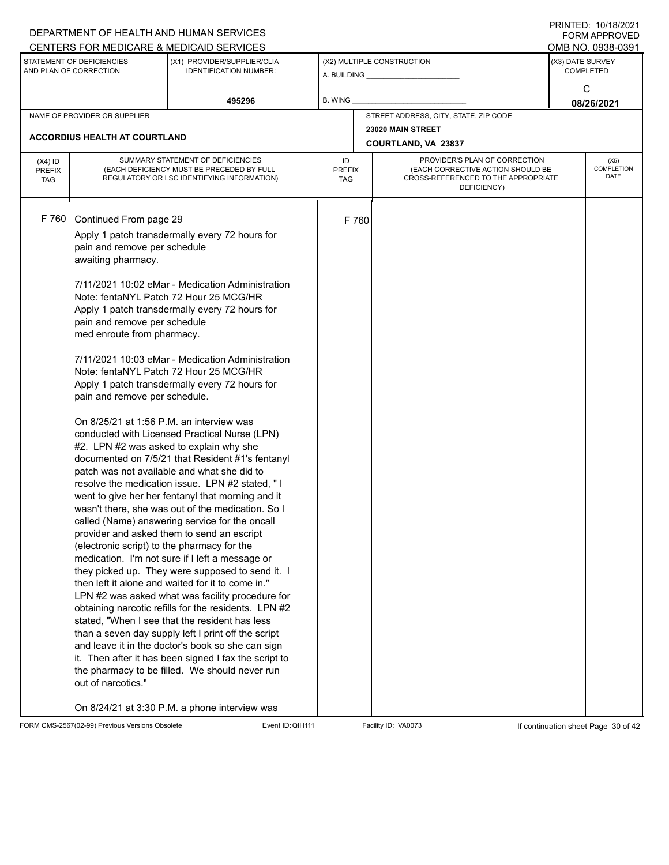| DEPARTMENT OF HEALTH AND HUMAN SERVICES                                                                                                                                                                                                                                                                                                                                                                                                                                                                                                                                                                                                                                                                                                                                                                                                                                                             |                                                                                                                                                                                                                                                                                                                                                                                                                                                                                                                                                                                                                                                                                                                                                               |                                   |                                                                                                                          | <b>FORM APPROVED</b>                     |
|-----------------------------------------------------------------------------------------------------------------------------------------------------------------------------------------------------------------------------------------------------------------------------------------------------------------------------------------------------------------------------------------------------------------------------------------------------------------------------------------------------------------------------------------------------------------------------------------------------------------------------------------------------------------------------------------------------------------------------------------------------------------------------------------------------------------------------------------------------------------------------------------------------|---------------------------------------------------------------------------------------------------------------------------------------------------------------------------------------------------------------------------------------------------------------------------------------------------------------------------------------------------------------------------------------------------------------------------------------------------------------------------------------------------------------------------------------------------------------------------------------------------------------------------------------------------------------------------------------------------------------------------------------------------------------|-----------------------------------|--------------------------------------------------------------------------------------------------------------------------|------------------------------------------|
| CENTERS FOR MEDICARE & MEDICAID SERVICES                                                                                                                                                                                                                                                                                                                                                                                                                                                                                                                                                                                                                                                                                                                                                                                                                                                            |                                                                                                                                                                                                                                                                                                                                                                                                                                                                                                                                                                                                                                                                                                                                                               |                                   |                                                                                                                          | OMB NO. 0938-0391                        |
| STATEMENT OF DEFICIENCIES<br>AND PLAN OF CORRECTION                                                                                                                                                                                                                                                                                                                                                                                                                                                                                                                                                                                                                                                                                                                                                                                                                                                 | (X1) PROVIDER/SUPPLIER/CLIA<br><b>IDENTIFICATION NUMBER:</b>                                                                                                                                                                                                                                                                                                                                                                                                                                                                                                                                                                                                                                                                                                  |                                   | (X2) MULTIPLE CONSTRUCTION                                                                                               | (X3) DATE SURVEY<br><b>COMPLETED</b>     |
|                                                                                                                                                                                                                                                                                                                                                                                                                                                                                                                                                                                                                                                                                                                                                                                                                                                                                                     | 495296                                                                                                                                                                                                                                                                                                                                                                                                                                                                                                                                                                                                                                                                                                                                                        | B. WING                           |                                                                                                                          | C<br>08/26/2021                          |
| NAME OF PROVIDER OR SUPPLIER                                                                                                                                                                                                                                                                                                                                                                                                                                                                                                                                                                                                                                                                                                                                                                                                                                                                        |                                                                                                                                                                                                                                                                                                                                                                                                                                                                                                                                                                                                                                                                                                                                                               |                                   | STREET ADDRESS, CITY, STATE, ZIP CODE                                                                                    |                                          |
|                                                                                                                                                                                                                                                                                                                                                                                                                                                                                                                                                                                                                                                                                                                                                                                                                                                                                                     |                                                                                                                                                                                                                                                                                                                                                                                                                                                                                                                                                                                                                                                                                                                                                               |                                   | 23020 MAIN STREET                                                                                                        |                                          |
| <b>ACCORDIUS HEALTH AT COURTLAND</b>                                                                                                                                                                                                                                                                                                                                                                                                                                                                                                                                                                                                                                                                                                                                                                                                                                                                |                                                                                                                                                                                                                                                                                                                                                                                                                                                                                                                                                                                                                                                                                                                                                               |                                   | <b>COURTLAND, VA 23837</b>                                                                                               |                                          |
| $(X4)$ ID<br><b>PREFIX</b><br><b>TAG</b>                                                                                                                                                                                                                                                                                                                                                                                                                                                                                                                                                                                                                                                                                                                                                                                                                                                            | SUMMARY STATEMENT OF DEFICIENCIES<br>(EACH DEFICIENCY MUST BE PRECEDED BY FULL<br>REGULATORY OR LSC IDENTIFYING INFORMATION)                                                                                                                                                                                                                                                                                                                                                                                                                                                                                                                                                                                                                                  | ID<br><b>PREFIX</b><br><b>TAG</b> | PROVIDER'S PLAN OF CORRECTION<br>(EACH CORRECTIVE ACTION SHOULD BE<br>CROSS-REFERENCED TO THE APPROPRIATE<br>DEFICIENCY) | (X5)<br><b>COMPLETION</b><br><b>DATE</b> |
| F 760<br>Continued From page 29<br>Apply 1 patch transdermally every 72 hours for<br>pain and remove per schedule<br>awaiting pharmacy.<br>Note: fentaNYL Patch 72 Hour 25 MCG/HR<br>Apply 1 patch transdermally every 72 hours for<br>pain and remove per schedule<br>med enroute from pharmacy.<br>Note: fentaNYL Patch 72 Hour 25 MCG/HR<br>Apply 1 patch transdermally every 72 hours for<br>pain and remove per schedule.<br>On 8/25/21 at 1:56 P.M. an interview was<br>#2. LPN #2 was asked to explain why she<br>patch was not available and what she did to<br>called (Name) answering service for the oncall<br>provider and asked them to send an escript<br>(electronic script) to the pharmacy for the<br>medication. I'm not sure if I left a message or<br>then left it alone and waited for it to come in."<br>stated, "When I see that the resident has less<br>out of narcotics." | 7/11/2021 10:02 eMar - Medication Administration<br>7/11/2021 10:03 eMar - Medication Administration<br>conducted with Licensed Practical Nurse (LPN)<br>documented on 7/5/21 that Resident #1's fentanyl<br>resolve the medication issue. LPN #2 stated, "I<br>went to give her her fentanyl that morning and it<br>wasn't there, she was out of the medication. So I<br>they picked up. They were supposed to send it. I<br>LPN #2 was asked what was facility procedure for<br>obtaining narcotic refills for the residents. LPN #2<br>than a seven day supply left I print off the script<br>and leave it in the doctor's book so she can sign<br>it. Then after it has been signed I fax the script to<br>the pharmacy to be filled. We should never run | F 760                             |                                                                                                                          |                                          |

FORM CMS-2567(02-99) Previous Versions Obsolete Event ID: QIH111 Facility ID: VA0073 If continuation sheet Page 30 of 42

DEPARTMENT OF HEALTH AND HUMAN SERVICES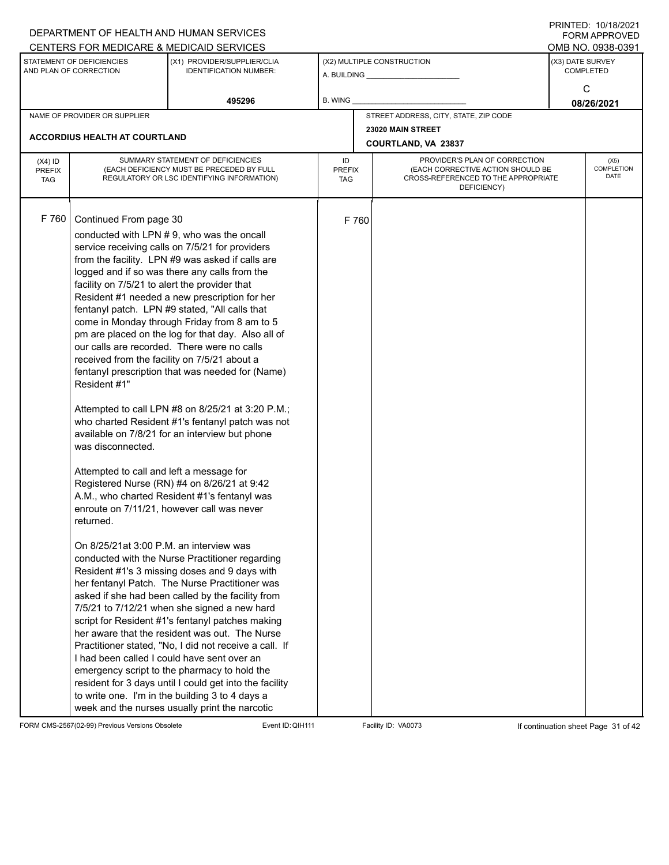|                                          |                                                                                                                                                                                                                                                                  | DEPARTMENT OF HEALTH AND HUMAN SERVICES<br>CENTERS FOR MEDICARE & MEDICAID SERVICES                                                                                                                                                                                                                                                                                                                                                                                                                                                                                                                                                                                                                                                                                                                                                                                                                                                                                                                                                                                                                                                                                                                                                                                                                                                                                                                                                                                                                             |                                   |       |                                                                                                                          |                  | FININILD. IVIIVIZVZI<br><b>FORM APPROVED</b><br>OMB NO. 0938-0391 |
|------------------------------------------|------------------------------------------------------------------------------------------------------------------------------------------------------------------------------------------------------------------------------------------------------------------|-----------------------------------------------------------------------------------------------------------------------------------------------------------------------------------------------------------------------------------------------------------------------------------------------------------------------------------------------------------------------------------------------------------------------------------------------------------------------------------------------------------------------------------------------------------------------------------------------------------------------------------------------------------------------------------------------------------------------------------------------------------------------------------------------------------------------------------------------------------------------------------------------------------------------------------------------------------------------------------------------------------------------------------------------------------------------------------------------------------------------------------------------------------------------------------------------------------------------------------------------------------------------------------------------------------------------------------------------------------------------------------------------------------------------------------------------------------------------------------------------------------------|-----------------------------------|-------|--------------------------------------------------------------------------------------------------------------------------|------------------|-------------------------------------------------------------------|
|                                          | STATEMENT OF DEFICIENCIES<br>AND PLAN OF CORRECTION                                                                                                                                                                                                              | (X1) PROVIDER/SUPPLIER/CLIA<br><b>IDENTIFICATION NUMBER:</b>                                                                                                                                                                                                                                                                                                                                                                                                                                                                                                                                                                                                                                                                                                                                                                                                                                                                                                                                                                                                                                                                                                                                                                                                                                                                                                                                                                                                                                                    |                                   |       | (X2) MULTIPLE CONSTRUCTION                                                                                               | (X3) DATE SURVEY | <b>COMPLETED</b><br>C                                             |
|                                          |                                                                                                                                                                                                                                                                  | 495296                                                                                                                                                                                                                                                                                                                                                                                                                                                                                                                                                                                                                                                                                                                                                                                                                                                                                                                                                                                                                                                                                                                                                                                                                                                                                                                                                                                                                                                                                                          | <b>B. WING</b>                    |       |                                                                                                                          |                  | 08/26/2021                                                        |
|                                          | NAME OF PROVIDER OR SUPPLIER                                                                                                                                                                                                                                     |                                                                                                                                                                                                                                                                                                                                                                                                                                                                                                                                                                                                                                                                                                                                                                                                                                                                                                                                                                                                                                                                                                                                                                                                                                                                                                                                                                                                                                                                                                                 |                                   |       | STREET ADDRESS, CITY, STATE, ZIP CODE                                                                                    |                  |                                                                   |
|                                          | <b>ACCORDIUS HEALTH AT COURTLAND</b>                                                                                                                                                                                                                             |                                                                                                                                                                                                                                                                                                                                                                                                                                                                                                                                                                                                                                                                                                                                                                                                                                                                                                                                                                                                                                                                                                                                                                                                                                                                                                                                                                                                                                                                                                                 |                                   |       | 23020 MAIN STREET<br>COURTLAND, VA 23837                                                                                 |                  |                                                                   |
| $(X4)$ ID<br><b>PREFIX</b><br><b>TAG</b> |                                                                                                                                                                                                                                                                  | SUMMARY STATEMENT OF DEFICIENCIES<br>(EACH DEFICIENCY MUST BE PRECEDED BY FULL<br>REGULATORY OR LSC IDENTIFYING INFORMATION)                                                                                                                                                                                                                                                                                                                                                                                                                                                                                                                                                                                                                                                                                                                                                                                                                                                                                                                                                                                                                                                                                                                                                                                                                                                                                                                                                                                    | ID<br><b>PREFIX</b><br><b>TAG</b> |       | PROVIDER'S PLAN OF CORRECTION<br>(EACH CORRECTIVE ACTION SHOULD BE<br>CROSS-REFERENCED TO THE APPROPRIATE<br>DEFICIENCY) |                  | (X5)<br>COMPLETION<br><b>DATE</b>                                 |
| F 760                                    | Continued From page 30<br>facility on 7/5/21 to alert the provider that<br>received from the facility on 7/5/21 about a<br>Resident #1"<br>was disconnected.<br>Attempted to call and left a message for<br>returned.<br>On 8/25/21at 3:00 P.M. an interview was | conducted with LPN #9, who was the oncall<br>service receiving calls on 7/5/21 for providers<br>from the facility. LPN #9 was asked if calls are<br>logged and if so was there any calls from the<br>Resident #1 needed a new prescription for her<br>fentanyl patch. LPN #9 stated, "All calls that<br>come in Monday through Friday from 8 am to 5<br>pm are placed on the log for that day. Also all of<br>our calls are recorded. There were no calls<br>fentanyl prescription that was needed for (Name)<br>Attempted to call LPN #8 on 8/25/21 at 3:20 P.M.;<br>who charted Resident #1's fentanyl patch was not<br>available on 7/8/21 for an interview but phone<br>Registered Nurse (RN) #4 on 8/26/21 at 9:42<br>A.M., who charted Resident #1's fentanyl was<br>enroute on 7/11/21, however call was never<br>conducted with the Nurse Practitioner regarding<br>Resident #1's 3 missing doses and 9 days with<br>her fentanyl Patch. The Nurse Practitioner was<br>asked if she had been called by the facility from<br>7/5/21 to 7/12/21 when she signed a new hard<br>script for Resident #1's fentanyl patches making<br>her aware that the resident was out. The Nurse<br>Practitioner stated, "No, I did not receive a call. If<br>I had been called I could have sent over an<br>emergency script to the pharmacy to hold the<br>resident for 3 days until I could get into the facility<br>to write one. I'm in the building 3 to 4 days a<br>week and the nurses usually print the narcotic |                                   | F 760 |                                                                                                                          |                  |                                                                   |

FORM CMS-2567(02-99) Previous Versions Obsolete Event ID:QIH111 Facility ID: VA0073 If continuation sheet Page 31 of 42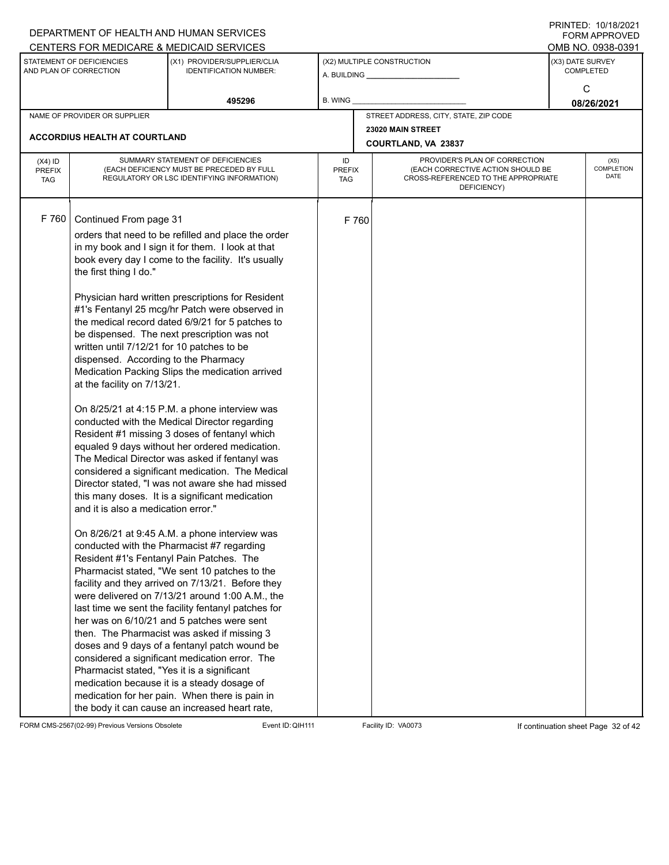|                                          |                                                                                                                                                                                                                                                                                                         | DEPARTMENT OF HEALTH AND HUMAN SERVICES                                                                                                                                                                                                                                                                                                                                                                                                                                                                                                                                                                                                                                                                                                                                                                                                                                                                                                                                                                                                                                                                                                                                                                                                                                                                                                                                                                                                                        |                     |       |                                                                                                                          | $1 \times 1 \times 1 = 1$ . $1 \times 1 \times 1 = 1$<br>FORM APPROVED |
|------------------------------------------|---------------------------------------------------------------------------------------------------------------------------------------------------------------------------------------------------------------------------------------------------------------------------------------------------------|----------------------------------------------------------------------------------------------------------------------------------------------------------------------------------------------------------------------------------------------------------------------------------------------------------------------------------------------------------------------------------------------------------------------------------------------------------------------------------------------------------------------------------------------------------------------------------------------------------------------------------------------------------------------------------------------------------------------------------------------------------------------------------------------------------------------------------------------------------------------------------------------------------------------------------------------------------------------------------------------------------------------------------------------------------------------------------------------------------------------------------------------------------------------------------------------------------------------------------------------------------------------------------------------------------------------------------------------------------------------------------------------------------------------------------------------------------------|---------------------|-------|--------------------------------------------------------------------------------------------------------------------------|------------------------------------------------------------------------|
|                                          |                                                                                                                                                                                                                                                                                                         | CENTERS FOR MEDICARE & MEDICAID SERVICES                                                                                                                                                                                                                                                                                                                                                                                                                                                                                                                                                                                                                                                                                                                                                                                                                                                                                                                                                                                                                                                                                                                                                                                                                                                                                                                                                                                                                       |                     |       |                                                                                                                          | OMB NO. 0938-0391                                                      |
|                                          | STATEMENT OF DEFICIENCIES<br>AND PLAN OF CORRECTION                                                                                                                                                                                                                                                     | (X1) PROVIDER/SUPPLIER/CLIA<br><b>IDENTIFICATION NUMBER:</b>                                                                                                                                                                                                                                                                                                                                                                                                                                                                                                                                                                                                                                                                                                                                                                                                                                                                                                                                                                                                                                                                                                                                                                                                                                                                                                                                                                                                   |                     |       | (X2) MULTIPLE CONSTRUCTION                                                                                               | (X3) DATE SURVEY<br><b>COMPLETED</b>                                   |
|                                          |                                                                                                                                                                                                                                                                                                         | 495296                                                                                                                                                                                                                                                                                                                                                                                                                                                                                                                                                                                                                                                                                                                                                                                                                                                                                                                                                                                                                                                                                                                                                                                                                                                                                                                                                                                                                                                         | B. WING             |       |                                                                                                                          | C<br>08/26/2021                                                        |
|                                          | NAME OF PROVIDER OR SUPPLIER                                                                                                                                                                                                                                                                            |                                                                                                                                                                                                                                                                                                                                                                                                                                                                                                                                                                                                                                                                                                                                                                                                                                                                                                                                                                                                                                                                                                                                                                                                                                                                                                                                                                                                                                                                |                     |       | STREET ADDRESS, CITY, STATE, ZIP CODE                                                                                    |                                                                        |
|                                          |                                                                                                                                                                                                                                                                                                         |                                                                                                                                                                                                                                                                                                                                                                                                                                                                                                                                                                                                                                                                                                                                                                                                                                                                                                                                                                                                                                                                                                                                                                                                                                                                                                                                                                                                                                                                |                     |       | 23020 MAIN STREET                                                                                                        |                                                                        |
|                                          | <b>ACCORDIUS HEALTH AT COURTLAND</b>                                                                                                                                                                                                                                                                    |                                                                                                                                                                                                                                                                                                                                                                                                                                                                                                                                                                                                                                                                                                                                                                                                                                                                                                                                                                                                                                                                                                                                                                                                                                                                                                                                                                                                                                                                |                     |       | COURTLAND, VA 23837                                                                                                      |                                                                        |
| $(X4)$ ID<br><b>PREFIX</b><br><b>TAG</b> |                                                                                                                                                                                                                                                                                                         | SUMMARY STATEMENT OF DEFICIENCIES<br>(EACH DEFICIENCY MUST BE PRECEDED BY FULL<br>REGULATORY OR LSC IDENTIFYING INFORMATION)                                                                                                                                                                                                                                                                                                                                                                                                                                                                                                                                                                                                                                                                                                                                                                                                                                                                                                                                                                                                                                                                                                                                                                                                                                                                                                                                   | ID<br>PREFIX<br>TAG |       | PROVIDER'S PLAN OF CORRECTION<br>(EACH CORRECTIVE ACTION SHOULD BE<br>CROSS-REFERENCED TO THE APPROPRIATE<br>DEFICIENCY) | (X5)<br>COMPLETION<br>DATE                                             |
| F 760                                    | Continued From page 31<br>the first thing I do."<br>written until 7/12/21 for 10 patches to be<br>dispensed. According to the Pharmacy<br>at the facility on 7/13/21.<br>and it is also a medication error."<br>Resident #1's Fentanyl Pain Patches. The<br>Pharmacist stated, "Yes it is a significant | orders that need to be refilled and place the order<br>in my book and I sign it for them. I look at that<br>book every day I come to the facility. It's usually<br>Physician hard written prescriptions for Resident<br>#1's Fentanyl 25 mcg/hr Patch were observed in<br>the medical record dated 6/9/21 for 5 patches to<br>be dispensed. The next prescription was not<br>Medication Packing Slips the medication arrived<br>On 8/25/21 at 4:15 P.M. a phone interview was<br>conducted with the Medical Director regarding<br>Resident #1 missing 3 doses of fentanyl which<br>equaled 9 days without her ordered medication.<br>The Medical Director was asked if fentanyl was<br>considered a significant medication. The Medical<br>Director stated, "I was not aware she had missed<br>this many doses. It is a significant medication<br>On 8/26/21 at 9:45 A.M. a phone interview was<br>conducted with the Pharmacist #7 regarding<br>Pharmacist stated, "We sent 10 patches to the<br>facility and they arrived on 7/13/21. Before they<br>were delivered on 7/13/21 around 1:00 A.M., the<br>last time we sent the facility fentanyl patches for<br>her was on 6/10/21 and 5 patches were sent<br>then. The Pharmacist was asked if missing 3<br>doses and 9 days of a fentanyl patch wound be<br>considered a significant medication error. The<br>medication because it is a steady dosage of<br>medication for her pain. When there is pain in |                     | F 760 |                                                                                                                          |                                                                        |
|                                          |                                                                                                                                                                                                                                                                                                         | the body it can cause an increased heart rate,                                                                                                                                                                                                                                                                                                                                                                                                                                                                                                                                                                                                                                                                                                                                                                                                                                                                                                                                                                                                                                                                                                                                                                                                                                                                                                                                                                                                                 |                     |       |                                                                                                                          |                                                                        |

FORM CMS-2567(02-99) Previous Versions Obsolete Event ID: QIH111 Facility ID: VA0073 If continuation sheet Page 32 of 42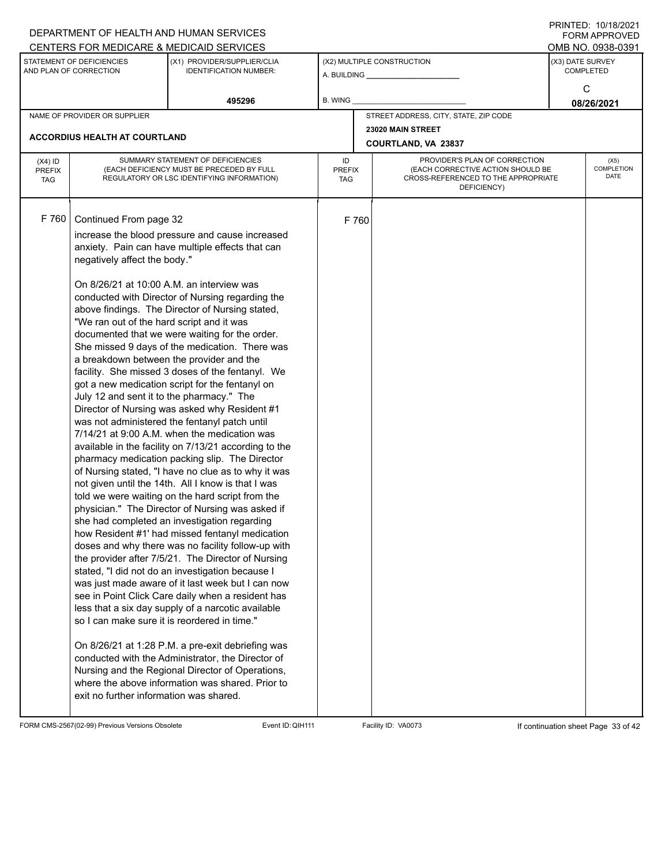|                                          | DEPARTMENT OF HEALTH AND HUMAN SERVICES                                                                                                                                                                                                                                                  |                                                                                                                                                                                                                                                                                                                                                                                                                                                                                                                                                                                                                                                                                                                                                                                                                                                                                                                                                                                                                                                                                                                                                                                                                                                                                                                                                                                                                                                                                                                                                                                                          |                            |                                                                                                                          | <b>FORM APPROVED</b>                     |
|------------------------------------------|------------------------------------------------------------------------------------------------------------------------------------------------------------------------------------------------------------------------------------------------------------------------------------------|----------------------------------------------------------------------------------------------------------------------------------------------------------------------------------------------------------------------------------------------------------------------------------------------------------------------------------------------------------------------------------------------------------------------------------------------------------------------------------------------------------------------------------------------------------------------------------------------------------------------------------------------------------------------------------------------------------------------------------------------------------------------------------------------------------------------------------------------------------------------------------------------------------------------------------------------------------------------------------------------------------------------------------------------------------------------------------------------------------------------------------------------------------------------------------------------------------------------------------------------------------------------------------------------------------------------------------------------------------------------------------------------------------------------------------------------------------------------------------------------------------------------------------------------------------------------------------------------------------|----------------------------|--------------------------------------------------------------------------------------------------------------------------|------------------------------------------|
|                                          |                                                                                                                                                                                                                                                                                          | CENTERS FOR MEDICARE & MEDICAID SERVICES                                                                                                                                                                                                                                                                                                                                                                                                                                                                                                                                                                                                                                                                                                                                                                                                                                                                                                                                                                                                                                                                                                                                                                                                                                                                                                                                                                                                                                                                                                                                                                 |                            |                                                                                                                          | OMB NO. 0938-0391                        |
|                                          | STATEMENT OF DEFICIENCIES<br>AND PLAN OF CORRECTION                                                                                                                                                                                                                                      | (X1) PROVIDER/SUPPLIER/CLIA<br><b>IDENTIFICATION NUMBER:</b>                                                                                                                                                                                                                                                                                                                                                                                                                                                                                                                                                                                                                                                                                                                                                                                                                                                                                                                                                                                                                                                                                                                                                                                                                                                                                                                                                                                                                                                                                                                                             |                            | (X2) MULTIPLE CONSTRUCTION                                                                                               | (X3) DATE SURVEY<br>COMPLETED            |
|                                          |                                                                                                                                                                                                                                                                                          | 495296                                                                                                                                                                                                                                                                                                                                                                                                                                                                                                                                                                                                                                                                                                                                                                                                                                                                                                                                                                                                                                                                                                                                                                                                                                                                                                                                                                                                                                                                                                                                                                                                   | <b>B. WING</b>             |                                                                                                                          | C<br>08/26/2021                          |
|                                          | NAME OF PROVIDER OR SUPPLIER                                                                                                                                                                                                                                                             |                                                                                                                                                                                                                                                                                                                                                                                                                                                                                                                                                                                                                                                                                                                                                                                                                                                                                                                                                                                                                                                                                                                                                                                                                                                                                                                                                                                                                                                                                                                                                                                                          |                            | STREET ADDRESS, CITY, STATE, ZIP CODE                                                                                    |                                          |
|                                          | <b>ACCORDIUS HEALTH AT COURTLAND</b>                                                                                                                                                                                                                                                     |                                                                                                                                                                                                                                                                                                                                                                                                                                                                                                                                                                                                                                                                                                                                                                                                                                                                                                                                                                                                                                                                                                                                                                                                                                                                                                                                                                                                                                                                                                                                                                                                          |                            | 23020 MAIN STREET<br><b>COURTLAND, VA 23837</b>                                                                          |                                          |
| $(X4)$ ID<br><b>PREFIX</b><br><b>TAG</b> |                                                                                                                                                                                                                                                                                          | SUMMARY STATEMENT OF DEFICIENCIES<br>(EACH DEFICIENCY MUST BE PRECEDED BY FULL<br>REGULATORY OR LSC IDENTIFYING INFORMATION)                                                                                                                                                                                                                                                                                                                                                                                                                                                                                                                                                                                                                                                                                                                                                                                                                                                                                                                                                                                                                                                                                                                                                                                                                                                                                                                                                                                                                                                                             | ID<br>PREFIX<br><b>TAG</b> | PROVIDER'S PLAN OF CORRECTION<br>(EACH CORRECTIVE ACTION SHOULD BE<br>CROSS-REFERENCED TO THE APPROPRIATE<br>DEFICIENCY) | (X5)<br><b>COMPLETION</b><br><b>DATE</b> |
| F 760                                    | Continued From page 32<br>negatively affect the body."<br>On 8/26/21 at 10:00 A.M. an interview was<br>"We ran out of the hard script and it was<br>July 12 and sent it to the pharmacy." The<br>so I can make sure it is reordered in time."<br>exit no further information was shared. | increase the blood pressure and cause increased<br>anxiety. Pain can have multiple effects that can<br>conducted with Director of Nursing regarding the<br>above findings. The Director of Nursing stated,<br>documented that we were waiting for the order.<br>She missed 9 days of the medication. There was<br>a breakdown between the provider and the<br>facility. She missed 3 doses of the fentanyl. We<br>got a new medication script for the fentanyl on<br>Director of Nursing was asked why Resident #1<br>was not administered the fentanyl patch until<br>7/14/21 at 9:00 A.M. when the medication was<br>available in the facility on 7/13/21 according to the<br>pharmacy medication packing slip. The Director<br>of Nursing stated, "I have no clue as to why it was<br>not given until the 14th. All I know is that I was<br>told we were waiting on the hard script from the<br>physician." The Director of Nursing was asked if<br>she had completed an investigation regarding<br>how Resident #1' had missed fentanyl medication<br>doses and why there was no facility follow-up with<br>the provider after 7/5/21. The Director of Nursing<br>stated, "I did not do an investigation because I<br>was just made aware of it last week but I can now<br>see in Point Click Care daily when a resident has<br>less that a six day supply of a narcotic available<br>On 8/26/21 at 1:28 P.M. a pre-exit debriefing was<br>conducted with the Administrator, the Director of<br>Nursing and the Regional Director of Operations,<br>where the above information was shared. Prior to | F 760                      |                                                                                                                          |                                          |

FORM CMS-2567(02-99) Previous Versions Obsolete Event ID: QIH111 Facility ID: VA0073 If continuation sheet Page 33 of 42

DEPARTMENT OF HEALTH AND HUMAN SERVICES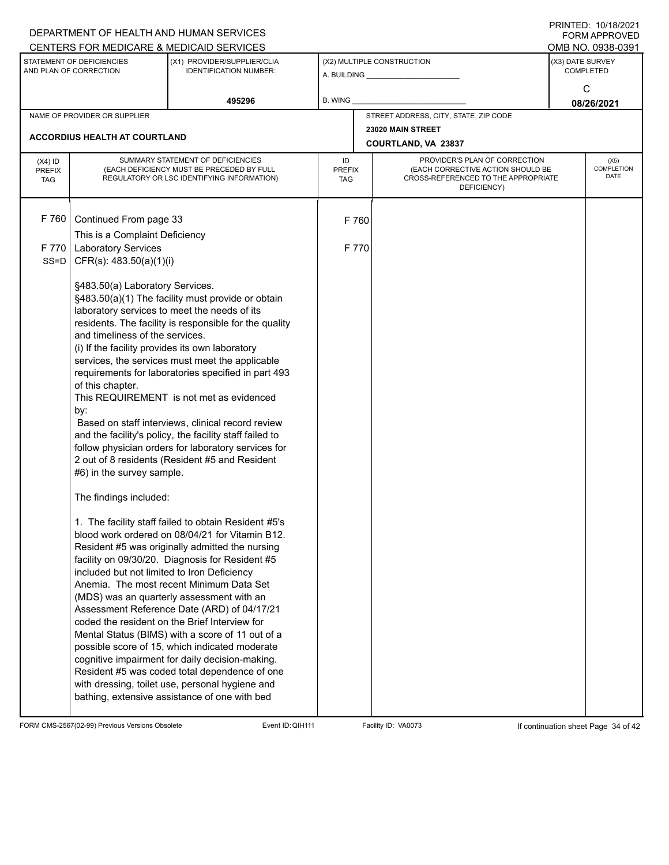|                                          |                                                                                                                                                                                                                                                        | DEPARTMENT OF HEALTH AND HUMAN SERVICES                                                                                                                                                                                                                                                                                                                                                                                                                                                                                                                                                                                                                                                                                                                                                                                                                                                                                                                                                                                                                                                                                                                                                                                                                            |                            |                                                                                                                          |                  | $1 \times 1 \times 1 = 1$ . $1 \times 1 \times 1 = 1$<br><b>FORM APPROVED</b><br>OMB NO. 0938-0391 |
|------------------------------------------|--------------------------------------------------------------------------------------------------------------------------------------------------------------------------------------------------------------------------------------------------------|--------------------------------------------------------------------------------------------------------------------------------------------------------------------------------------------------------------------------------------------------------------------------------------------------------------------------------------------------------------------------------------------------------------------------------------------------------------------------------------------------------------------------------------------------------------------------------------------------------------------------------------------------------------------------------------------------------------------------------------------------------------------------------------------------------------------------------------------------------------------------------------------------------------------------------------------------------------------------------------------------------------------------------------------------------------------------------------------------------------------------------------------------------------------------------------------------------------------------------------------------------------------|----------------------------|--------------------------------------------------------------------------------------------------------------------------|------------------|----------------------------------------------------------------------------------------------------|
|                                          | STATEMENT OF DEFICIENCIES<br>AND PLAN OF CORRECTION                                                                                                                                                                                                    | CENTERS FOR MEDICARE & MEDICAID SERVICES<br>(X1) PROVIDER/SUPPLIER/CLIA<br><b>IDENTIFICATION NUMBER:</b>                                                                                                                                                                                                                                                                                                                                                                                                                                                                                                                                                                                                                                                                                                                                                                                                                                                                                                                                                                                                                                                                                                                                                           |                            | (X2) MULTIPLE CONSTRUCTION<br>A. BUILDING <b>A.</b> BUILDING                                                             | (X3) DATE SURVEY | <b>COMPLETED</b>                                                                                   |
|                                          |                                                                                                                                                                                                                                                        | 495296                                                                                                                                                                                                                                                                                                                                                                                                                                                                                                                                                                                                                                                                                                                                                                                                                                                                                                                                                                                                                                                                                                                                                                                                                                                             | B. WING                    |                                                                                                                          |                  | C<br>08/26/2021                                                                                    |
|                                          | NAME OF PROVIDER OR SUPPLIER                                                                                                                                                                                                                           |                                                                                                                                                                                                                                                                                                                                                                                                                                                                                                                                                                                                                                                                                                                                                                                                                                                                                                                                                                                                                                                                                                                                                                                                                                                                    |                            | STREET ADDRESS, CITY, STATE, ZIP CODE                                                                                    |                  |                                                                                                    |
|                                          | ACCORDIUS HEALTH AT COURTLAND                                                                                                                                                                                                                          |                                                                                                                                                                                                                                                                                                                                                                                                                                                                                                                                                                                                                                                                                                                                                                                                                                                                                                                                                                                                                                                                                                                                                                                                                                                                    |                            | 23020 MAIN STREET                                                                                                        |                  |                                                                                                    |
|                                          |                                                                                                                                                                                                                                                        |                                                                                                                                                                                                                                                                                                                                                                                                                                                                                                                                                                                                                                                                                                                                                                                                                                                                                                                                                                                                                                                                                                                                                                                                                                                                    |                            | COURTLAND, VA 23837                                                                                                      |                  |                                                                                                    |
| $(X4)$ ID<br><b>PREFIX</b><br><b>TAG</b> |                                                                                                                                                                                                                                                        | SUMMARY STATEMENT OF DEFICIENCIES<br>(EACH DEFICIENCY MUST BE PRECEDED BY FULL<br>REGULATORY OR LSC IDENTIFYING INFORMATION)                                                                                                                                                                                                                                                                                                                                                                                                                                                                                                                                                                                                                                                                                                                                                                                                                                                                                                                                                                                                                                                                                                                                       | ID<br><b>PREFIX</b><br>TAG | PROVIDER'S PLAN OF CORRECTION<br>(EACH CORRECTIVE ACTION SHOULD BE<br>CROSS-REFERENCED TO THE APPROPRIATE<br>DEFICIENCY) |                  | (X5)<br><b>COMPLETION</b><br><b>DATE</b>                                                           |
| F 760                                    | Continued From page 33<br>This is a Complaint Deficiency                                                                                                                                                                                               |                                                                                                                                                                                                                                                                                                                                                                                                                                                                                                                                                                                                                                                                                                                                                                                                                                                                                                                                                                                                                                                                                                                                                                                                                                                                    | F 760                      |                                                                                                                          |                  |                                                                                                    |
| F 770<br>$SS = D$                        | <b>Laboratory Services</b><br>CFR(s): 483.50(a)(1)(i)                                                                                                                                                                                                  |                                                                                                                                                                                                                                                                                                                                                                                                                                                                                                                                                                                                                                                                                                                                                                                                                                                                                                                                                                                                                                                                                                                                                                                                                                                                    | F 770                      |                                                                                                                          |                  |                                                                                                    |
|                                          | §483.50(a) Laboratory Services.<br>and timeliness of the services.<br>(i) If the facility provides its own laboratory<br>of this chapter.<br>by:<br>#6) in the survey sample.<br>The findings included:<br>included but not limited to Iron Deficiency | §483.50(a)(1) The facility must provide or obtain<br>laboratory services to meet the needs of its<br>residents. The facility is responsible for the quality<br>services, the services must meet the applicable<br>requirements for laboratories specified in part 493<br>This REQUIREMENT is not met as evidenced<br>Based on staff interviews, clinical record review<br>and the facility's policy, the facility staff failed to<br>follow physician orders for laboratory services for<br>2 out of 8 residents (Resident #5 and Resident<br>1. The facility staff failed to obtain Resident #5's<br>blood work ordered on 08/04/21 for Vitamin B12.<br>Resident #5 was originally admitted the nursing<br>facility on 09/30/20. Diagnosis for Resident #5<br>Anemia. The most recent Minimum Data Set<br>(MDS) was an quarterly assessment with an<br>Assessment Reference Date (ARD) of 04/17/21<br>coded the resident on the Brief Interview for<br>Mental Status (BIMS) with a score of 11 out of a<br>possible score of 15, which indicated moderate<br>cognitive impairment for daily decision-making.<br>Resident #5 was coded total dependence of one<br>with dressing, toilet use, personal hygiene and<br>bathing, extensive assistance of one with bed |                            |                                                                                                                          |                  |                                                                                                    |

FORM CMS-2567(02-99) Previous Versions Obsolete Event ID:QIH111 Facility ID: VA0073 If continuation sheet Page 34 of 42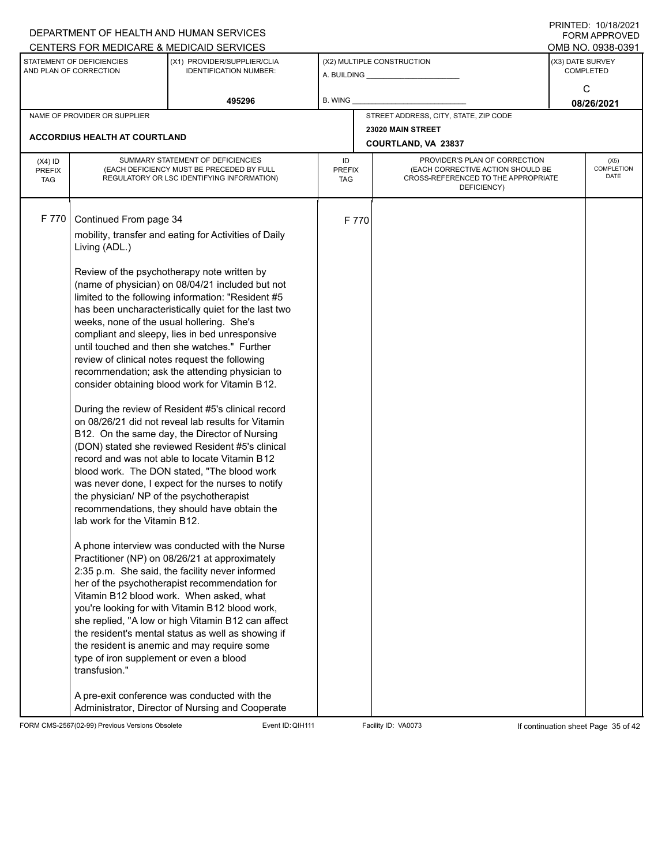|               |                                                          | DEPARTMENT OF HEALTH AND HUMAN SERVICES                                                                |                      |       |                                                                          | $1 \times 1 \times 1 = 1$ . $1 \times 1 \times 1 = 1$<br><b>FORM APPROVED</b> |
|---------------|----------------------------------------------------------|--------------------------------------------------------------------------------------------------------|----------------------|-------|--------------------------------------------------------------------------|-------------------------------------------------------------------------------|
|               |                                                          | CENTERS FOR MEDICARE & MEDICAID SERVICES                                                               |                      |       |                                                                          | OMB NO. 0938-0391                                                             |
|               | STATEMENT OF DEFICIENCIES<br>AND PLAN OF CORRECTION      | (X1) PROVIDER/SUPPLIER/CLIA<br><b>IDENTIFICATION NUMBER:</b>                                           |                      |       | (X2) MULTIPLE CONSTRUCTION                                               | (X3) DATE SURVEY<br><b>COMPLETED</b>                                          |
|               |                                                          |                                                                                                        |                      |       |                                                                          | C                                                                             |
|               |                                                          | 495296                                                                                                 | <b>B. WING</b>       |       |                                                                          | 08/26/2021                                                                    |
|               | NAME OF PROVIDER OR SUPPLIER                             |                                                                                                        |                      |       | STREET ADDRESS, CITY, STATE, ZIP CODE                                    |                                                                               |
|               |                                                          |                                                                                                        |                      |       | 23020 MAIN STREET                                                        |                                                                               |
|               | <b>ACCORDIUS HEALTH AT COURTLAND</b>                     |                                                                                                        |                      |       | COURTLAND, VA 23837                                                      |                                                                               |
| $(X4)$ ID     |                                                          | SUMMARY STATEMENT OF DEFICIENCIES                                                                      | ID                   |       | PROVIDER'S PLAN OF CORRECTION                                            | (X5)                                                                          |
| <b>PREFIX</b> |                                                          | (EACH DEFICIENCY MUST BE PRECEDED BY FULL<br>REGULATORY OR LSC IDENTIFYING INFORMATION)                | <b>PREFIX</b><br>TAG |       | (EACH CORRECTIVE ACTION SHOULD BE<br>CROSS-REFERENCED TO THE APPROPRIATE | <b>COMPLETION</b><br>DATE                                                     |
| <b>TAG</b>    |                                                          |                                                                                                        |                      |       | DEFICIENCY)                                                              |                                                                               |
|               |                                                          |                                                                                                        |                      |       |                                                                          |                                                                               |
| F 770         | Continued From page 34                                   |                                                                                                        |                      | F 770 |                                                                          |                                                                               |
|               |                                                          | mobility, transfer and eating for Activities of Daily                                                  |                      |       |                                                                          |                                                                               |
|               | Living (ADL.)                                            |                                                                                                        |                      |       |                                                                          |                                                                               |
|               |                                                          |                                                                                                        |                      |       |                                                                          |                                                                               |
|               |                                                          | Review of the psychotherapy note written by                                                            |                      |       |                                                                          |                                                                               |
|               |                                                          | (name of physician) on 08/04/21 included but not<br>limited to the following information: "Resident #5 |                      |       |                                                                          |                                                                               |
|               |                                                          | has been uncharacteristically quiet for the last two                                                   |                      |       |                                                                          |                                                                               |
|               | weeks, none of the usual hollering. She's                |                                                                                                        |                      |       |                                                                          |                                                                               |
|               |                                                          | compliant and sleepy, lies in bed unresponsive                                                         |                      |       |                                                                          |                                                                               |
|               |                                                          | until touched and then she watches." Further                                                           |                      |       |                                                                          |                                                                               |
|               |                                                          | review of clinical notes request the following                                                         |                      |       |                                                                          |                                                                               |
|               |                                                          | recommendation; ask the attending physician to                                                         |                      |       |                                                                          |                                                                               |
|               |                                                          | consider obtaining blood work for Vitamin B12.                                                         |                      |       |                                                                          |                                                                               |
|               |                                                          | During the review of Resident #5's clinical record                                                     |                      |       |                                                                          |                                                                               |
|               |                                                          | on 08/26/21 did not reveal lab results for Vitamin                                                     |                      |       |                                                                          |                                                                               |
|               |                                                          | B12. On the same day, the Director of Nursing                                                          |                      |       |                                                                          |                                                                               |
|               |                                                          | (DON) stated she reviewed Resident #5's clinical                                                       |                      |       |                                                                          |                                                                               |
|               |                                                          | record and was not able to locate Vitamin B12                                                          |                      |       |                                                                          |                                                                               |
|               |                                                          | blood work. The DON stated, "The blood work                                                            |                      |       |                                                                          |                                                                               |
|               | the physician/ NP of the psychotherapist                 | was never done, I expect for the nurses to notify                                                      |                      |       |                                                                          |                                                                               |
|               |                                                          | recommendations, they should have obtain the                                                           |                      |       |                                                                          |                                                                               |
|               | lab work for the Vitamin B12.                            |                                                                                                        |                      |       |                                                                          |                                                                               |
|               |                                                          |                                                                                                        |                      |       |                                                                          |                                                                               |
|               |                                                          | A phone interview was conducted with the Nurse                                                         |                      |       |                                                                          |                                                                               |
|               |                                                          | Practitioner (NP) on 08/26/21 at approximately                                                         |                      |       |                                                                          |                                                                               |
|               |                                                          | 2:35 p.m. She said, the facility never informed<br>her of the psychotherapist recommendation for       |                      |       |                                                                          |                                                                               |
|               |                                                          | Vitamin B12 blood work. When asked, what                                                               |                      |       |                                                                          |                                                                               |
|               |                                                          | you're looking for with Vitamin B12 blood work,                                                        |                      |       |                                                                          |                                                                               |
|               |                                                          | she replied, "A low or high Vitamin B12 can affect                                                     |                      |       |                                                                          |                                                                               |
|               |                                                          | the resident's mental status as well as showing if                                                     |                      |       |                                                                          |                                                                               |
|               |                                                          | the resident is anemic and may require some                                                            |                      |       |                                                                          |                                                                               |
|               | type of iron supplement or even a blood<br>transfusion." |                                                                                                        |                      |       |                                                                          |                                                                               |
|               |                                                          |                                                                                                        |                      |       |                                                                          |                                                                               |
|               |                                                          | A pre-exit conference was conducted with the                                                           |                      |       |                                                                          |                                                                               |
|               |                                                          | Administrator, Director of Nursing and Cooperate                                                       |                      |       |                                                                          |                                                                               |

FORM CMS-2567(02-99) Previous Versions Obsolete Event ID:QIH111 Facility ID: VA0073 If continuation sheet Page 35 of 42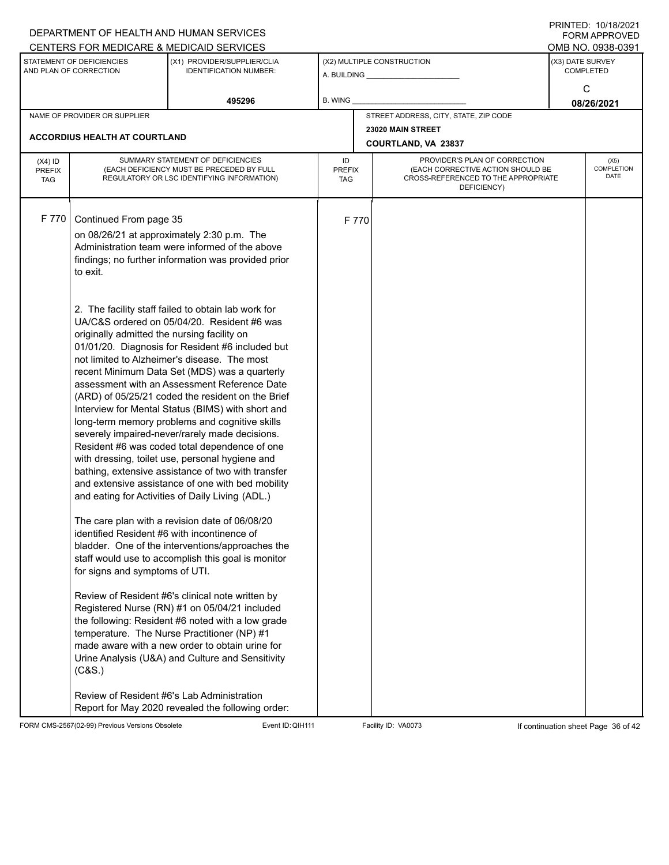|                             |                                                     | DEPARTMENT OF HEALTH AND HUMAN SERVICES                                                                 |                      |       |                                                                          | $1 \times 1 \times 1 = 1$ . $1 \times 1 \times 1 = 1$<br><b>FORM APPROVED</b> |
|-----------------------------|-----------------------------------------------------|---------------------------------------------------------------------------------------------------------|----------------------|-------|--------------------------------------------------------------------------|-------------------------------------------------------------------------------|
|                             |                                                     | CENTERS FOR MEDICARE & MEDICAID SERVICES                                                                |                      |       |                                                                          | OMB NO. 0938-0391                                                             |
|                             | STATEMENT OF DEFICIENCIES<br>AND PLAN OF CORRECTION | (X1) PROVIDER/SUPPLIER/CLIA<br><b>IDENTIFICATION NUMBER:</b>                                            |                      |       | (X2) MULTIPLE CONSTRUCTION                                               | (X3) DATE SURVEY<br><b>COMPLETED</b>                                          |
|                             |                                                     |                                                                                                         |                      |       |                                                                          | C                                                                             |
|                             |                                                     | 495296                                                                                                  | B. WING              |       |                                                                          | 08/26/2021                                                                    |
|                             | NAME OF PROVIDER OR SUPPLIER                        |                                                                                                         |                      |       | STREET ADDRESS, CITY, STATE, ZIP CODE                                    |                                                                               |
|                             |                                                     |                                                                                                         |                      |       | 23020 MAIN STREET                                                        |                                                                               |
|                             | <b>ACCORDIUS HEALTH AT COURTLAND</b>                |                                                                                                         |                      |       | COURTLAND, VA 23837                                                      |                                                                               |
| $(X4)$ ID                   |                                                     | SUMMARY STATEMENT OF DEFICIENCIES                                                                       | ID                   |       | PROVIDER'S PLAN OF CORRECTION                                            | (X5)                                                                          |
| <b>PREFIX</b><br><b>TAG</b> |                                                     | (EACH DEFICIENCY MUST BE PRECEDED BY FULL<br>REGULATORY OR LSC IDENTIFYING INFORMATION)                 | <b>PREFIX</b><br>TAG |       | (EACH CORRECTIVE ACTION SHOULD BE<br>CROSS-REFERENCED TO THE APPROPRIATE | <b>COMPLETION</b><br>DATE                                                     |
|                             |                                                     |                                                                                                         |                      |       | DEFICIENCY)                                                              |                                                                               |
|                             |                                                     |                                                                                                         |                      |       |                                                                          |                                                                               |
| F 770                       | Continued From page 35                              |                                                                                                         |                      | F 770 |                                                                          |                                                                               |
|                             |                                                     | on 08/26/21 at approximately 2:30 p.m. The                                                              |                      |       |                                                                          |                                                                               |
|                             |                                                     | Administration team were informed of the above                                                          |                      |       |                                                                          |                                                                               |
|                             |                                                     | findings; no further information was provided prior                                                     |                      |       |                                                                          |                                                                               |
|                             | to exit.                                            |                                                                                                         |                      |       |                                                                          |                                                                               |
|                             |                                                     |                                                                                                         |                      |       |                                                                          |                                                                               |
|                             |                                                     | 2. The facility staff failed to obtain lab work for                                                     |                      |       |                                                                          |                                                                               |
|                             |                                                     | UA/C&S ordered on 05/04/20. Resident #6 was                                                             |                      |       |                                                                          |                                                                               |
|                             | originally admitted the nursing facility on         |                                                                                                         |                      |       |                                                                          |                                                                               |
|                             |                                                     | 01/01/20. Diagnosis for Resident #6 included but                                                        |                      |       |                                                                          |                                                                               |
|                             |                                                     | not limited to Alzheimer's disease. The most                                                            |                      |       |                                                                          |                                                                               |
|                             |                                                     | recent Minimum Data Set (MDS) was a quarterly<br>assessment with an Assessment Reference Date           |                      |       |                                                                          |                                                                               |
|                             |                                                     | (ARD) of 05/25/21 coded the resident on the Brief                                                       |                      |       |                                                                          |                                                                               |
|                             |                                                     | Interview for Mental Status (BIMS) with short and                                                       |                      |       |                                                                          |                                                                               |
|                             |                                                     | long-term memory problems and cognitive skills                                                          |                      |       |                                                                          |                                                                               |
|                             |                                                     | severely impaired-never/rarely made decisions.                                                          |                      |       |                                                                          |                                                                               |
|                             |                                                     | Resident #6 was coded total dependence of one                                                           |                      |       |                                                                          |                                                                               |
|                             |                                                     | with dressing, toilet use, personal hygiene and                                                         |                      |       |                                                                          |                                                                               |
|                             |                                                     | bathing, extensive assistance of two with transfer<br>and extensive assistance of one with bed mobility |                      |       |                                                                          |                                                                               |
|                             |                                                     | and eating for Activities of Daily Living (ADL.)                                                        |                      |       |                                                                          |                                                                               |
|                             |                                                     |                                                                                                         |                      |       |                                                                          |                                                                               |
|                             |                                                     | The care plan with a revision date of 06/08/20                                                          |                      |       |                                                                          |                                                                               |
|                             |                                                     | identified Resident #6 with incontinence of                                                             |                      |       |                                                                          |                                                                               |
|                             |                                                     | bladder. One of the interventions/approaches the                                                        |                      |       |                                                                          |                                                                               |
|                             | for signs and symptoms of UTI.                      | staff would use to accomplish this goal is monitor                                                      |                      |       |                                                                          |                                                                               |
|                             |                                                     |                                                                                                         |                      |       |                                                                          |                                                                               |
|                             |                                                     | Review of Resident #6's clinical note written by                                                        |                      |       |                                                                          |                                                                               |
|                             |                                                     | Registered Nurse (RN) #1 on 05/04/21 included                                                           |                      |       |                                                                          |                                                                               |
|                             |                                                     | the following: Resident #6 noted with a low grade                                                       |                      |       |                                                                          |                                                                               |
|                             |                                                     | temperature. The Nurse Practitioner (NP) #1                                                             |                      |       |                                                                          |                                                                               |
|                             |                                                     | made aware with a new order to obtain urine for                                                         |                      |       |                                                                          |                                                                               |
|                             | (C&S.)                                              | Urine Analysis (U&A) and Culture and Sensitivity                                                        |                      |       |                                                                          |                                                                               |
|                             |                                                     |                                                                                                         |                      |       |                                                                          |                                                                               |
|                             |                                                     | Review of Resident #6's Lab Administration                                                              |                      |       |                                                                          |                                                                               |
|                             |                                                     | Report for May 2020 revealed the following order:                                                       |                      |       |                                                                          |                                                                               |

FORM CMS-2567(02-99) Previous Versions Obsolete Event ID:QIH111 Facility ID: VA0073 If continuation sheet Page 36 of 42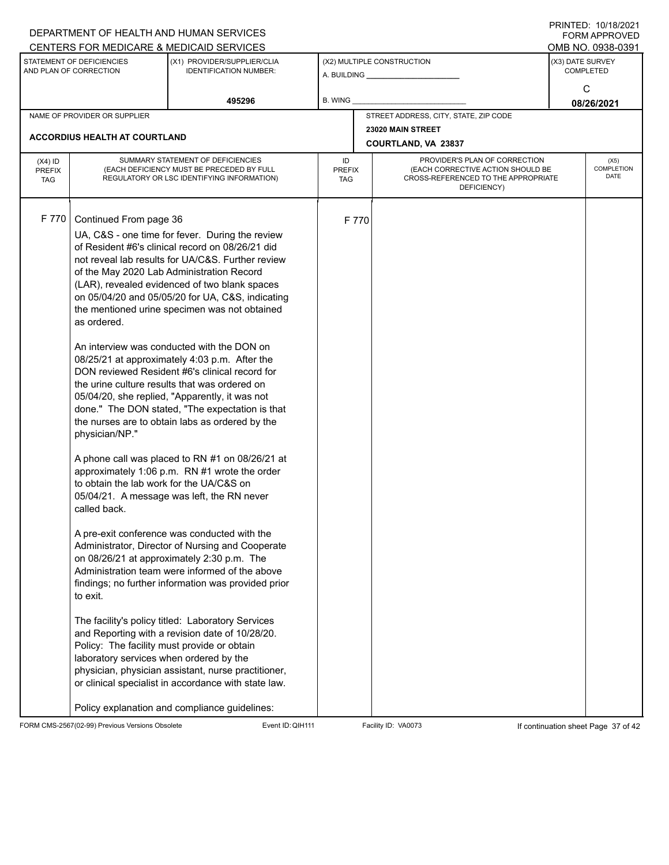|                             |                                                     | DEPARTMENT OF HEALTH AND HUMAN SERVICES                                                               |                      |       |                                                                          |                  | I I SII SI LED. I UZI I UZUZ I<br><b>FORM APPROVED</b> |
|-----------------------------|-----------------------------------------------------|-------------------------------------------------------------------------------------------------------|----------------------|-------|--------------------------------------------------------------------------|------------------|--------------------------------------------------------|
|                             |                                                     | CENTERS FOR MEDICARE & MEDICAID SERVICES                                                              |                      |       |                                                                          |                  | OMB NO. 0938-0391                                      |
|                             | STATEMENT OF DEFICIENCIES<br>AND PLAN OF CORRECTION | (X1) PROVIDER/SUPPLIER/CLIA<br><b>IDENTIFICATION NUMBER:</b>                                          |                      |       | (X2) MULTIPLE CONSTRUCTION                                               | (X3) DATE SURVEY | <b>COMPLETED</b>                                       |
|                             |                                                     |                                                                                                       |                      |       |                                                                          |                  | С                                                      |
|                             |                                                     | 495296                                                                                                | B. WING              |       |                                                                          |                  | 08/26/2021                                             |
|                             | NAME OF PROVIDER OR SUPPLIER                        |                                                                                                       |                      |       | STREET ADDRESS, CITY, STATE, ZIP CODE                                    |                  |                                                        |
|                             |                                                     |                                                                                                       |                      |       | 23020 MAIN STREET                                                        |                  |                                                        |
|                             | <b>ACCORDIUS HEALTH AT COURTLAND</b>                |                                                                                                       |                      |       | COURTLAND, VA 23837                                                      |                  |                                                        |
| $(X4)$ ID                   | SUMMARY STATEMENT OF DEFICIENCIES                   |                                                                                                       | ID                   |       | PROVIDER'S PLAN OF CORRECTION                                            |                  | (X5)                                                   |
| <b>PREFIX</b><br><b>TAG</b> |                                                     | (EACH DEFICIENCY MUST BE PRECEDED BY FULL<br>REGULATORY OR LSC IDENTIFYING INFORMATION)               | <b>PREFIX</b><br>TAG |       | (EACH CORRECTIVE ACTION SHOULD BE<br>CROSS-REFERENCED TO THE APPROPRIATE |                  | <b>COMPLETION</b><br>DATE                              |
|                             |                                                     |                                                                                                       |                      |       | DEFICIENCY)                                                              |                  |                                                        |
|                             |                                                     |                                                                                                       |                      |       |                                                                          |                  |                                                        |
| F 770                       | Continued From page 36                              |                                                                                                       |                      | F 770 |                                                                          |                  |                                                        |
|                             |                                                     | UA, C&S - one time for fever. During the review                                                       |                      |       |                                                                          |                  |                                                        |
|                             |                                                     | of Resident #6's clinical record on 08/26/21 did                                                      |                      |       |                                                                          |                  |                                                        |
|                             |                                                     | not reveal lab results for UA/C&S. Further review                                                     |                      |       |                                                                          |                  |                                                        |
|                             |                                                     | of the May 2020 Lab Administration Record<br>(LAR), revealed evidenced of two blank spaces            |                      |       |                                                                          |                  |                                                        |
|                             |                                                     | on 05/04/20 and 05/05/20 for UA, C&S, indicating                                                      |                      |       |                                                                          |                  |                                                        |
|                             |                                                     | the mentioned urine specimen was not obtained                                                         |                      |       |                                                                          |                  |                                                        |
|                             | as ordered.                                         |                                                                                                       |                      |       |                                                                          |                  |                                                        |
|                             |                                                     | An interview was conducted with the DON on                                                            |                      |       |                                                                          |                  |                                                        |
|                             |                                                     | 08/25/21 at approximately 4:03 p.m. After the                                                         |                      |       |                                                                          |                  |                                                        |
|                             |                                                     | DON reviewed Resident #6's clinical record for                                                        |                      |       |                                                                          |                  |                                                        |
|                             |                                                     | the urine culture results that was ordered on                                                         |                      |       |                                                                          |                  |                                                        |
|                             |                                                     | 05/04/20, she replied, "Apparently, it was not                                                        |                      |       |                                                                          |                  |                                                        |
|                             |                                                     | done." The DON stated, "The expectation is that                                                       |                      |       |                                                                          |                  |                                                        |
|                             | physician/NP."                                      | the nurses are to obtain labs as ordered by the                                                       |                      |       |                                                                          |                  |                                                        |
|                             |                                                     |                                                                                                       |                      |       |                                                                          |                  |                                                        |
|                             |                                                     | A phone call was placed to RN #1 on 08/26/21 at                                                       |                      |       |                                                                          |                  |                                                        |
|                             |                                                     | approximately 1:06 p.m. RN #1 wrote the order                                                         |                      |       |                                                                          |                  |                                                        |
|                             | to obtain the lab work for the UA/C&S on            |                                                                                                       |                      |       |                                                                          |                  |                                                        |
|                             | called back.                                        | 05/04/21. A message was left, the RN never                                                            |                      |       |                                                                          |                  |                                                        |
|                             |                                                     |                                                                                                       |                      |       |                                                                          |                  |                                                        |
|                             |                                                     | A pre-exit conference was conducted with the                                                          |                      |       |                                                                          |                  |                                                        |
|                             |                                                     | Administrator, Director of Nursing and Cooperate                                                      |                      |       |                                                                          |                  |                                                        |
|                             |                                                     | on 08/26/21 at approximately 2:30 p.m. The                                                            |                      |       |                                                                          |                  |                                                        |
|                             |                                                     | Administration team were informed of the above<br>findings; no further information was provided prior |                      |       |                                                                          |                  |                                                        |
|                             | to exit.                                            |                                                                                                       |                      |       |                                                                          |                  |                                                        |
|                             |                                                     |                                                                                                       |                      |       |                                                                          |                  |                                                        |
|                             |                                                     | The facility's policy titled: Laboratory Services                                                     |                      |       |                                                                          |                  |                                                        |
|                             |                                                     | and Reporting with a revision date of 10/28/20.                                                       |                      |       |                                                                          |                  |                                                        |
|                             | Policy: The facility must provide or obtain         |                                                                                                       |                      |       |                                                                          |                  |                                                        |
|                             | laboratory services when ordered by the             | physician, physician assistant, nurse practitioner,                                                   |                      |       |                                                                          |                  |                                                        |
|                             |                                                     | or clinical specialist in accordance with state law.                                                  |                      |       |                                                                          |                  |                                                        |
|                             |                                                     |                                                                                                       |                      |       |                                                                          |                  |                                                        |
|                             |                                                     | Policy explanation and compliance guidelines:                                                         |                      |       |                                                                          |                  |                                                        |

FORM CMS-2567(02-99) Previous Versions Obsolete Event ID:QIH111 Facility ID: VA0073 If continuation sheet Page 37 of 42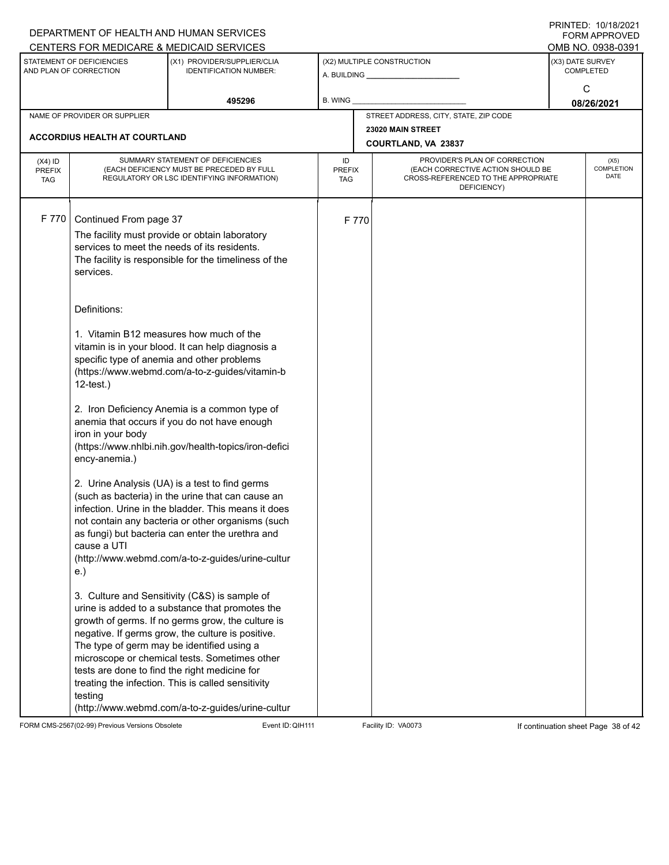|                                                     |                                                                                                                                                                                                                                                                                                                                                                                                             | DEPARTMENT OF HEALTH AND HUMAN SERVICES<br>CENTERS FOR MEDICARE & MEDICAID SERVICES                                                                                                                                                                                                                                                                                                                                                                                                                                                                                                                                                                                                                                                         |                                   |                                          |                                                                                                                          |                                           | FININTLU. TU/TO/ZUZT<br><b>FORM APPROVED</b><br>OMB NO. 0938-0391 |  |
|-----------------------------------------------------|-------------------------------------------------------------------------------------------------------------------------------------------------------------------------------------------------------------------------------------------------------------------------------------------------------------------------------------------------------------------------------------------------------------|---------------------------------------------------------------------------------------------------------------------------------------------------------------------------------------------------------------------------------------------------------------------------------------------------------------------------------------------------------------------------------------------------------------------------------------------------------------------------------------------------------------------------------------------------------------------------------------------------------------------------------------------------------------------------------------------------------------------------------------------|-----------------------------------|------------------------------------------|--------------------------------------------------------------------------------------------------------------------------|-------------------------------------------|-------------------------------------------------------------------|--|
| STATEMENT OF DEFICIENCIES<br>AND PLAN OF CORRECTION |                                                                                                                                                                                                                                                                                                                                                                                                             | (X1) PROVIDER/SUPPLIER/CLIA<br><b>IDENTIFICATION NUMBER:</b>                                                                                                                                                                                                                                                                                                                                                                                                                                                                                                                                                                                                                                                                                |                                   | (X2) MULTIPLE CONSTRUCTION               |                                                                                                                          | (X3) DATE SURVEY<br><b>COMPLETED</b><br>C |                                                                   |  |
|                                                     |                                                                                                                                                                                                                                                                                                                                                                                                             | 495296                                                                                                                                                                                                                                                                                                                                                                                                                                                                                                                                                                                                                                                                                                                                      | <b>B. WING</b>                    |                                          |                                                                                                                          |                                           | 08/26/2021                                                        |  |
|                                                     | NAME OF PROVIDER OR SUPPLIER                                                                                                                                                                                                                                                                                                                                                                                |                                                                                                                                                                                                                                                                                                                                                                                                                                                                                                                                                                                                                                                                                                                                             |                                   |                                          | STREET ADDRESS, CITY, STATE, ZIP CODE                                                                                    |                                           |                                                                   |  |
| <b>ACCORDIUS HEALTH AT COURTLAND</b>                |                                                                                                                                                                                                                                                                                                                                                                                                             |                                                                                                                                                                                                                                                                                                                                                                                                                                                                                                                                                                                                                                                                                                                                             |                                   | 23020 MAIN STREET<br>COURTLAND, VA 23837 |                                                                                                                          |                                           |                                                                   |  |
| $(X4)$ ID<br><b>PREFIX</b><br><b>TAG</b>            | SUMMARY STATEMENT OF DEFICIENCIES<br>(EACH DEFICIENCY MUST BE PRECEDED BY FULL<br>REGULATORY OR LSC IDENTIFYING INFORMATION)                                                                                                                                                                                                                                                                                |                                                                                                                                                                                                                                                                                                                                                                                                                                                                                                                                                                                                                                                                                                                                             | ID<br><b>PREFIX</b><br><b>TAG</b> |                                          | PROVIDER'S PLAN OF CORRECTION<br>(EACH CORRECTIVE ACTION SHOULD BE<br>CROSS-REFERENCED TO THE APPROPRIATE<br>DEFICIENCY) |                                           | (X5)<br>COMPLETION<br><b>DATE</b>                                 |  |
| F 770                                               | Continued From page 37<br>services to meet the needs of its residents.<br>services.<br>Definitions:                                                                                                                                                                                                                                                                                                         | The facility must provide or obtain laboratory<br>The facility is responsible for the timeliness of the                                                                                                                                                                                                                                                                                                                                                                                                                                                                                                                                                                                                                                     |                                   | F 770                                    |                                                                                                                          |                                           |                                                                   |  |
|                                                     | 1. Vitamin B12 measures how much of the<br>vitamin is in your blood. It can help diagnosis a<br>specific type of anemia and other problems<br>(https://www.webmd.com/a-to-z-guides/vitamin-b<br>$12$ -test.)<br>2. Iron Deficiency Anemia is a common type of<br>anemia that occurs if you do not have enough<br>iron in your body<br>(https://www.nhlbi.nih.gov/health-topics/iron-defici<br>ency-anemia.) |                                                                                                                                                                                                                                                                                                                                                                                                                                                                                                                                                                                                                                                                                                                                             |                                   |                                          |                                                                                                                          |                                           |                                                                   |  |
|                                                     | cause a UTI<br>e.)                                                                                                                                                                                                                                                                                                                                                                                          | 2. Urine Analysis (UA) is a test to find germs<br>(such as bacteria) in the urine that can cause an<br>infection. Urine in the bladder. This means it does<br>not contain any bacteria or other organisms (such<br>as fungi) but bacteria can enter the urethra and<br>(http://www.webmd.com/a-to-z-guides/urine-cultur<br>3. Culture and Sensitivity (C&S) is sample of<br>urine is added to a substance that promotes the<br>growth of germs. If no germs grow, the culture is<br>negative. If germs grow, the culture is positive.<br>The type of germ may be identified using a<br>microscope or chemical tests. Sometimes other<br>tests are done to find the right medicine for<br>treating the infection. This is called sensitivity |                                   |                                          |                                                                                                                          |                                           |                                                                   |  |
|                                                     | testing                                                                                                                                                                                                                                                                                                                                                                                                     | (http://www.webmd.com/a-to-z-guides/urine-cultur                                                                                                                                                                                                                                                                                                                                                                                                                                                                                                                                                                                                                                                                                            |                                   |                                          |                                                                                                                          |                                           |                                                                   |  |

FORM CMS-2567(02-99) Previous Versions Obsolete Event ID: QIH111 Facility ID: VA0073 If continuation sheet Page 38 of 42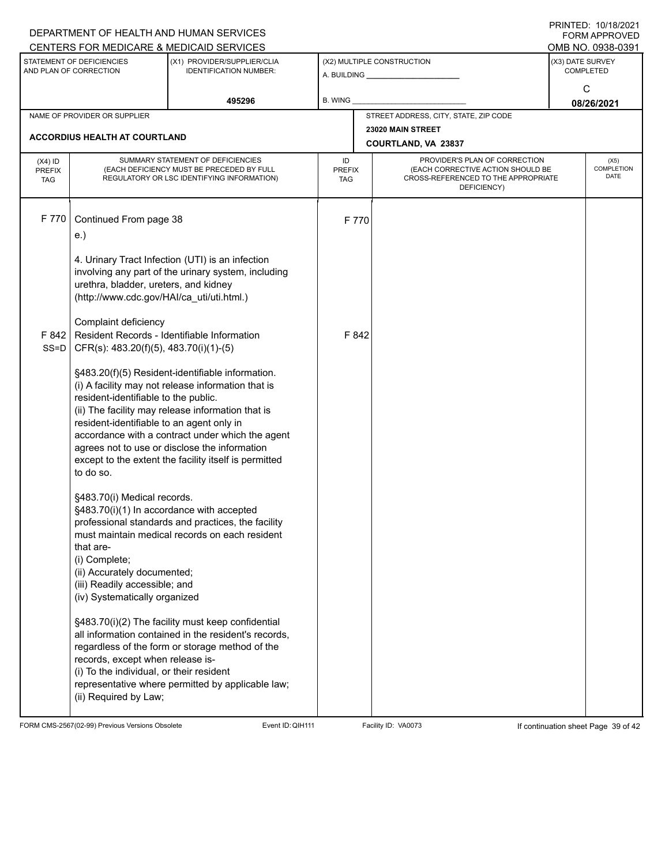|                                                     |                                                                                    | DEPARTMENT OF HEALTH AND HUMAN SERVICES                                                                 |                     |                            |                                                                    |   | I I \ II \ I L D . I U / I U / L U L I<br>FORM APPROVED |  |  |
|-----------------------------------------------------|------------------------------------------------------------------------------------|---------------------------------------------------------------------------------------------------------|---------------------|----------------------------|--------------------------------------------------------------------|---|---------------------------------------------------------|--|--|
|                                                     |                                                                                    | CENTERS FOR MEDICARE & MEDICAID SERVICES                                                                |                     |                            |                                                                    |   | OMB NO. 0938-0391                                       |  |  |
| STATEMENT OF DEFICIENCIES<br>AND PLAN OF CORRECTION |                                                                                    | (X1) PROVIDER/SUPPLIER/CLIA<br><b>IDENTIFICATION NUMBER:</b>                                            |                     | (X2) MULTIPLE CONSTRUCTION |                                                                    |   | (X3) DATE SURVEY<br><b>COMPLETED</b>                    |  |  |
|                                                     |                                                                                    |                                                                                                         |                     |                            |                                                                    | C |                                                         |  |  |
|                                                     |                                                                                    | 495296                                                                                                  | B. WING             |                            |                                                                    |   | 08/26/2021                                              |  |  |
| NAME OF PROVIDER OR SUPPLIER                        |                                                                                    |                                                                                                         |                     |                            | STREET ADDRESS, CITY, STATE, ZIP CODE                              |   |                                                         |  |  |
|                                                     | <b>ACCORDIUS HEALTH AT COURTLAND</b>                                               |                                                                                                         |                     | 23020 MAIN STREET          |                                                                    |   |                                                         |  |  |
|                                                     |                                                                                    |                                                                                                         |                     | COURTLAND, VA 23837        |                                                                    |   |                                                         |  |  |
| $(X4)$ ID<br>PREFIX                                 | SUMMARY STATEMENT OF DEFICIENCIES<br>(EACH DEFICIENCY MUST BE PRECEDED BY FULL     |                                                                                                         | ID<br><b>PREFIX</b> |                            | PROVIDER'S PLAN OF CORRECTION<br>(EACH CORRECTIVE ACTION SHOULD BE |   | (X5)<br><b>COMPLETION</b>                               |  |  |
| <b>TAG</b>                                          |                                                                                    | REGULATORY OR LSC IDENTIFYING INFORMATION)                                                              | <b>TAG</b>          |                            | CROSS-REFERENCED TO THE APPROPRIATE<br>DEFICIENCY)                 |   | <b>DATE</b>                                             |  |  |
|                                                     |                                                                                    |                                                                                                         |                     |                            |                                                                    |   |                                                         |  |  |
| F 770                                               | Continued From page 38                                                             |                                                                                                         |                     |                            |                                                                    |   |                                                         |  |  |
|                                                     | e.)                                                                                |                                                                                                         |                     | F 770                      |                                                                    |   |                                                         |  |  |
|                                                     |                                                                                    |                                                                                                         |                     |                            |                                                                    |   |                                                         |  |  |
|                                                     |                                                                                    | 4. Urinary Tract Infection (UTI) is an infection                                                        |                     |                            |                                                                    |   |                                                         |  |  |
|                                                     |                                                                                    | involving any part of the urinary system, including                                                     |                     |                            |                                                                    |   |                                                         |  |  |
|                                                     | urethra, bladder, ureters, and kidney<br>(http://www.cdc.gov/HAI/ca_uti/uti.html.) |                                                                                                         |                     |                            |                                                                    |   |                                                         |  |  |
|                                                     |                                                                                    |                                                                                                         |                     |                            |                                                                    |   |                                                         |  |  |
|                                                     | Complaint deficiency                                                               |                                                                                                         |                     |                            |                                                                    |   |                                                         |  |  |
|                                                     | F 842   Resident Records - Identifiable Information                                |                                                                                                         |                     | F 842                      |                                                                    |   |                                                         |  |  |
| $SS=D$                                              | CFR(s): 483.20(f)(5), 483.70(i)(1)-(5)                                             |                                                                                                         |                     |                            |                                                                    |   |                                                         |  |  |
|                                                     |                                                                                    | §483.20(f)(5) Resident-identifiable information.                                                        |                     |                            |                                                                    |   |                                                         |  |  |
|                                                     |                                                                                    | (i) A facility may not release information that is                                                      |                     |                            |                                                                    |   |                                                         |  |  |
|                                                     | resident-identifiable to the public.                                               | (ii) The facility may release information that is                                                       |                     |                            |                                                                    |   |                                                         |  |  |
|                                                     | resident-identifiable to an agent only in                                          |                                                                                                         |                     |                            |                                                                    |   |                                                         |  |  |
|                                                     |                                                                                    | accordance with a contract under which the agent                                                        |                     |                            |                                                                    |   |                                                         |  |  |
|                                                     |                                                                                    | agrees not to use or disclose the information                                                           |                     |                            |                                                                    |   |                                                         |  |  |
|                                                     | to do so.                                                                          | except to the extent the facility itself is permitted                                                   |                     |                            |                                                                    |   |                                                         |  |  |
|                                                     |                                                                                    |                                                                                                         |                     |                            |                                                                    |   |                                                         |  |  |
|                                                     | §483.70(i) Medical records.                                                        |                                                                                                         |                     |                            |                                                                    |   |                                                         |  |  |
|                                                     | §483.70(i)(1) In accordance with accepted                                          | professional standards and practices, the facility                                                      |                     |                            |                                                                    |   |                                                         |  |  |
|                                                     |                                                                                    | must maintain medical records on each resident                                                          |                     |                            |                                                                    |   |                                                         |  |  |
|                                                     | that are-                                                                          |                                                                                                         |                     |                            |                                                                    |   |                                                         |  |  |
|                                                     | (i) Complete;                                                                      |                                                                                                         |                     |                            |                                                                    |   |                                                         |  |  |
|                                                     | (ii) Accurately documented;<br>(iii) Readily accessible; and                       |                                                                                                         |                     |                            |                                                                    |   |                                                         |  |  |
|                                                     | (iv) Systematically organized                                                      |                                                                                                         |                     |                            |                                                                    |   |                                                         |  |  |
|                                                     |                                                                                    |                                                                                                         |                     |                            |                                                                    |   |                                                         |  |  |
|                                                     |                                                                                    | §483.70(i)(2) The facility must keep confidential                                                       |                     |                            |                                                                    |   |                                                         |  |  |
|                                                     |                                                                                    | all information contained in the resident's records,<br>regardless of the form or storage method of the |                     |                            |                                                                    |   |                                                         |  |  |
|                                                     | records, except when release is-                                                   |                                                                                                         |                     |                            |                                                                    |   |                                                         |  |  |
|                                                     | (i) To the individual, or their resident                                           |                                                                                                         |                     |                            |                                                                    |   |                                                         |  |  |
|                                                     |                                                                                    | representative where permitted by applicable law;                                                       |                     |                            |                                                                    |   |                                                         |  |  |
|                                                     | (ii) Required by Law;                                                              |                                                                                                         |                     |                            |                                                                    |   |                                                         |  |  |

FORM CMS-2567(02-99) Previous Versions Obsolete Event ID: QIH111 Facility ID: VA0073 If continuation sheet Page 39 of 42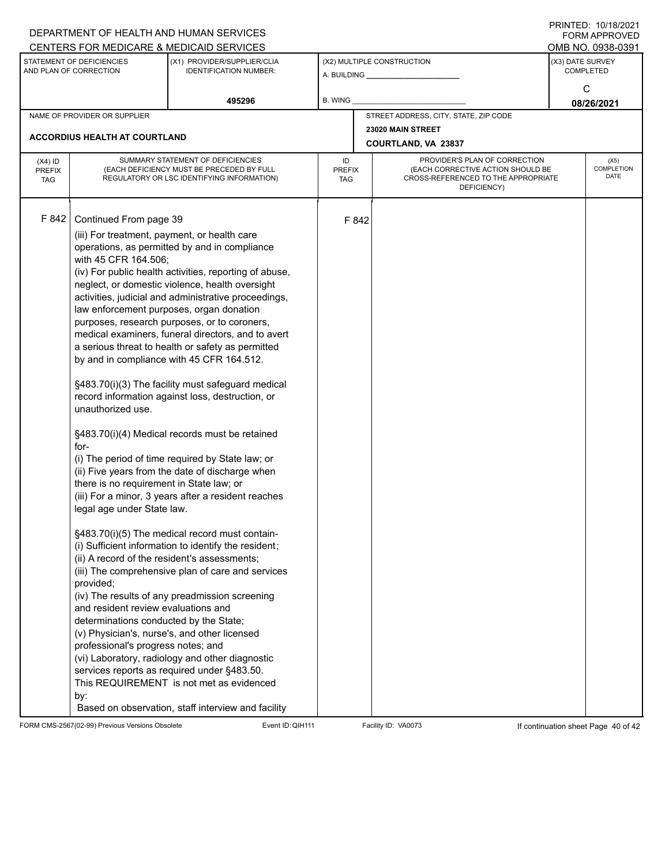|                                                     |                                                                                                                                                                                                                                                                                                                                                                                                                                                                                              | DEPARTMENT OF HEALTH AND HUMAN SERVICES<br>CENTERS FOR MEDICARE & MEDICAID SERVICES                                                                                                                                                                                                                                                                                                                                                                                                                                                                                                                                                                                                                                                                                                                                                                                                                                                                                                                                                                                                                                                                                      |                                   |                                          |                                                                                                                          |                                      | FININILU. IVIIVIZVZI<br><b>FORM APPROVED</b><br>OMB NO. 0938-0391 |  |
|-----------------------------------------------------|----------------------------------------------------------------------------------------------------------------------------------------------------------------------------------------------------------------------------------------------------------------------------------------------------------------------------------------------------------------------------------------------------------------------------------------------------------------------------------------------|--------------------------------------------------------------------------------------------------------------------------------------------------------------------------------------------------------------------------------------------------------------------------------------------------------------------------------------------------------------------------------------------------------------------------------------------------------------------------------------------------------------------------------------------------------------------------------------------------------------------------------------------------------------------------------------------------------------------------------------------------------------------------------------------------------------------------------------------------------------------------------------------------------------------------------------------------------------------------------------------------------------------------------------------------------------------------------------------------------------------------------------------------------------------------|-----------------------------------|------------------------------------------|--------------------------------------------------------------------------------------------------------------------------|--------------------------------------|-------------------------------------------------------------------|--|
| STATEMENT OF DEFICIENCIES<br>AND PLAN OF CORRECTION |                                                                                                                                                                                                                                                                                                                                                                                                                                                                                              | (X1) PROVIDER/SUPPLIER/CLIA<br><b>IDENTIFICATION NUMBER:</b>                                                                                                                                                                                                                                                                                                                                                                                                                                                                                                                                                                                                                                                                                                                                                                                                                                                                                                                                                                                                                                                                                                             |                                   | (X2) MULTIPLE CONSTRUCTION               |                                                                                                                          | (X3) DATE SURVEY<br><b>COMPLETED</b> |                                                                   |  |
|                                                     |                                                                                                                                                                                                                                                                                                                                                                                                                                                                                              | 495296                                                                                                                                                                                                                                                                                                                                                                                                                                                                                                                                                                                                                                                                                                                                                                                                                                                                                                                                                                                                                                                                                                                                                                   | B. WING                           |                                          |                                                                                                                          |                                      | С<br>08/26/2021                                                   |  |
|                                                     | NAME OF PROVIDER OR SUPPLIER                                                                                                                                                                                                                                                                                                                                                                                                                                                                 |                                                                                                                                                                                                                                                                                                                                                                                                                                                                                                                                                                                                                                                                                                                                                                                                                                                                                                                                                                                                                                                                                                                                                                          |                                   |                                          | STREET ADDRESS, CITY, STATE, ZIP CODE                                                                                    |                                      |                                                                   |  |
|                                                     | <b>ACCORDIUS HEALTH AT COURTLAND</b>                                                                                                                                                                                                                                                                                                                                                                                                                                                         |                                                                                                                                                                                                                                                                                                                                                                                                                                                                                                                                                                                                                                                                                                                                                                                                                                                                                                                                                                                                                                                                                                                                                                          |                                   | 23020 MAIN STREET<br>COURTLAND, VA 23837 |                                                                                                                          |                                      |                                                                   |  |
| $(X4)$ ID<br><b>PREFIX</b><br><b>TAG</b>            | SUMMARY STATEMENT OF DEFICIENCIES<br>(EACH DEFICIENCY MUST BE PRECEDED BY FULL<br>REGULATORY OR LSC IDENTIFYING INFORMATION)                                                                                                                                                                                                                                                                                                                                                                 |                                                                                                                                                                                                                                                                                                                                                                                                                                                                                                                                                                                                                                                                                                                                                                                                                                                                                                                                                                                                                                                                                                                                                                          | ID<br><b>PREFIX</b><br><b>TAG</b> |                                          | PROVIDER'S PLAN OF CORRECTION<br>(EACH CORRECTIVE ACTION SHOULD BE<br>CROSS-REFERENCED TO THE APPROPRIATE<br>DEFICIENCY) |                                      | (X5)<br><b>COMPLETION</b><br>DATE                                 |  |
| F 842                                               | Continued From page 39<br>(iii) For treatment, payment, or health care<br>with 45 CFR 164.506;<br>law enforcement purposes, organ donation<br>unauthorized use.<br>for-<br>there is no requirement in State law; or<br>legal age under State law.<br>(ii) A record of the resident's assessments;<br>provided;<br>and resident review evaluations and<br>determinations conducted by the State;<br>(v) Physician's, nurse's, and other licensed<br>professional's progress notes; and<br>by: | operations, as permitted by and in compliance<br>(iv) For public health activities, reporting of abuse,<br>neglect, or domestic violence, health oversight<br>activities, judicial and administrative proceedings,<br>purposes, research purposes, or to coroners,<br>medical examiners, funeral directors, and to avert<br>a serious threat to health or safety as permitted<br>by and in compliance with 45 CFR 164.512.<br>§483.70(i)(3) The facility must safeguard medical<br>record information against loss, destruction, or<br>§483.70(i)(4) Medical records must be retained<br>(i) The period of time required by State law; or<br>(ii) Five years from the date of discharge when<br>(iii) For a minor, 3 years after a resident reaches<br>§483.70(i)(5) The medical record must contain-<br>(i) Sufficient information to identify the resident;<br>(iii) The comprehensive plan of care and services<br>(iv) The results of any preadmission screening<br>(vi) Laboratory, radiology and other diagnostic<br>services reports as required under §483.50.<br>This REQUIREMENT is not met as evidenced<br>Based on observation, staff interview and facility |                                   | F 842                                    |                                                                                                                          |                                      |                                                                   |  |

FORM CMS-2567(02-99) Previous Versions Obsolete Event ID: QIH111 Facility ID: VA0073 If continuation sheet Page 40 of 42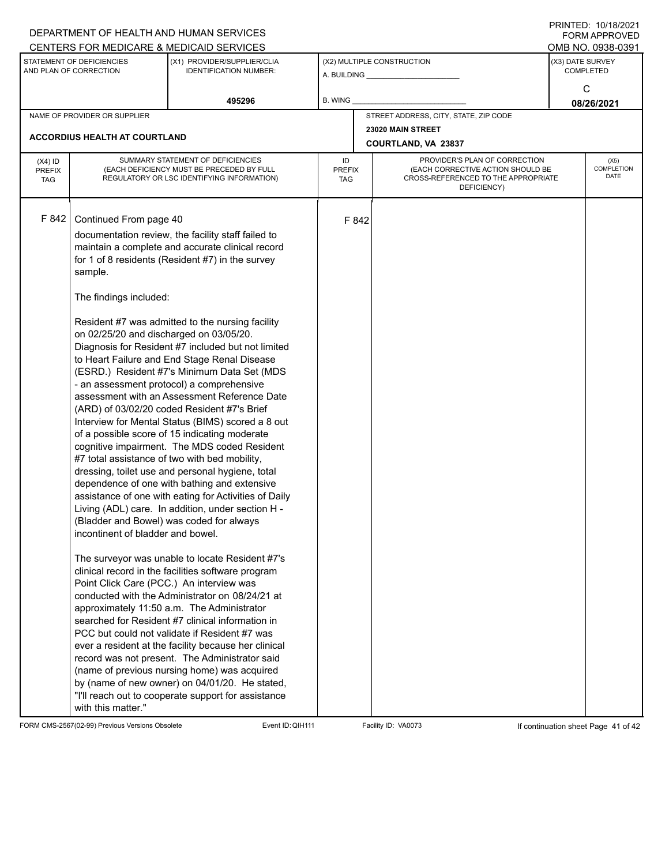|                                                                                                                                                                                                                                                                                                                                                                                                                                                                                                                                                                 | DEPARTMENT OF HEALTH AND HUMAN SERVICES                                                                                                                                                                                                                                                                                                                                                                                                                                                                                                                                                                                                                                                                                                                                                                                                                                                                                                                                                                                                                                                                                                                                                                                       |         |                                                                                                                                                               |                                          |                                      | FORM APPROVED                     |  |
|-----------------------------------------------------------------------------------------------------------------------------------------------------------------------------------------------------------------------------------------------------------------------------------------------------------------------------------------------------------------------------------------------------------------------------------------------------------------------------------------------------------------------------------------------------------------|-------------------------------------------------------------------------------------------------------------------------------------------------------------------------------------------------------------------------------------------------------------------------------------------------------------------------------------------------------------------------------------------------------------------------------------------------------------------------------------------------------------------------------------------------------------------------------------------------------------------------------------------------------------------------------------------------------------------------------------------------------------------------------------------------------------------------------------------------------------------------------------------------------------------------------------------------------------------------------------------------------------------------------------------------------------------------------------------------------------------------------------------------------------------------------------------------------------------------------|---------|---------------------------------------------------------------------------------------------------------------------------------------------------------------|------------------------------------------|--------------------------------------|-----------------------------------|--|
| CENTERS FOR MEDICARE & MEDICAID SERVICES                                                                                                                                                                                                                                                                                                                                                                                                                                                                                                                        |                                                                                                                                                                                                                                                                                                                                                                                                                                                                                                                                                                                                                                                                                                                                                                                                                                                                                                                                                                                                                                                                                                                                                                                                                               |         |                                                                                                                                                               |                                          |                                      | OMB NO. 0938-0391                 |  |
| STATEMENT OF DEFICIENCIES<br>AND PLAN OF CORRECTION                                                                                                                                                                                                                                                                                                                                                                                                                                                                                                             | (X1) PROVIDER/SUPPLIER/CLIA<br><b>IDENTIFICATION NUMBER:</b>                                                                                                                                                                                                                                                                                                                                                                                                                                                                                                                                                                                                                                                                                                                                                                                                                                                                                                                                                                                                                                                                                                                                                                  |         | (X2) MULTIPLE CONSTRUCTION                                                                                                                                    |                                          | (X3) DATE SURVEY<br><b>COMPLETED</b> |                                   |  |
|                                                                                                                                                                                                                                                                                                                                                                                                                                                                                                                                                                 | 495296                                                                                                                                                                                                                                                                                                                                                                                                                                                                                                                                                                                                                                                                                                                                                                                                                                                                                                                                                                                                                                                                                                                                                                                                                        | B. WING |                                                                                                                                                               |                                          | C<br>08/26/2021                      |                                   |  |
| NAME OF PROVIDER OR SUPPLIER                                                                                                                                                                                                                                                                                                                                                                                                                                                                                                                                    |                                                                                                                                                                                                                                                                                                                                                                                                                                                                                                                                                                                                                                                                                                                                                                                                                                                                                                                                                                                                                                                                                                                                                                                                                               |         |                                                                                                                                                               | STREET ADDRESS, CITY, STATE, ZIP CODE    |                                      |                                   |  |
| <b>ACCORDIUS HEALTH AT COURTLAND</b>                                                                                                                                                                                                                                                                                                                                                                                                                                                                                                                            |                                                                                                                                                                                                                                                                                                                                                                                                                                                                                                                                                                                                                                                                                                                                                                                                                                                                                                                                                                                                                                                                                                                                                                                                                               |         |                                                                                                                                                               | 23020 MAIN STREET<br>COURTLAND, VA 23837 |                                      |                                   |  |
|                                                                                                                                                                                                                                                                                                                                                                                                                                                                                                                                                                 |                                                                                                                                                                                                                                                                                                                                                                                                                                                                                                                                                                                                                                                                                                                                                                                                                                                                                                                                                                                                                                                                                                                                                                                                                               |         |                                                                                                                                                               |                                          |                                      |                                   |  |
| $(X4)$ ID<br><b>PREFIX</b><br><b>TAG</b>                                                                                                                                                                                                                                                                                                                                                                                                                                                                                                                        | SUMMARY STATEMENT OF DEFICIENCIES<br>(EACH DEFICIENCY MUST BE PRECEDED BY FULL<br>REGULATORY OR LSC IDENTIFYING INFORMATION)                                                                                                                                                                                                                                                                                                                                                                                                                                                                                                                                                                                                                                                                                                                                                                                                                                                                                                                                                                                                                                                                                                  |         | PROVIDER'S PLAN OF CORRECTION<br>ID<br>(EACH CORRECTIVE ACTION SHOULD BE<br><b>PREFIX</b><br>CROSS-REFERENCED TO THE APPROPRIATE<br><b>TAG</b><br>DEFICIENCY) |                                          |                                      | (X5)<br><b>COMPLETION</b><br>DATE |  |
| F 842<br>Continued From page 40<br>sample.<br>The findings included:<br>on 02/25/20 and discharged on 03/05/20.<br>- an assessment protocol) a comprehensive<br>(ARD) of 03/02/20 coded Resident #7's Brief<br>of a possible score of 15 indicating moderate<br>#7 total assistance of two with bed mobility,<br>(Bladder and Bowel) was coded for always<br>incontinent of bladder and bowel.<br>Point Click Care (PCC.) An interview was<br>approximately 11:50 a.m. The Administrator<br>PCC but could not validate if Resident #7 was<br>with this matter." | documentation review, the facility staff failed to<br>maintain a complete and accurate clinical record<br>for 1 of 8 residents (Resident #7) in the survey<br>Resident #7 was admitted to the nursing facility<br>Diagnosis for Resident #7 included but not limited<br>to Heart Failure and End Stage Renal Disease<br>(ESRD.) Resident #7's Minimum Data Set (MDS<br>assessment with an Assessment Reference Date<br>Interview for Mental Status (BIMS) scored a 8 out<br>cognitive impairment. The MDS coded Resident<br>dressing, toilet use and personal hygiene, total<br>dependence of one with bathing and extensive<br>assistance of one with eating for Activities of Daily<br>Living (ADL) care. In addition, under section H -<br>The surveyor was unable to locate Resident #7's<br>clinical record in the facilities software program<br>conducted with the Administrator on 08/24/21 at<br>searched for Resident #7 clinical information in<br>ever a resident at the facility because her clinical<br>record was not present. The Administrator said<br>(name of previous nursing home) was acquired<br>by (name of new owner) on 04/01/20. He stated,<br>"I'll reach out to cooperate support for assistance |         | F 842                                                                                                                                                         |                                          |                                      |                                   |  |

FORM CMS-2567(02-99) Previous Versions Obsolete Event ID:QIH111 Facility ID: VA0073 If continuation sheet Page 41 of 42